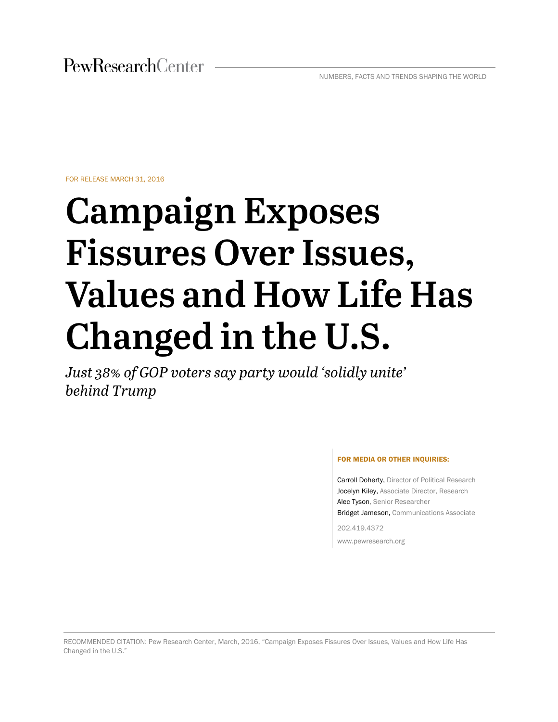FOR RELEASE MARCH 31, 2016

# **Campaign Exposes Fissures Over Issues, Values and How Life Has Changed in the U.S.**

*Just 38% of GOP voters say party would 'solidly unite' behind Trump*

#### FOR MEDIA OR OTHER INQUIRIES:

Carroll Doherty, Director of Political Research Jocelyn Kiley, Associate Director, Research Alec Tyson, Senior Researcher Bridget Jameson, Communications Associate

202.419.4372 www.pewresearch.org

RECOMMENDED CITATION: Pew Research Center, March, 2016, "Campaign Exposes Fissures Over Issues, Values and How Life Has Changed in the U.S."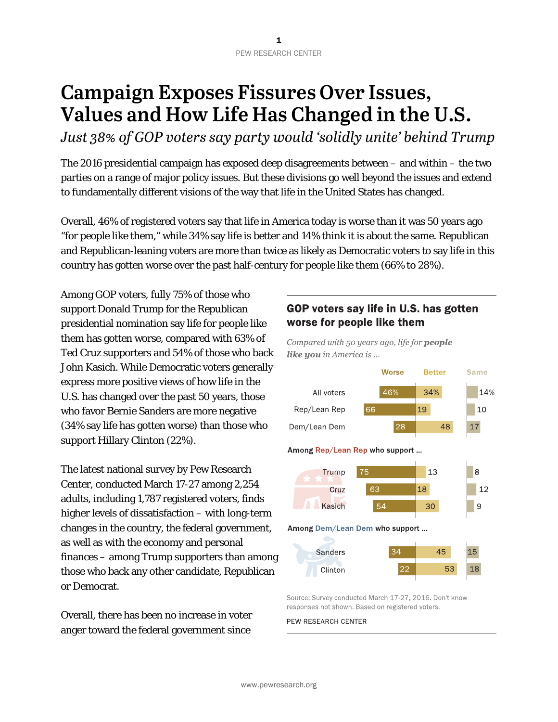# **Campaign Exposes Fissures Over Issues, Values and How Life Has Changed in the U.S.**

*Just 38% of GOP voters say party would 'solidly unite' behind Trump*

The 2016 presidential campaign has exposed deep disagreements between – and within – the two parties on a range of major policy issues. But these divisions go well beyond the issues and extend to fundamentally different visions of the way that life in the United States has changed.

Overall, 46% of registered voters say that life in America today is worse than it was 50 years ago "for people like them," while 34% say life is better and 14% think it is about the same. Republican and Republican-leaning voters are more than twice as likely as Democratic voters to say life in this country has gotten worse over the past half-century for people like them (66% to 28%).

Among GOP voters, fully 75% of those who support Donald Trump for the Republican presidential nomination say life for people like them has gotten worse, compared with 63% of Ted Cruz supporters and 54% of those who back John Kasich. While Democratic voters generally express more positive views of how life in the U.S. has changed over the past 50 years, those who favor Bernie Sanders are more negative (34% say life has gotten worse) than those who support Hillary Clinton (22%).

The latest national survey by Pew Research Center, conducted March 17-27 among 2,254 adults, including 1,787 registered voters, finds higher levels of dissatisfaction – with long-term changes in the country, the federal government, as well as with the economy and personal finances – among Trump supporters than among those who back any other candidate, Republican or Democrat.

Overall, there has been no increase in voter anger toward the federal government since

## GOP voters say life in U.S. has gotten worse for people like them

Compared with 50 years ago, life for people like you in America is ...



Source: Survey conducted March 17-27, 2016. Don't know responses not shown. Based on registered voters.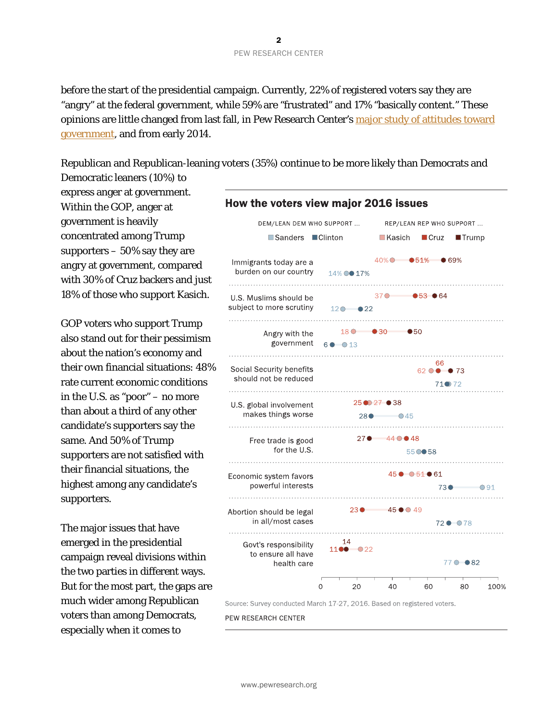before the start of the presidential campaign. Currently, 22% of registered voters say they are "angry" at the federal government, while 59% are "frustrated" and 17% "basically content." These opinions are little changed from last fall, in Pew Research Center's major study of attitudes toward [government,](http://www.people-press.org/2015/11/23/beyond-distrust-how-americans-view-their-government/) and from early 2014.

Republican and Republican-leaning voters (35%) continue to be more likely than Democrats and

Democratic leaners (10%) to express anger at government. Within the GOP, anger at government is heavily concentrated among Trump supporters  $-50\%$  say they are angry at government, compared with 30% of Cruz backers and just 18% of those who support Kasich.

GOP voters who support Trump also stand out for their pessimism about the nation's economy and their own financial situations: 48% rate current economic conditions in the U.S. as "poor" – no more than about a third of any other candidate's supporters say the same. And 50% of Trump supporters are not satisfied with their financial situations, the highest among any candidate's supporters.

The major issues that have emerged in the presidential campaign reveal divisions within the two parties in different ways. But for the most part, the gaps are much wider among Republican voters than among Democrats, especially when it comes to

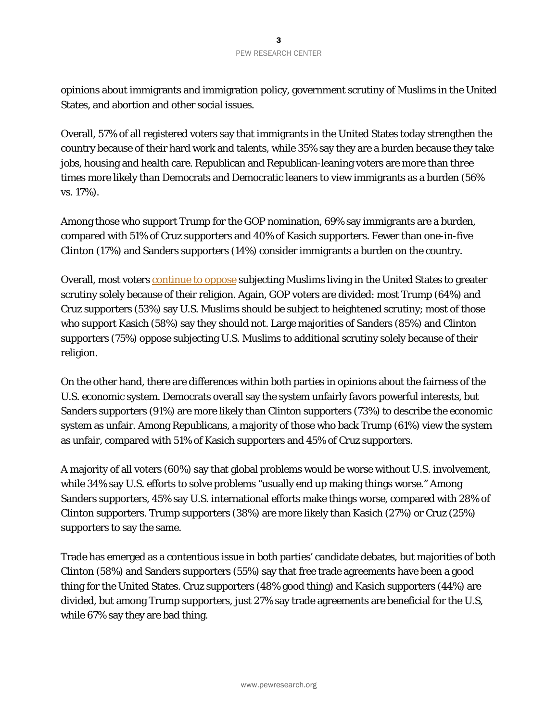opinions about immigrants and immigration policy, government scrutiny of Muslims in the United States, and abortion and other social issues.

Overall, 57% of all registered voters say that immigrants in the United States today strengthen the country because of their hard work and talents, while 35% say they are a burden because they take jobs, housing and health care. Republican and Republican-leaning voters are more than three times more likely than Democrats and Democratic leaners to view immigrants as a burden (56% vs. 17%).

Among those who support Trump for the GOP nomination, 69% say immigrants are a burden, compared with 51% of Cruz supporters and 40% of Kasich supporters. Fewer than one-in-five Clinton (17%) and Sanders supporters (14%) consider immigrants a burden on the country.

Overall, most voters [continue to oppose](http://www.people-press.org/2015/12/15/views-of-governments-handling-of-terrorism-fall-to-post-911-low/) subjecting Muslims living in the United States to greater scrutiny solely because of their religion. Again, GOP voters are divided: most Trump (64%) and Cruz supporters (53%) say U.S. Muslims should be subject to heightened scrutiny; most of those who support Kasich (58%) say they should not. Large majorities of Sanders (85%) and Clinton supporters (75%) oppose subjecting U.S. Muslims to additional scrutiny solely because of their religion.

On the other hand, there are differences within both parties in opinions about the fairness of the U.S. economic system. Democrats overall say the system unfairly favors powerful interests, but Sanders supporters (91%) are more likely than Clinton supporters (73%) to describe the economic system as unfair. Among Republicans, a majority of those who back Trump (61%) view the system as unfair, compared with 51% of Kasich supporters and 45% of Cruz supporters.

A majority of all voters (60%) say that global problems would be worse without U.S. involvement, while 34% say U.S. efforts to solve problems "usually end up making things worse." Among Sanders supporters, 45% say U.S. international efforts make things worse, compared with 28% of Clinton supporters. Trump supporters (38%) are more likely than Kasich (27%) or Cruz (25%) supporters to say the same.

Trade has emerged as a contentious issue in both parties' candidate debates, but majorities of both Clinton (58%) and Sanders supporters (55%) say that free trade agreements have been a good thing for the United States. Cruz supporters (48% good thing) and Kasich supporters (44%) are divided, but among Trump supporters, just 27% say trade agreements are beneficial for the U.S, while 67% say they are bad thing.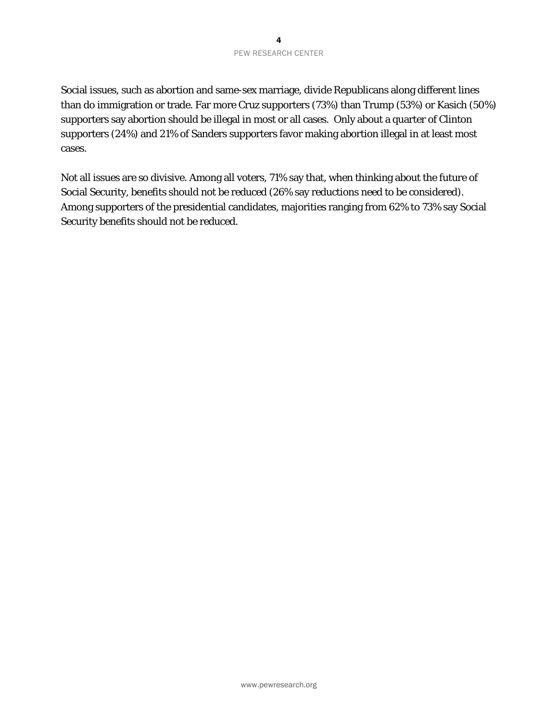Social issues, such as abortion and same-sex marriage, divide Republicans along different lines than do immigration or trade. Far more Cruz supporters (73%) than Trump (53%) or Kasich (50%) supporters say abortion should be illegal in most or all cases. Only about a quarter of Clinton supporters (24%) and 21% of Sanders supporters favor making abortion illegal in at least most cases.

Not all issues are so divisive. Among all voters, 71% say that, when thinking about the future of Social Security, benefits should not be reduced (26% say reductions need to be considered). Among supporters of the presidential candidates, majorities ranging from 62% to 73% say Social Security benefits should not be reduced.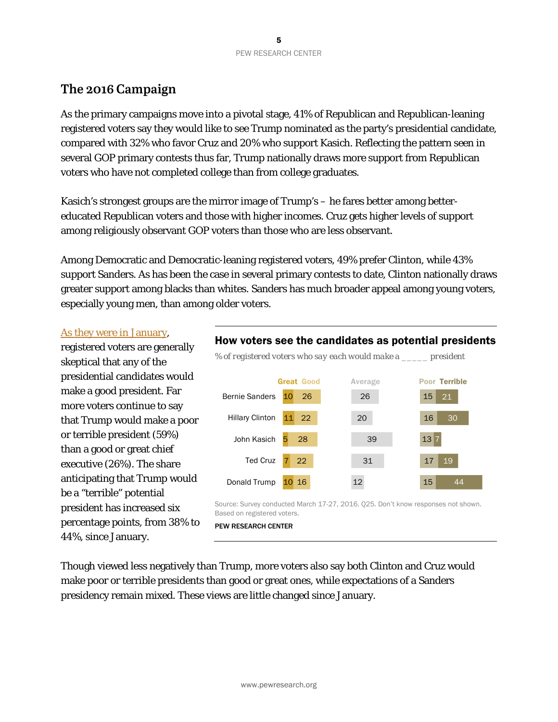# **The 2016 Campaign**

As the primary campaigns move into a pivotal stage, 41% of Republican and Republican-leaning registered voters say they would like to see Trump nominated as the party's presidential candidate, compared with 32% who favor Cruz and 20% who support Kasich. Reflecting the pattern seen in several GOP primary contests thus far, Trump nationally draws more support from Republican voters who have not completed college than from college graduates.

Kasich's strongest groups are the mirror image of Trump's – he fares better among bettereducated Republican voters and those with higher incomes. Cruz gets higher levels of support among religiously observant GOP voters than those who are less observant.

Among Democratic and Democratic-leaning registered voters, 49% prefer Clinton, while 43% support Sanders. As has been the case in several primary contests to date, Clinton nationally draws greater support among blacks than whites. Sanders has much broader appeal among young voters, especially young men, than among older voters.

#### [As they were in January,](http://www.people-press.org/2016/01/20/voters-skeptical-that-2016-candidates-would-make-good-presidents/)

registered voters are generally skeptical that any of the presidential candidates would make a good president. Far more voters continue to say that Trump would make a poor or terrible president (59%) than a good or great chief executive (26%). The share anticipating that Trump would be a "terrible" potential president has increased six percentage points, from 38% to 44%, since January.





Source: Survey conducted March 17-27, 2016. Q25. Don't know responses not shown. Based on registered voters.

#### PEW RESEARCH CENTER

Though viewed less negatively than Trump, more voters also say both Clinton and Cruz would make poor or terrible presidents than good or great ones, while expectations of a Sanders presidency remain mixed. These views are little changed since January.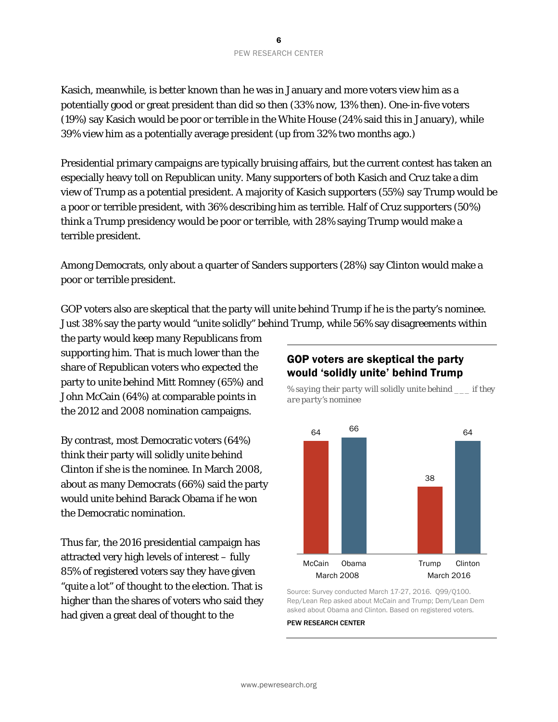Kasich, meanwhile, is better known than he was in January and more voters view him as a potentially good or great president than did so then (33% now, 13% then). One-in-five voters (19%) say Kasich would be poor or terrible in the White House (24% said this in January), while 39% view him as a potentially average president (up from 32% two months ago.)

Presidential primary campaigns are typically bruising affairs, but the current contest has taken an especially heavy toll on Republican unity. Many supporters of both Kasich and Cruz take a dim view of Trump as a potential president. A majority of Kasich supporters (55%) say Trump would be a poor or terrible president, with 36% describing him as terrible. Half of Cruz supporters (50%) think a Trump presidency would be poor or terrible, with 28% saying Trump would make a terrible president.

Among Democrats, only about a quarter of Sanders supporters (28%) say Clinton would make a poor or terrible president.

GOP voters also are skeptical that the party will unite behind Trump if he is the party's nominee. Just 38% say the party would "unite solidly" behind Trump, while 56% say disagreements within

the party would keep many Republicans from supporting him. That is much lower than the share of Republican voters who expected the party to unite behind Mitt Romney (65%) and John McCain (64%) at comparable points in the 2012 and 2008 nomination campaigns.

By contrast, most Democratic voters (64%) think their party will solidly unite behind Clinton if she is the nominee. In March 2008, about as many Democrats (66%) said the party would unite behind Barack Obama if he won the Democratic nomination.

Thus far, the 2016 presidential campaign has attracted very high levels of interest – fully 85% of registered voters say they have given "quite a lot" of thought to the election. That is higher than the shares of voters who said they had given a great deal of thought to the

## GOP voters are skeptical the party would 'solidly unite' behind Trump



*% saying their party will solidly unite behind \_\_\_ if they are party's nominee*

Source: Survey conducted March 17-27, 2016. Q99/Q100. Rep/Lean Rep asked about McCain and Trump; Dem/Lean Dem asked about Obama and Clinton. Based on registered voters.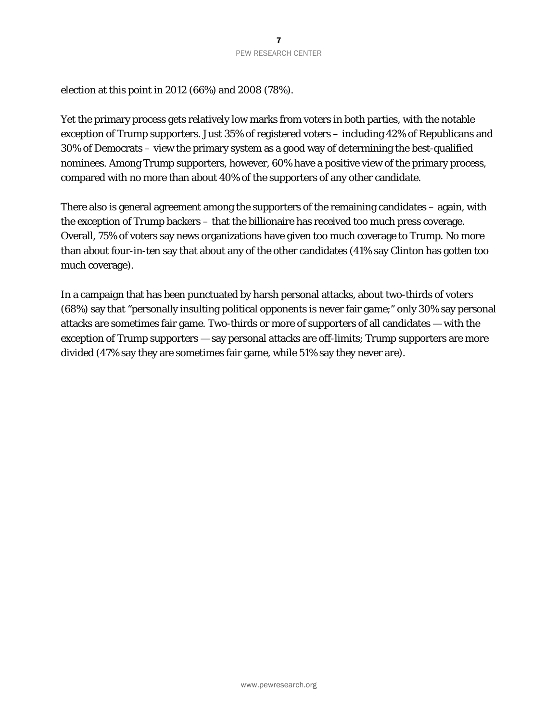election at this point in 2012 (66%) and 2008 (78%).

Yet the primary process gets relatively low marks from voters in both parties, with the notable exception of Trump supporters. Just 35% of registered voters – including 42% of Republicans and 30% of Democrats – view the primary system as a good way of determining the best-qualified nominees. Among Trump supporters, however, 60% have a positive view of the primary process, compared with no more than about 40% of the supporters of any other candidate.

There also is general agreement among the supporters of the remaining candidates – again, with the exception of Trump backers – that the billionaire has received too much press coverage. Overall, 75% of voters say news organizations have given too much coverage to Trump. No more than about four-in-ten say that about any of the other candidates (41% say Clinton has gotten too much coverage).

In a campaign that has been punctuated by harsh personal attacks, about two-thirds of voters (68%) say that "personally insulting political opponents is never fair game;" only 30% say personal attacks are sometimes fair game. Two-thirds or more of supporters of all candidates — with the exception of Trump supporters — say personal attacks are off-limits; Trump supporters are more divided (47% say they are sometimes fair game, while 51% say they never are).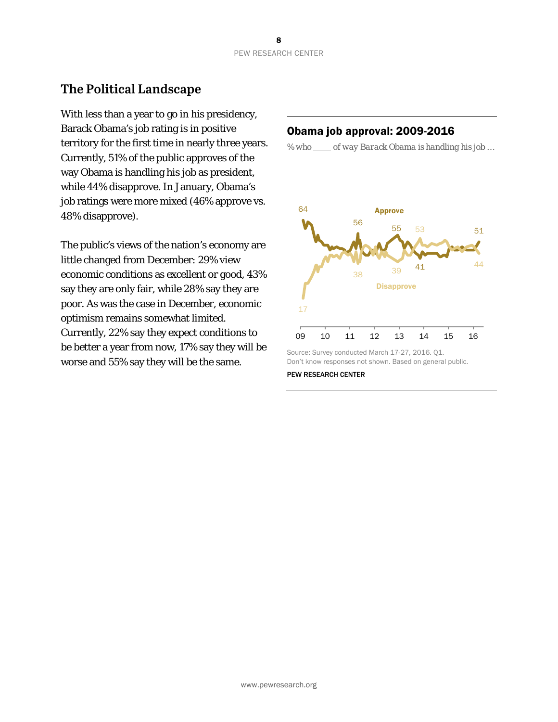# **The Political Landscape**

With less than a year to go in his presidency, Barack Obama's job rating is in positive territory for the first time in nearly three years. Currently, 51% of the public approves of the way Obama is handling his job as president, while 44% disapprove. In January, Obama's job ratings were more mixed (46% approve vs. 48% disapprove).

The public's views of the nation's economy are little changed from December: 29% view economic conditions as excellent or good, 43% say they are only fair, while 28% say they are poor. As was the case in December, economic optimism remains somewhat limited. Currently, 22% say they expect conditions to be better a year from now, 17% say they will be worse and 55% say they will be the same.

#### Obama job approval: 2009-2016

*% who of way Barack Obama is handling his job …*



Source: Survey conducted March 17-27, 2016. Q1. Don't know responses not shown. Based on general public.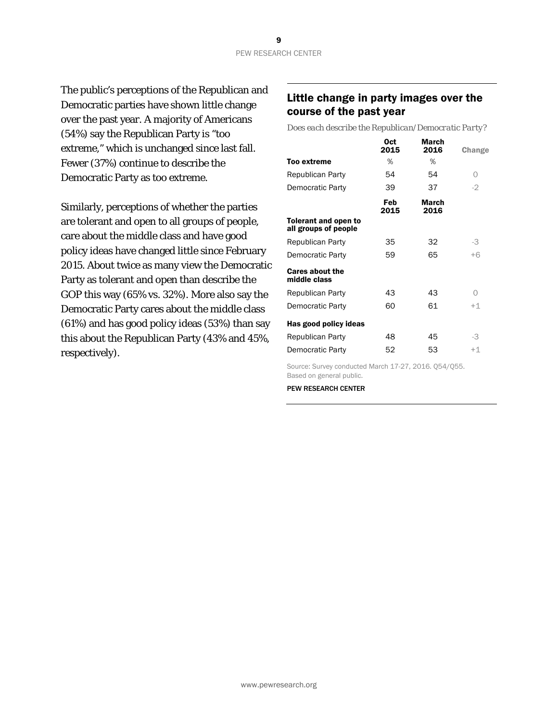The public's perceptions of the Republican and Democratic parties have shown little change over the past year. A majority of Americans (54%) say the Republican Party is "too extreme," which is unchanged since last fall. Fewer (37%) continue to describe the Democratic Party as too extreme.

Similarly, perceptions of whether the parties are tolerant and open to all groups of people, care about the middle class and have good policy ideas have changed little since February 2015. About twice as many view the Democratic Party as tolerant and open than describe the GOP this way (65% vs. 32%). More also say the Democratic Party cares about the middle class (61%) and has good policy ideas (53%) than say this about the Republican Party (43% and 45%, respectively).

#### Little change in party images over the course of the past year

*Does each describe the Republican/Democratic Party?*

|                                              | 0ct<br>2015 | March<br>2016 | Change |
|----------------------------------------------|-------------|---------------|--------|
| Too extreme                                  | %           | %             |        |
| Republican Party                             | 54          | 54            | Ω      |
| Democratic Party                             | 39          | 37            | $-2$   |
|                                              | Feb<br>2015 | March<br>2016 |        |
| Tolerant and open to<br>all groups of people |             |               |        |
| Republican Party                             | 35          | 32            | -3     |
| Democratic Party                             | 59          | 65            | $+6$   |
| <b>Cares about the</b><br>middle class       |             |               |        |
| Republican Party                             | 43          | 43            | Ω      |
| Democratic Party                             | 60          | 61            | $+1$   |
| Has good policy ideas                        |             |               |        |
| Republican Party                             | 48          | 45            | -3     |
| Democratic Party                             | 52          | 53            | $+1$   |

Source: Survey conducted March 17-27, 2016. Q54/Q55. Based on general public.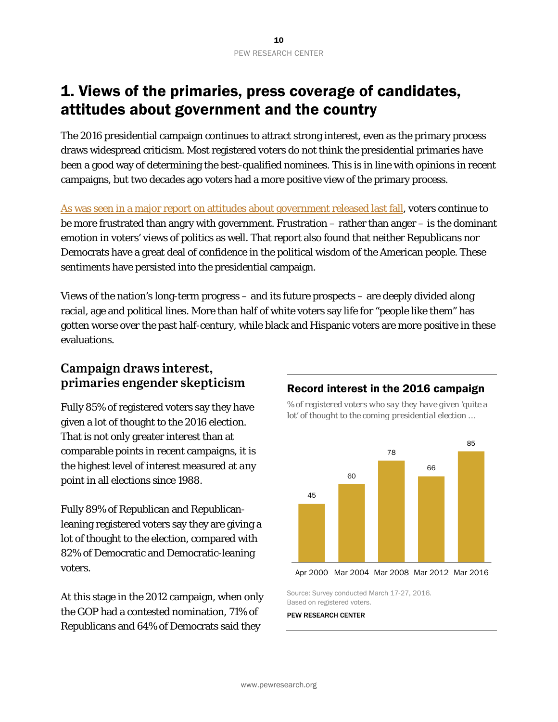# 1. Views of the primaries, press coverage of candidates, attitudes about government and the country

The 2016 presidential campaign continues to attract strong interest, even as the primary process draws widespread criticism. Most registered voters do not think the presidential primaries have been a good way of determining the best-qualified nominees. This is in line with opinions in recent campaigns, but two decades ago voters had a more positive view of the primary process.

[As was seen in a major report on attitudes](http://www.people-press.org/2015/11/23/beyond-distrust-how-americans-view-their-government/) about government released last fall, voters continue to be more frustrated than angry with government. Frustration – rather than anger – is the dominant emotion in voters' views of politics as well. That report also found that neither Republicans nor Democrats have a great deal of confidence in the political wisdom of the American people. These sentiments have persisted into the presidential campaign.

Views of the nation's long-term progress – and its future prospects – are deeply divided along racial, age and political lines. More than half of white voters say life for "people like them" has gotten worse over the past half-century, while black and Hispanic voters are more positive in these evaluations.

## **Campaign draws interest, primaries engender skepticism**

Fully 85% of registered voters say they have given a lot of thought to the 2016 election. That is not only greater interest than at comparable points in recent campaigns, it is the highest level of interest measured at *any* point in all elections since 1988.

Fully 89% of Republican and Republicanleaning registered voters say they are giving a lot of thought to the election, compared with 82% of Democratic and Democratic-leaning voters.

At this stage in the 2012 campaign, when only the GOP had a contested nomination, 71% of Republicans and 64% of Democrats said they

## Record interest in the 2016 campaign *% of registered voters who say they have given 'quite a*



```
Apr 2000 Mar 2004 Mar 2008 Mar 2012 Mar 2016
```
Source: Survey conducted March 17-27, 2016. Based on registered voters.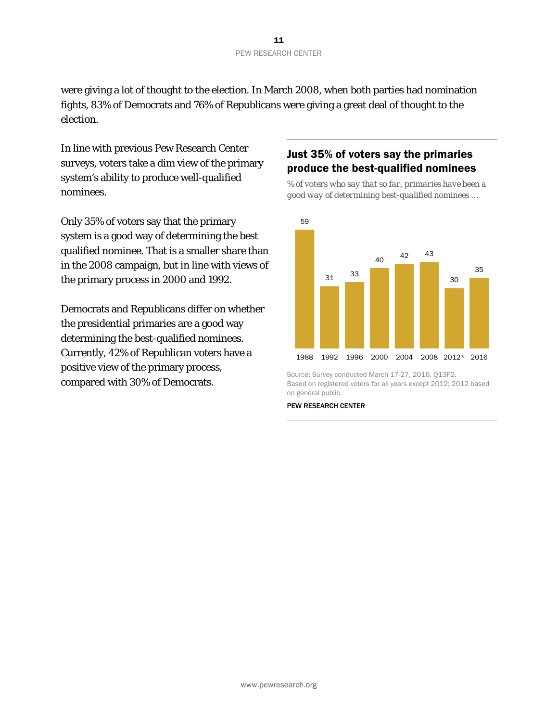were giving a lot of thought to the election. In March 2008, when both parties had nomination fights, 83% of Democrats and 76% of Republicans were giving a great deal of thought to the election.

In line with previous Pew Research Center surveys, voters take a dim view of the primary system's ability to produce well-qualified nominees.

Only 35% of voters say that the primary system is a good way of determining the best qualified nominee. That is a smaller share than in the 2008 campaign, but in line with views of the primary process in 2000 and 1992.

Democrats and Republicans differ on whether the presidential primaries are a good way determining the best-qualified nominees. Currently, 42% of Republican voters have a positive view of the primary process, compared with 30% of Democrats.

## Just 35% of voters say the primaries produce the best-qualified nominees

*% of voters who say that so far, primaries have been a good way of determining best-qualified nominees …*



Source: Survey conducted March 17-27, 2016. Q13F2. Based on registered voters for all years except 2012; 2012 based on general public.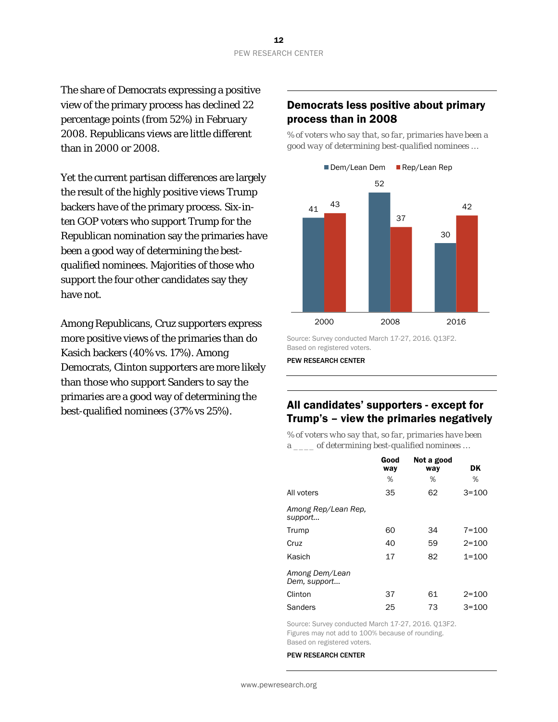The share of Democrats expressing a positive view of the primary process has declined 22 percentage points (from 52%) in February 2008. Republicans views are little different than in 2000 or 2008.

Yet the current partisan differences are largely the result of the highly positive views Trump backers have of the primary process. Six-inten GOP voters who support Trump for the Republican nomination say the primaries have been a good way of determining the bestqualified nominees. Majorities of those who support the four other candidates say they have not.

Among Republicans, Cruz supporters express more positive views of the primaries than do Kasich backers (40% vs. 17%). Among Democrats, Clinton supporters are more likely than those who support Sanders to say the primaries are a good way of determining the best-qualified nominees (37% vs 25%).

#### Democrats less positive about primary process than in 2008

*% of voters who say that, so far, primaries have been a good way of determining best-qualified nominees …*



Source: Survey conducted March 17-27, 2016. Q13F2. Based on registered voters.

PEW RESEARCH CENTER

#### All candidates' supporters - except for Trump's – view the primaries negatively

*% of voters who say that, so far, primaries have been a \_\_\_\_ of determining best-qualified nominees …*

|                                | Good<br>way | Not a good<br>way | DK        |
|--------------------------------|-------------|-------------------|-----------|
|                                | %           | ℅                 | ℅         |
| All voters                     | 35          | 62                | $3 = 100$ |
| Among Rep/Lean Rep,<br>support |             |                   |           |
| Trump                          | 60          | 34                | $7 = 100$ |
| Cruz                           | 40          | 59                | $2 = 100$ |
| Kasich                         | 17          | 82                | $1 = 100$ |
| Among Dem/Lean<br>Dem, support |             |                   |           |
| Clinton                        | 37          | 61                | $2 = 100$ |
| Sanders                        | 25          | 73                | $3 = 100$ |

Source: Survey conducted March 17-27, 2016. Q13F2. Figures may not add to 100% because of rounding. Based on registered voters.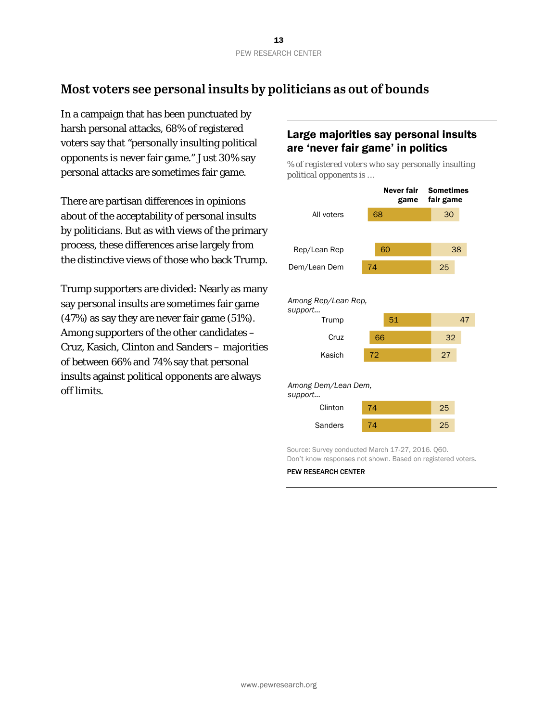# **Most voters see personal insults by politicians as out of bounds**

In a campaign that has been punctuated by harsh personal attacks, 68% of registered voters say that "personally insulting political opponents is never fair game." Just 30% say personal attacks are sometimes fair game.

There are partisan differences in opinions about of the acceptability of personal insults by politicians. But as with views of the primary process, these differences arise largely from the distinctive views of those who back Trump.

Trump supporters are divided: Nearly as many say personal insults are sometimes fair game (47%) as say they are never fair game (51%). Among supporters of the other candidates – Cruz, Kasich, Clinton and Sanders – majorities of between 66% and 74% say that personal insults against political opponents are always off limits.

## Large majorities say personal insults are 'never fair game' in politics

*% of registered voters who say personally insulting political opponents is …*



Don't know responses not shown. Based on registered voters.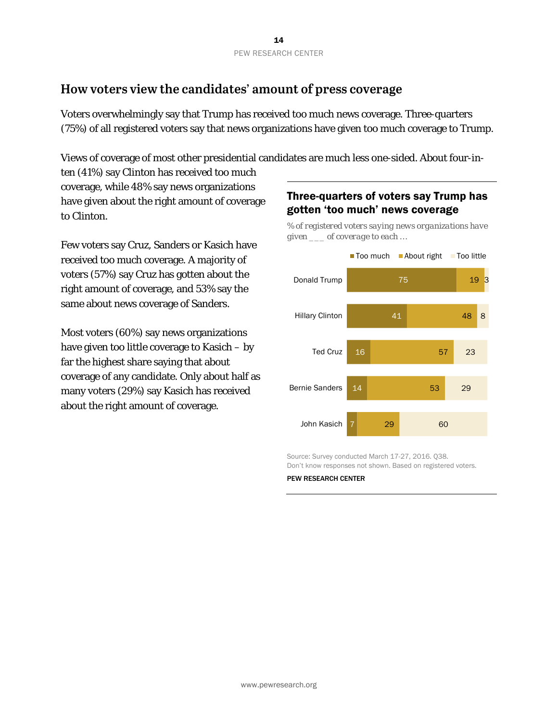# **How voters view the candidates' amount of press coverage**

Voters overwhelmingly say that Trump has received too much news coverage. Three-quarters (75%) of all registered voters say that news organizations have given too much coverage to Trump.

Views of coverage of most other presidential candidates are much less one-sided. About four-in-

ten (41%) say Clinton has received too much coverage, while 48% say news organizations have given about the right amount of coverage to Clinton.

Few voters say Cruz, Sanders or Kasich have received too much coverage. A majority of voters (57%) say Cruz has gotten about the right amount of coverage, and 53% say the same about news coverage of Sanders.

Most voters (60%) say news organizations have given too little coverage to Kasich – by far the highest share saying that about coverage of any candidate. Only about half as many voters (29%) say Kasich has received about the right amount of coverage.

## Three-quarters of voters say Trump has gotten 'too much' news coverage

*% of registered voters saying news organizations have given \_\_\_ of coverage to each …* 



Source: Survey conducted March 17-27, 2016. Q38. Don't know responses not shown. Based on registered voters.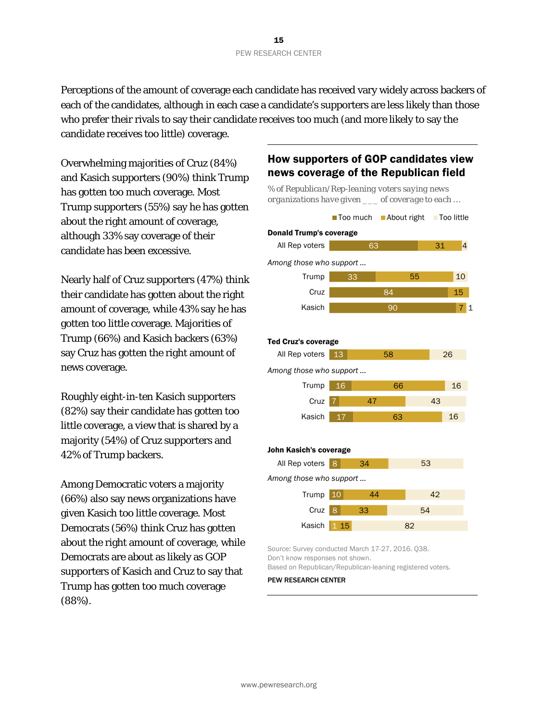Perceptions of the amount of coverage each candidate has received vary widely across backers of each of the candidates, although in each case a candidate's supporters are less likely than those who prefer their rivals to say their candidate receives too much (and more likely to say the candidate receives too little) coverage.

Overwhelming majorities of Cruz (84%) and Kasich supporters (90%) think Trump has gotten too much coverage. Most Trump supporters (55%) say he has gotten about the right amount of coverage, although 33% say coverage of their candidate has been excessive.

Nearly half of Cruz supporters (47%) think their candidate has gotten about the right amount of coverage, while 43% say he has gotten too little coverage. Majorities of Trump (66%) and Kasich backers (63%) say Cruz has gotten the right amount of news coverage.

Roughly eight-in-ten Kasich supporters (82%) say their candidate has gotten too little coverage, a view that is shared by a majority (54%) of Cruz supporters and 42% of Trump backers.

Among Democratic voters a majority (66%) also say news organizations have given Kasich too little coverage. Most Democrats (56%) think Cruz has gotten about the right amount of coverage, while Democrats are about as likely as GOP supporters of Kasich and Cruz to say that Trump has gotten too much coverage (88%).

## How supporters of GOP candidates view news coverage of the Republican field



Source: Survey conducted March 17-27, 2016. Q38. Don't know responses not shown. Based on Republican/Republican-leaning registered voters.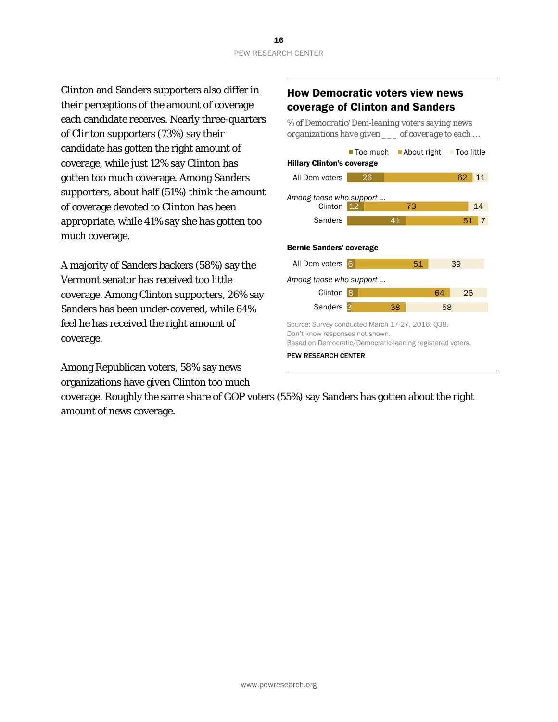Clinton and Sanders supporters also differ in their perceptions of the amount of coverage each candidate receives. Nearly three-quarters of Clinton supporters (73%) say their candidate has gotten the right amount of coverage, while just 12% say Clinton has gotten too much coverage. Among Sanders supporters, about half (51%) think the amount of coverage devoted to Clinton has been appropriate, while 41% say she has gotten too much coverage.

A majority of Sanders backers (58%) say the Vermont senator has received too little coverage. Among Clinton supporters, 26% say Sanders has been under-covered, while 64% feel he has received the right amount of coverage.

Among Republican voters, 58% say news organizations have given Clinton too much

#### How Democratic voters view news coverage of Clinton and Sanders

*% of Democratic/Dem-leaning voters saying news organizations have given \_\_\_ of coverage to each …* 



coverage. Roughly the same share of GOP voters (55%) say Sanders has gotten about the right amount of news coverage.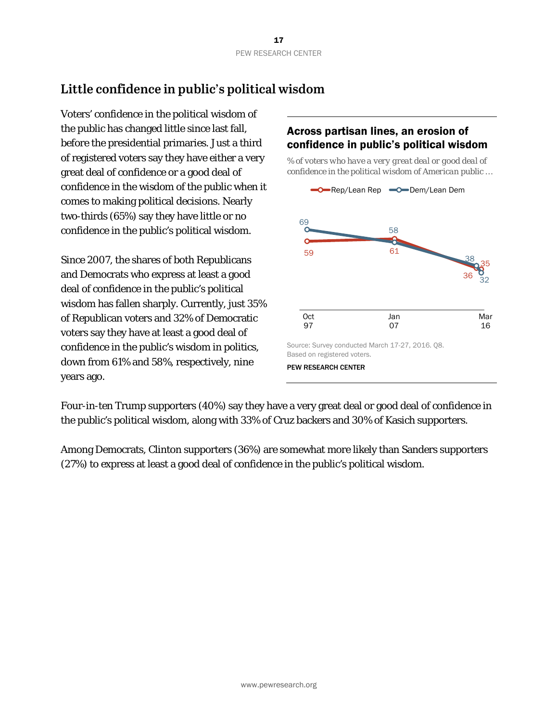# **Little confidence in public's political wisdom**

Voters' confidence in the political wisdom of the public has changed little since last fall, before the presidential primaries. Just a third of registered voters say they have either a very great deal of confidence or a good deal of confidence in the wisdom of the public when it comes to making political decisions. Nearly two-thirds (65%) say they have little or no confidence in the public's political wisdom.

Since 2007, the shares of both Republicans and Democrats who express at least a good deal of confidence in the public's political wisdom has fallen sharply. Currently, just 35% of Republican voters and 32% of Democratic voters say they have at least a good deal of confidence in the public's wisdom in politics, down from 61% and 58%, respectively, nine years ago.

## Across partisan lines, an erosion of confidence in public's political wisdom

*% of voters who have a very great deal or good deal of confidence in the political wisdom of American public …*



Four-in-ten Trump supporters (40%) say they have a very great deal or good deal of confidence in the public's political wisdom, along with 33% of Cruz backers and 30% of Kasich supporters.

Among Democrats, Clinton supporters (36%) are somewhat more likely than Sanders supporters (27%) to express at least a good deal of confidence in the public's political wisdom.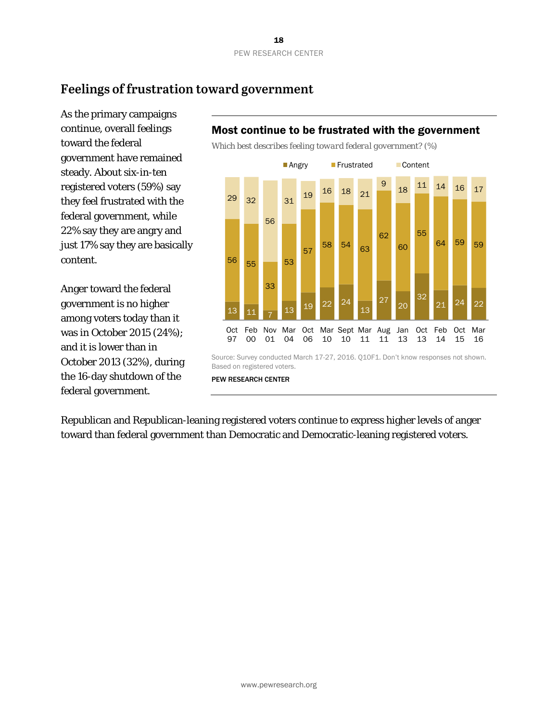# **Feelings of frustration toward government**

As the primary campaigns continue, overall feelings toward the federal government have remained steady. About six-in-ten registered voters (59%) say they feel frustrated with the federal government, while 22% say they are angry and just 17% say they are basically content.

Anger toward the federal government is no higher among voters today than it was in October 2015 (24%); and it is lower than in October 2013 (32%), during the 16-day shutdown of the federal government.

## Most continue to be frustrated with the government

*Which best describes feeling toward federal government? (%)*



Republican and Republican-leaning registered voters continue to express higher levels of anger toward than federal government than Democratic and Democratic-leaning registered voters.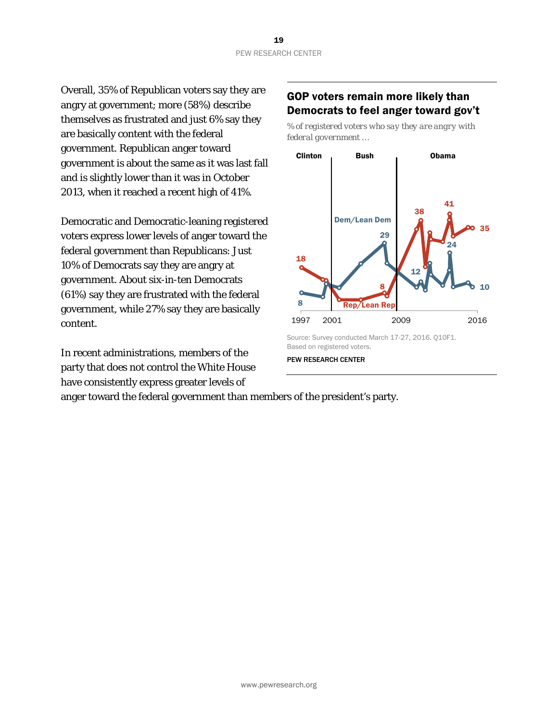Overall, 35% of Republican voters say they are angry at government; more (58%) describe themselves as frustrated and just 6% say they are basically content with the federal government. Republican anger toward government is about the same as it was last fall and is slightly lower than it was in October 2013, when it reached a recent high of 41%.

Democratic and Democratic-leaning registered voters express lower levels of anger toward the federal government than Republicans: Just 10% of Democrats say they are angry at government. About six-in-ten Democrats (61%) say they are frustrated with the federal government, while 27% say they are basically content.

In recent administrations, members of the party that does not control the White House have consistently express greater levels of

#### anger toward the federal government than members of the president's party.

## GOP voters remain more likely than Democrats to feel anger toward gov't

*% of registered voters who say they are angry with federal government …*



Source: Survey conducted March 17-27, 2016. Q10F1. Based on registered voters.

PEW RESEARCH CENTER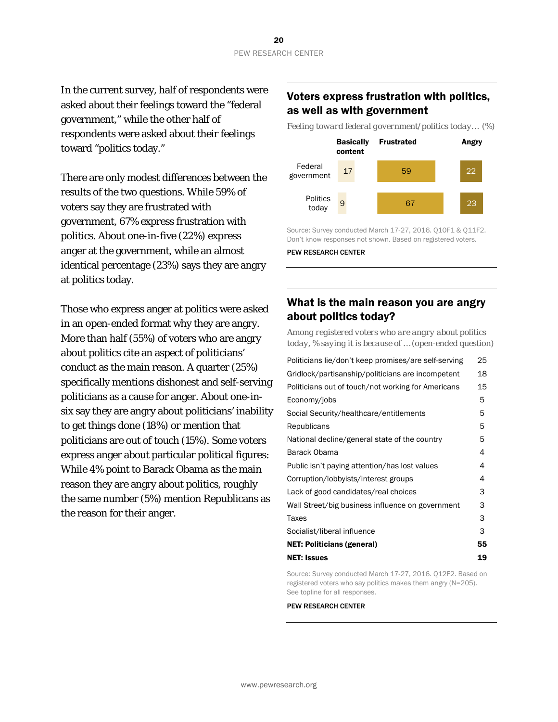In the current survey, half of respondents were asked about their feelings toward the "federal government," while the other half of respondents were asked about their feelings toward "politics today."

There are only modest differences between the results of the two questions. While 59% of voters say they are frustrated with government, 67% express frustration with politics. About one-in-five (22%) express anger at the government, while an almost identical percentage (23%) says they are angry at politics today.

Those who express anger at politics were asked in an open-ended format why they are angry. More than half (55%) of voters who are angry about politics cite an aspect of politicians' conduct as the main reason. A quarter (25%) specifically mentions dishonest and self-serving politicians as a cause for anger. About one-insix say they are angry about politicians' inability to get things done (18%) or mention that politicians are out of touch (15%). Some voters express anger about particular political figures: While 4% point to Barack Obama as the main reason they are angry about politics, roughly the same number (5%) mention Republicans as the reason for their anger.

#### Voters express frustration with politics, as well as with government

*Feeling toward federal government/politics today… (%)*



Source: Survey conducted March 17-27, 2016. Q10F1 & Q11F2. Don't know responses not shown. Based on registered voters. PEW RESEARCH CENTER

#### What is the main reason you are angry about politics today?

*Among registered voters who are angry about politics today, % saying it is because of … (open-ended question)* 

| Politicians lie/don't keep promises/are self-serving | 25 |
|------------------------------------------------------|----|
| Gridlock/partisanship/politicians are incompetent    | 18 |
| Politicians out of touch/not working for Americans   | 15 |
| Economy/jobs                                         | 5  |
| Social Security/healthcare/entitlements              | 5  |
| Republicans                                          | 5  |
| National decline/general state of the country        | 5  |
| Barack Obama                                         | 4  |
| Public isn't paying attention/has lost values        | 4  |
| Corruption/lobbyists/interest groups                 | 4  |
| Lack of good candidates/real choices                 | 3  |
| Wall Street/big business influence on government     | 3  |
| Taxes                                                | 3  |
| Socialist/liberal influence                          | 3  |
| <b>NET: Politicians (general)</b>                    | 55 |
| <b>NET: Issues</b>                                   | 19 |
|                                                      |    |

Source: Survey conducted March 17-27, 2016. Q12F2. Based on registered voters who say politics makes them angry (N=205). See topline for all responses.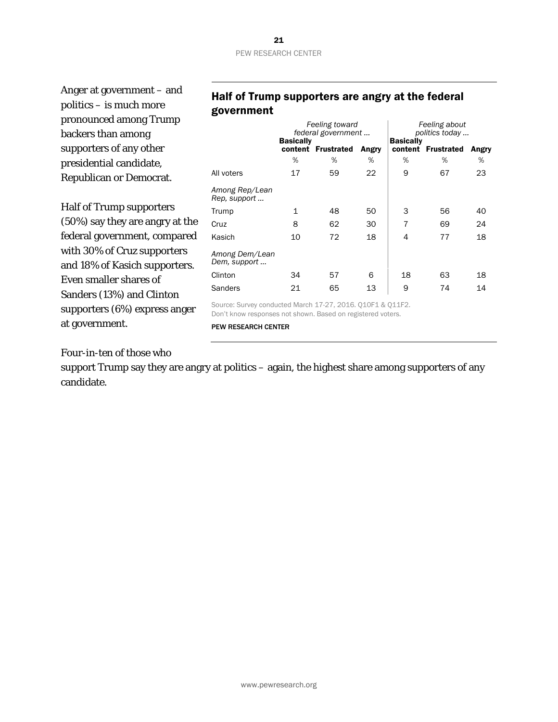#### 21 PEW RESEARCH CENTER

Anger at government – and politics – is much more pronounced among Trump backers than among supporters of any other presidential candidate, Republican or Democrat.

Half of Trump supporters (50%) say they are angry at the federal government, compared with 30% of Cruz supporters and 18% of Kasich supporters. Even smaller shares of Sanders (13%) and Clinton supporters (6%) express anger at government.

#### Half of Trump supporters are angry at the federal government

|                                                            | Feeling toward<br>federal government |                    |       | Feeling about<br>politics today |                    |       |
|------------------------------------------------------------|--------------------------------------|--------------------|-------|---------------------------------|--------------------|-------|
|                                                            | <b>Basically</b>                     | content Frustrated | Angry | <b>Basically</b>                | content Frustrated | Angry |
|                                                            | %                                    | %                  | %     | %                               | %                  | %     |
| All voters                                                 | 17                                   | 59                 | 22    | 9                               | 67                 | 23    |
| Among Rep/Lean<br>Rep, support                             |                                      |                    |       |                                 |                    |       |
| Trump                                                      | $\mathbf 1$                          | 48                 | 50    | 3                               | 56                 | 40    |
| Cruz                                                       | 8                                    | 62                 | 30    | 7                               | 69                 | 24    |
| Kasich                                                     | 10                                   | 72                 | 18    | 4                               | 77                 | 18    |
| Among Dem/Lean<br>Dem, support                             |                                      |                    |       |                                 |                    |       |
| Clinton                                                    | 34                                   | 57                 | 6     | 18                              | 63                 | 18    |
| Sanders                                                    | 21                                   | 65                 | 13    | 9                               | 74                 | 14    |
| Source: Survey conducted March 17-27, 2016. Q10F1 & Q11F2. |                                      |                    |       |                                 |                    |       |

Don't know responses not shown. Based on registered voters.

PEW RESEARCH CENTER

Four-in-ten of those who

support Trump say they are angry at politics – again, the highest share among supporters of any candidate.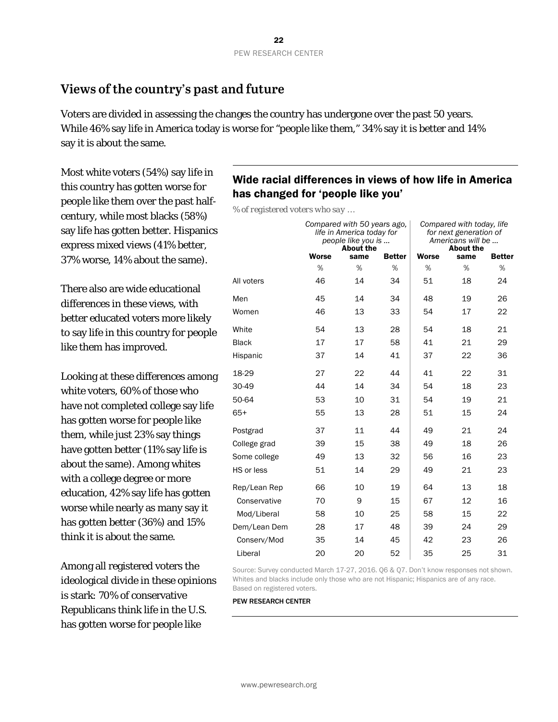## **Views of the country's past and future**

Voters are divided in assessing the changes the country has undergone over the past 50 years. While 46% say life in America today is worse for "people like them," 34% say it is better and 14% say it is about the same.

Most white voters (54%) say life in this country has gotten worse for people like them over the past halfcentury, while most blacks (58%) say life has gotten better. Hispanics express mixed views (41% better, 37% worse, 14% about the same).

There also are wide educational differences in these views, with better educated voters more likely to say life in this country for people like them has improved.

Looking at these differences among white voters, 60% of those who have not completed college say life has gotten worse for people like them, while just 23% say things have gotten better (11% say life is about the same). Among whites with a college degree or more education, 42% say life has gotten worse while nearly as many say it has gotten better (36%) and 15% think it is about the same.

Among all registered voters the ideological divide in these opinions is stark: 70% of conservative Republicans think life in the U.S. has gotten worse for people like

### Wide racial differences in views of how life in America has changed for 'people like you'

*% of registered voters who say …* 

|              | Compared with 50 years ago,<br>life in America today for<br>people like you is<br><b>About the</b> |      |               | Compared with today, life<br>for next generation of<br>Americans will be<br><b>About the</b> |      |               |
|--------------|----------------------------------------------------------------------------------------------------|------|---------------|----------------------------------------------------------------------------------------------|------|---------------|
|              | <b>Worse</b>                                                                                       | same | <b>Better</b> | <b>Worse</b>                                                                                 | same | <b>Better</b> |
|              | %                                                                                                  | %    | %             | %                                                                                            | %    | %             |
| All voters   | 46                                                                                                 | 14   | 34            | 51                                                                                           | 18   | 24            |
| Men          | 45                                                                                                 | 14   | 34            | 48                                                                                           | 19   | 26            |
| Women        | 46                                                                                                 | 13   | 33            | 54                                                                                           | 17   | 22            |
| White        | 54                                                                                                 | 13   | 28            | 54                                                                                           | 18   | 21            |
| <b>Black</b> | 17                                                                                                 | 17   | 58            | 41                                                                                           | 21   | 29            |
| Hispanic     | 37                                                                                                 | 14   | 41            | 37                                                                                           | 22   | 36            |
| 18-29        | 27                                                                                                 | 22   | 44            | 41                                                                                           | 22   | 31            |
| 30-49        | 44                                                                                                 | 14   | 34            | 54                                                                                           | 18   | 23            |
| 50-64        | 53                                                                                                 | 10   | 31            | 54                                                                                           | 19   | 21            |
| $65+$        | 55                                                                                                 | 13   | 28            | 51                                                                                           | 15   | 24            |
| Postgrad     | 37                                                                                                 | 11   | 44            | 49                                                                                           | 21   | 24            |
| College grad | 39                                                                                                 | 15   | 38            | 49                                                                                           | 18   | 26            |
| Some college | 49                                                                                                 | 13   | 32            | 56                                                                                           | 16   | 23            |
| HS or less   | 51                                                                                                 | 14   | 29            | 49                                                                                           | 21   | 23            |
| Rep/Lean Rep | 66                                                                                                 | 10   | 19            | 64                                                                                           | 13   | 18            |
| Conservative | 70                                                                                                 | 9    | 15            | 67                                                                                           | 12   | 16            |
| Mod/Liberal  | 58                                                                                                 | 10   | 25            | 58                                                                                           | 15   | 22            |
| Dem/Lean Dem | 28                                                                                                 | 17   | 48            | 39                                                                                           | 24   | 29            |
| Conserv/Mod  | 35                                                                                                 | 14   | 45            | 42                                                                                           | 23   | 26            |
| Liberal      | 20                                                                                                 | 20   | 52            | 35                                                                                           | 25   | 31            |

Source: Survey conducted March 17-27, 2016. Q6 & Q7. Don't know responses not shown. Whites and blacks include only those who are not Hispanic; Hispanics are of any race. Based on registered voters.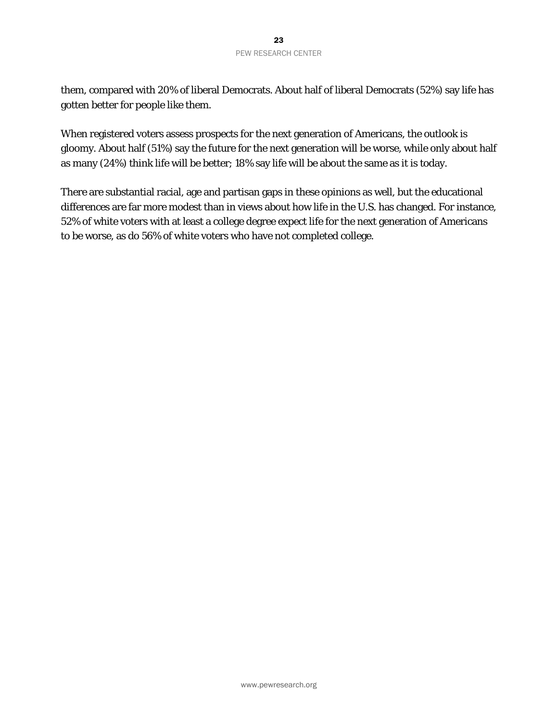#### 23 PEW RESEARCH CENTER

them, compared with 20% of liberal Democrats. About half of liberal Democrats (52%) say life has gotten better for people like them.

When registered voters assess prospects for the next generation of Americans, the outlook is gloomy. About half (51%) say the future for the next generation will be worse, while only about half as many (24%) think life will be better; 18% say life will be about the same as it is today.

There are substantial racial, age and partisan gaps in these opinions as well, but the educational differences are far more modest than in views about how life in the U.S. has changed. For instance, 52% of white voters with at least a college degree expect life for the next generation of Americans to be worse, as do 56% of white voters who have not completed college.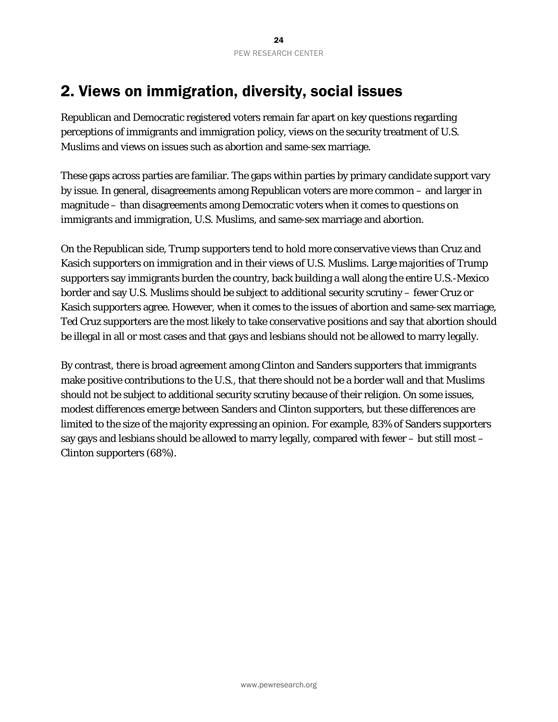# 2. Views on immigration, diversity, social issues

Republican and Democratic registered voters remain far apart on key questions regarding perceptions of immigrants and immigration policy, views on the security treatment of U.S. Muslims and views on issues such as abortion and same-sex marriage.

These gaps across parties are familiar. The gaps within parties by primary candidate support vary by issue. In general, disagreements among Republican voters are more common – and larger in magnitude – than disagreements among Democratic voters when it comes to questions on immigrants and immigration, U.S. Muslims, and same-sex marriage and abortion.

On the Republican side, Trump supporters tend to hold more conservative views than Cruz and Kasich supporters on immigration and in their views of U.S. Muslims. Large majorities of Trump supporters say immigrants burden the country, back building a wall along the entire U.S.-Mexico border and say U.S. Muslims should be subject to additional security scrutiny – fewer Cruz or Kasich supporters agree. However, when it comes to the issues of abortion and same-sex marriage, Ted Cruz supporters are the most likely to take conservative positions and say that abortion should be illegal in all or most cases and that gays and lesbians should not be allowed to marry legally.

By contrast, there is broad agreement among Clinton and Sanders supporters that immigrants make positive contributions to the U.S., that there should not be a border wall and that Muslims should not be subject to additional security scrutiny because of their religion. On some issues, modest differences emerge between Sanders and Clinton supporters, but these differences are limited to the size of the majority expressing an opinion. For example, 83% of Sanders supporters say gays and lesbians should be allowed to marry legally, compared with fewer – but still most – Clinton supporters (68%).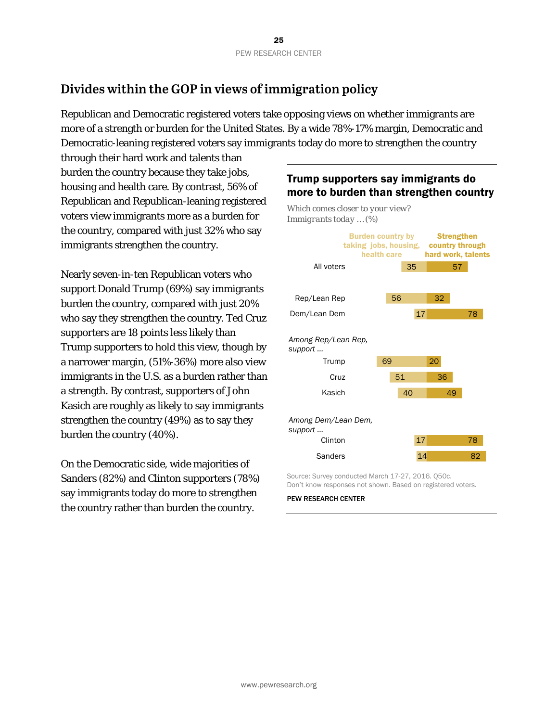# **Divides within the GOP in views of immigration policy**

Republican and Democratic registered voters take opposing views on whether immigrants are more of a strength or burden for the United States. By a wide 78%-17% margin, Democratic and Democratic-leaning registered voters say immigrants today do more to strengthen the country

through their hard work and talents than burden the country because they take jobs, housing and health care. By contrast, 56% of Republican and Republican-leaning registered voters view immigrants more as a burden for the country, compared with just 32% who say immigrants strengthen the country.

Nearly seven-in-ten Republican voters who support Donald Trump (69%) say immigrants burden the country, compared with just 20% who say they strengthen the country. Ted Cruz supporters are 18 points less likely than Trump supporters to hold this view, though by a narrower margin, (51%-36%) more also view immigrants in the U.S. as a burden rather than a strength. By contrast, supporters of John Kasich are roughly as likely to say immigrants strengthen the country (49%) as to say they burden the country (40%).

On the Democratic side, wide majorities of Sanders (82%) and Clinton supporters (78%) say immigrants today do more to strengthen the country rather than burden the country.

## Trump supporters say immigrants do more to burden than strengthen country



Source: Survey conducted March 17-27, 2016. Q50c. Don't know responses not shown. Based on registered voters.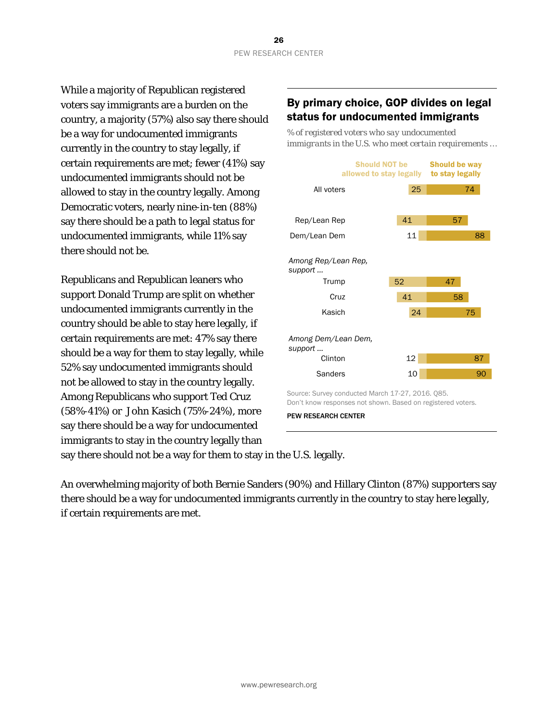While a majority of Republican registered voters say immigrants are a burden on the country, a majority (57%) also say there should be a way for undocumented immigrants currently in the country to stay legally, if certain requirements are met; fewer (41%) say undocumented immigrants should not be allowed to stay in the country legally. Among Democratic voters, nearly nine-in-ten (88%) say there should be a path to legal status for undocumented immigrants, while 11% say there should not be.

Republicans and Republican leaners who support Donald Trump are split on whether undocumented immigrants currently in the country should be able to stay here legally, if certain requirements are met: 47% say there should be a way for them to stay legally, while 52% say undocumented immigrants should not be allowed to stay in the country legally. Among Republicans who support Ted Cruz (58%-41%) or John Kasich (75%-24%), more say there should be a way for undocumented immigrants to stay in the country legally than

#### By primary choice, GOP divides on legal status for undocumented immigrants

*% of registered voters who say undocumented immigrants in the U.S. who meet certain requirements …* 



PEW RESEARCH CENTER

say there should not be a way for them to stay in the U.S. legally.

An overwhelming majority of both Bernie Sanders (90%) and Hillary Clinton (87%) supporters say there should be a way for undocumented immigrants currently in the country to stay here legally, if certain requirements are met.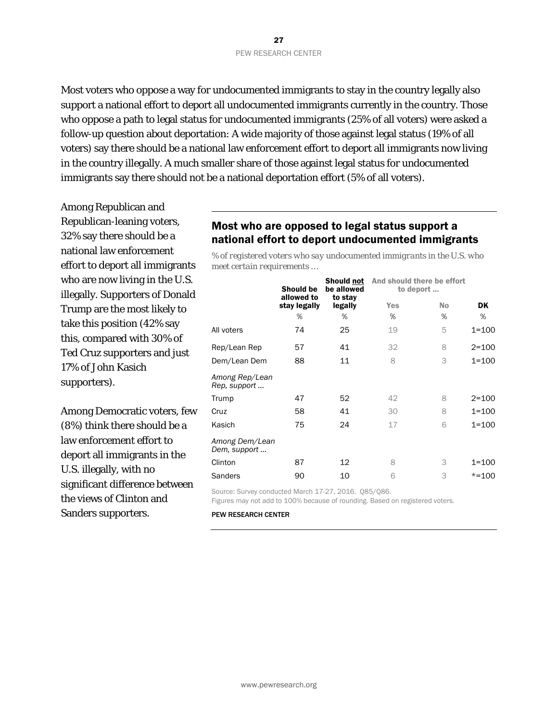Most voters who oppose a way for undocumented immigrants to stay in the country legally also support a national effort to deport all undocumented immigrants currently in the country. Those who oppose a path to legal status for undocumented immigrants (25% of all voters) were asked a follow-up question about deportation: A wide majority of those against legal status (19% of all voters) say there should be a national law enforcement effort to deport all immigrants now living in the country illegally. A much smaller share of those against legal status for undocumented immigrants say there should not be a national deportation effort (5% of all voters).

Among Republican and Republican-leaning voters, 32% say there should be a national law enforcement effort to deport all immigrants who are now living in the U.S. illegally. Supporters of Donald Trump are the most likely to take this position (42% say this, compared with 30% of Ted Cruz supporters and just 17% of John Kasich supporters).

Among Democratic voters, few (8%) think there should be a law enforcement effort to deport all immigrants in the U.S. illegally, with no significant difference between the views of Clinton and Sanders supporters.

#### Most who are opposed to legal status support a national effort to deport undocumented immigrants

*% of registered voters who say undocumented immigrants in the U.S. who meet certain requirements …*

|                                | <b>Should be</b><br>allowed to | <b>Should not</b><br>be allowed<br>to stay | And should there be effort<br>to deport |           |           |
|--------------------------------|--------------------------------|--------------------------------------------|-----------------------------------------|-----------|-----------|
|                                | stay legally                   | legally                                    | <b>Yes</b>                              | <b>No</b> | DK        |
|                                | %                              | %                                          | %                                       | %         | %         |
| All voters                     | 74                             | 25                                         | 19                                      | 5         | $1 = 100$ |
| Rep/Lean Rep                   | 57                             | 41                                         | 32                                      | 8         | $2 = 100$ |
| Dem/Lean Dem                   | 88                             | 11                                         | 8                                       | 3         | $1 = 100$ |
| Among Rep/Lean<br>Rep, support |                                |                                            |                                         |           |           |
| Trump                          | 47                             | 52                                         | 42                                      | 8         | $2 = 100$ |
| Cruz                           | 58                             | 41                                         | 30                                      | 8         | $1 = 100$ |
| Kasich                         | 75                             | 24                                         | 17                                      | 6         | $1 = 100$ |
| Among Dem/Lean<br>Dem, support |                                |                                            |                                         |           |           |
| Clinton                        | 87                             | 12                                         | 8                                       | 3         | $1 = 100$ |
| <b>Sanders</b>                 | 90                             | 10                                         | 6                                       | 3         | $* = 100$ |

Source: Survey conducted March 17-27, 2016. Q85/Q86.

Figures may not add to 100% because of rounding. Based on registered voters.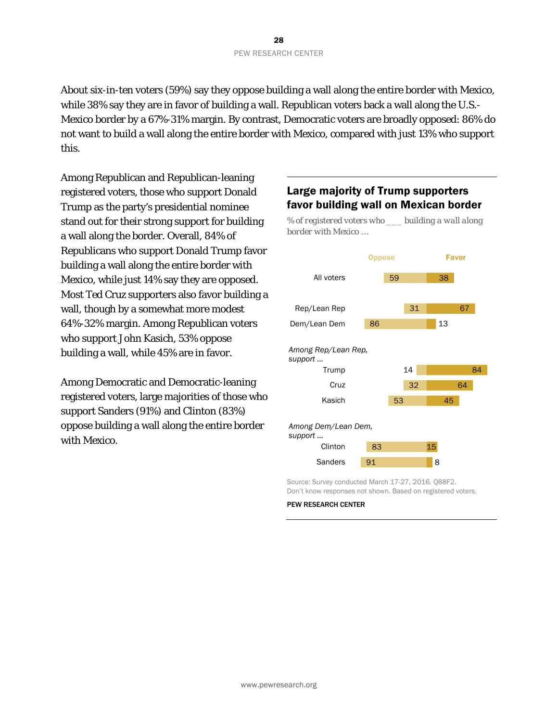About six-in-ten voters (59%) say they oppose building a wall along the entire border with Mexico, while 38% say they are in favor of building a wall. Republican voters back a wall along the U.S.- Mexico border by a 67%-31% margin. By contrast, Democratic voters are broadly opposed: 86% do not want to build a wall along the entire border with Mexico, compared with just 13% who support this.

Among Republican and Republican-leaning registered voters, those who support Donald Trump as the party's presidential nominee stand out for their strong support for building a wall along the border. Overall, 84% of Republicans who support Donald Trump favor building a wall along the entire border with Mexico, while just 14% say they are opposed. Most Ted Cruz supporters also favor building a wall, though by a somewhat more modest 64%-32% margin. Among Republican voters who support John Kasich, 53% oppose building a wall, while 45% are in favor.

Among Democratic and Democratic-leaning registered voters, large majorities of those who support Sanders (91%) and Clinton (83%) oppose building a wall along the entire border with Mexico.

### Large majority of Trump supporters favor building wall on Mexican border

*% of registered voters who \_\_\_ building a wall along border with Mexico …*



Source: Survey conducted March 17-27, 2016. Q88F2. Don't know responses not shown. Based on registered voters.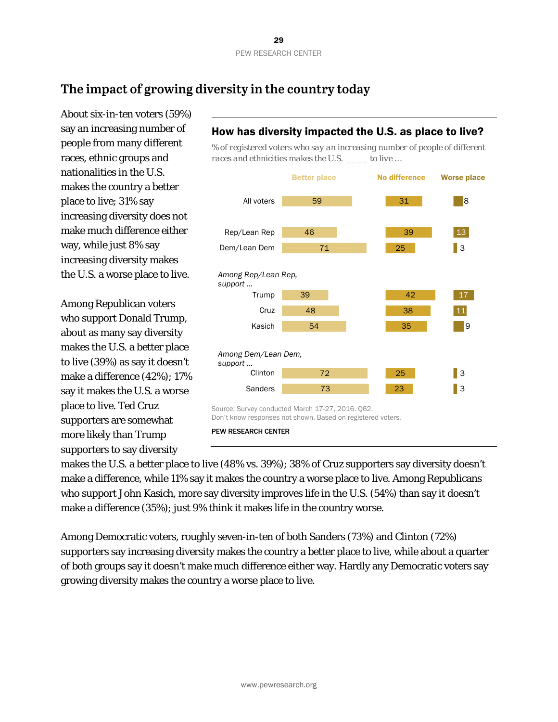# **The impact of growing diversity in the country today**

About six-in-ten voters (59%) say an increasing number of people from many different races, ethnic groups and nationalities in the U.S. makes the country a better place to live; 31% say increasing diversity does not make much difference either way, while just 8% say increasing diversity makes the U.S. a worse place to live.

Among Republican voters who support Donald Trump, about as many say diversity makes the U.S. a better place to live (39%) as say it doesn't make a difference (42%); 17% say it makes the U.S. a worse place to live. Ted Cruz supporters are somewhat more likely than Trump supporters to say diversity

#### How has diversity impacted the U.S. as place to live?

*% of registered voters who say an increasing number of people of different races and ethnicities makes the U.S. \_\_\_\_ to live …*



makes the U.S. a better place to live (48% vs. 39%); 38% of Cruz supporters say diversity doesn't make a difference, while 11% say it makes the country a worse place to live. Among Republicans who support John Kasich, more say diversity improves life in the U.S. (54%) than say it doesn't make a difference (35%); just 9% think it makes life in the country worse.

Among Democratic voters, roughly seven-in-ten of both Sanders (73%) and Clinton (72%) supporters say increasing diversity makes the country a better place to live, while about a quarter of both groups say it doesn't make much difference either way. Hardly any Democratic voters say growing diversity makes the country a worse place to live.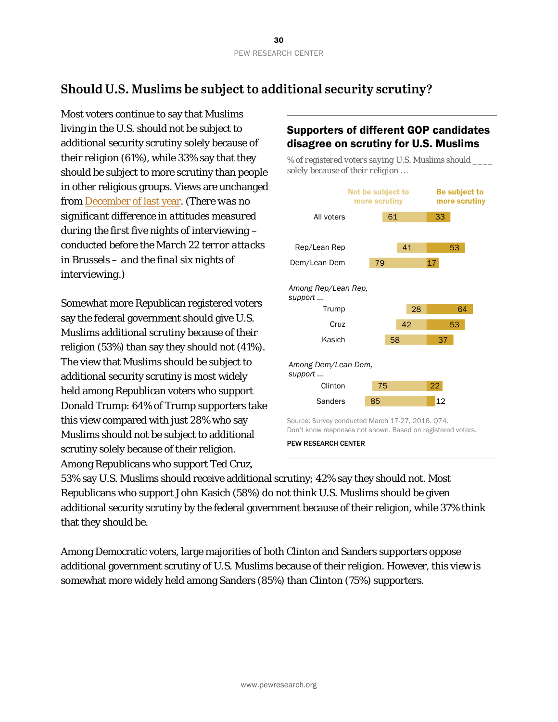# **Should U.S. Muslims be subject to additional security scrutiny?**

Most voters continue to say that Muslims living in the U.S. should not be subject to additional security scrutiny solely because of their religion (61%), while 33% say that they should be subject to more scrutiny than people in other religious groups. Views are unchanged from [December of last year.](http://www.people-press.org/2015/12/15/views-of-governments-handling-of-terrorism-fall-to-post-911-low/) *(There was no significant difference in attitudes measured during the first five nights of interviewing – conducted before the March 22 terror attacks in Brussels – and the final six nights of interviewing.)*

Somewhat more Republican registered voters say the federal government should give U.S. Muslims additional scrutiny because of their religion (53%) than say they should not (41%). The view that Muslims should be subject to additional security scrutiny is most widely held among Republican voters who support Donald Trump: 64% of Trump supporters take this view compared with just 28% who say Muslims should not be subject to additional scrutiny solely because of their religion. Among Republicans who support Ted Cruz,

#### Supporters of different GOP candidates disagree on scrutiny for U.S. Muslims

*% of registered voters saying U.S. Muslims should \_\_\_\_ solely because of their religion …*



53% say U.S. Muslims should receive additional scrutiny; 42% say they should not. Most Republicans who support John Kasich (58%) do not think U.S. Muslims should be given additional security scrutiny by the federal government because of their religion, while 37% think that they should be.

Among Democratic voters, large majorities of both Clinton and Sanders supporters oppose additional government scrutiny of U.S. Muslims because of their religion. However, this view is somewhat more widely held among Sanders (85%) than Clinton (75%) supporters.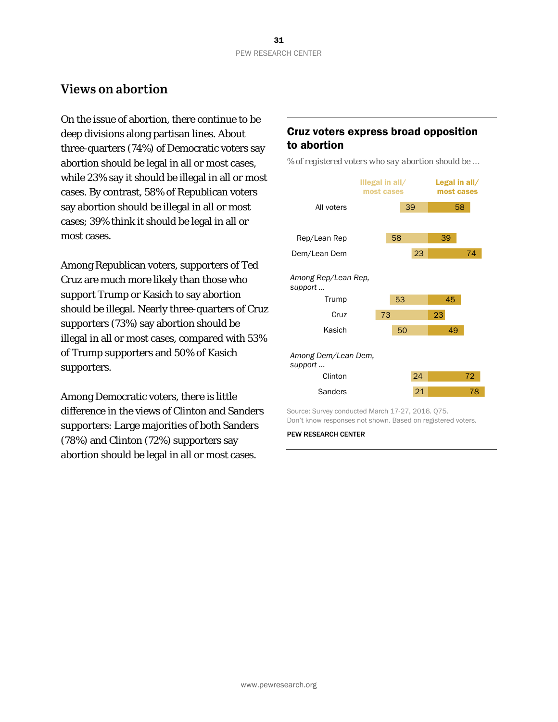## **Views on abortion**

On the issue of abortion, there continue to be deep divisions along partisan lines. About three-quarters (74%) of Democratic voters say abortion should be legal in all or most cases, while 23% say it should be illegal in all or most cases. By contrast, 58% of Republican voters say abortion should be illegal in all or most cases; 39% think it should be legal in all or most cases.

Among Republican voters, supporters of Ted Cruz are much more likely than those who support Trump or Kasich to say abortion should be illegal. Nearly three-quarters of Cruz supporters (73%) say abortion should be illegal in all or most cases, compared with 53% of Trump supporters and 50% of Kasich supporters.

Among Democratic voters, there is little difference in the views of Clinton and Sanders supporters: Large majorities of both Sanders (78%) and Clinton (72%) supporters say abortion should be legal in all or most cases.

#### Cruz voters express broad opposition to abortion

*% of registered voters who say abortion should be …*



Don't know responses not shown. Based on registered voters.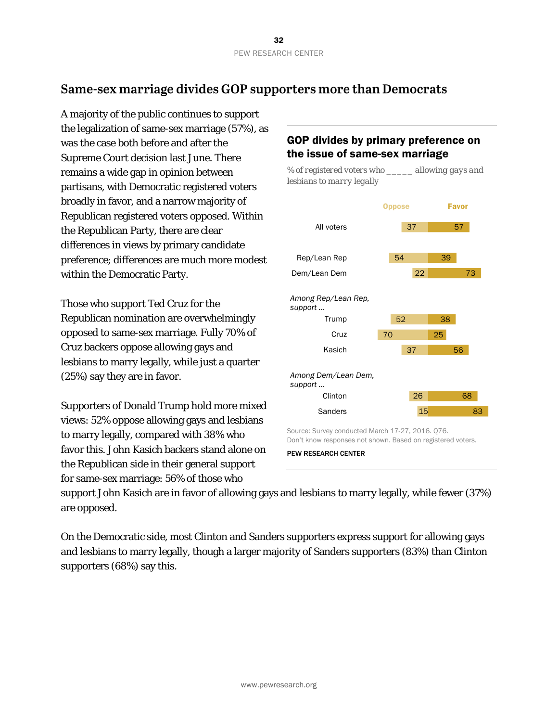# **Same-sex marriage divides GOP supporters more than Democrats**

A majority of the public continues to support the legalization of same-sex marriage (57%), as was the case both before and after the Supreme Court decision last June. There remains a wide gap in opinion between partisans, with Democratic registered voters broadly in favor, and a narrow majority of Republican registered voters opposed. Within the Republican Party, there are clear differences in views by primary candidate preference; differences are much more modest within the Democratic Party.

Those who support Ted Cruz for the Republican nomination are overwhelmingly opposed to same-sex marriage. Fully 70% of Cruz backers oppose allowing gays and lesbians to marry legally, while just a quarter (25%) say they are in favor.

Supporters of Donald Trump hold more mixed views: 52% oppose allowing gays and lesbians to marry legally, compared with 38% who favor this. John Kasich backers stand alone on the Republican side in their general support for same-sex marriage: 56% of those who

## GOP divides by primary preference on the issue of same-sex marriage



PEW RESEARCH CENTER

support John Kasich are in favor of allowing gays and lesbians to marry legally, while fewer (37%) are opposed.

On the Democratic side, most Clinton and Sanders supporters express support for allowing gays and lesbians to marry legally, though a larger majority of Sanders supporters (83%) than Clinton supporters (68%) say this.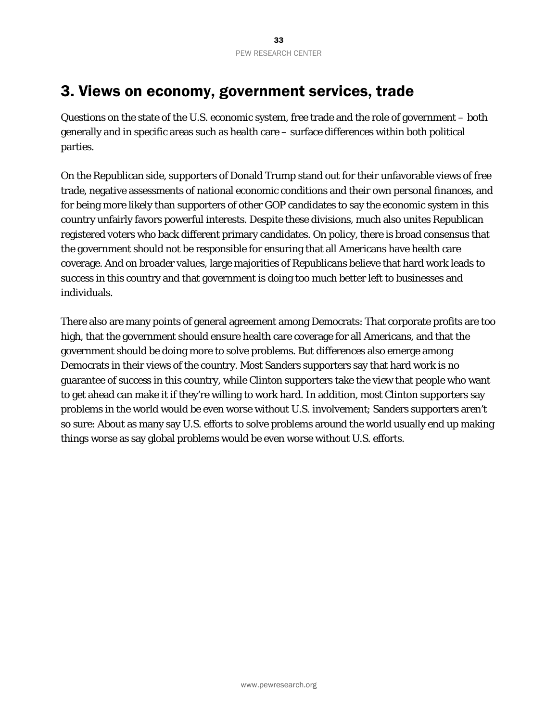# 3. Views on economy, government services, trade

Questions on the state of the U.S. economic system, free trade and the role of government – both generally and in specific areas such as health care – surface differences within both political parties.

On the Republican side, supporters of Donald Trump stand out for their unfavorable views of free trade, negative assessments of national economic conditions and their own personal finances, and for being more likely than supporters of other GOP candidates to say the economic system in this country unfairly favors powerful interests. Despite these divisions, much also unites Republican registered voters who back different primary candidates. On policy, there is broad consensus that the government should not be responsible for ensuring that all Americans have health care coverage. And on broader values, large majorities of Republicans believe that hard work leads to success in this country and that government is doing too much better left to businesses and individuals.

There also are many points of general agreement among Democrats: That corporate profits are too high, that the government should ensure health care coverage for all Americans, and that the government should be doing more to solve problems. But differences also emerge among Democrats in their views of the country. Most Sanders supporters say that hard work is no guarantee of success in this country, while Clinton supporters take the view that people who want to get ahead can make it if they're willing to work hard. In addition, most Clinton supporters say problems in the world would be even worse without U.S. involvement; Sanders supporters aren't so sure: About as many say U.S. efforts to solve problems around the world usually end up making things worse as say global problems would be even worse without U.S. efforts.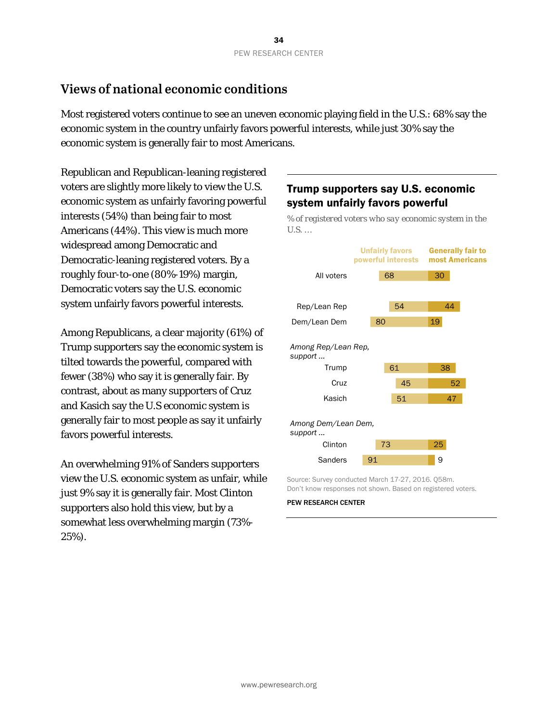# **Views of national economic conditions**

Most registered voters continue to see an uneven economic playing field in the U.S.: 68% say the economic system in the country unfairly favors powerful interests, while just 30% say the economic system is generally fair to most Americans.

Republican and Republican-leaning registered voters are slightly more likely to view the U.S. economic system as unfairly favoring powerful interests (54%) than being fair to most Americans (44%). This view is much more widespread among Democratic and Democratic-leaning registered voters. By a roughly four-to-one (80%-19%) margin, Democratic voters say the U.S. economic system unfairly favors powerful interests.

Among Republicans, a clear majority (61%) of Trump supporters say the economic system is tilted towards the powerful, compared with fewer (38%) who say it is generally fair. By contrast, about as many supporters of Cruz and Kasich say the U.S economic system is generally fair to most people as say it unfairly favors powerful interests.

An overwhelming 91% of Sanders supporters view the U.S. economic system as unfair, while just 9% say it is generally fair. Most Clinton supporters also hold this view, but by a somewhat less overwhelming margin (73%- 25%).

## Trump supporters say U.S. economic system unfairly favors powerful

*% of registered voters who say economic system in the U.S. …*



Source: Survey conducted March 17-27, 2016. Q58m. Don't know responses not shown. Based on registered voters.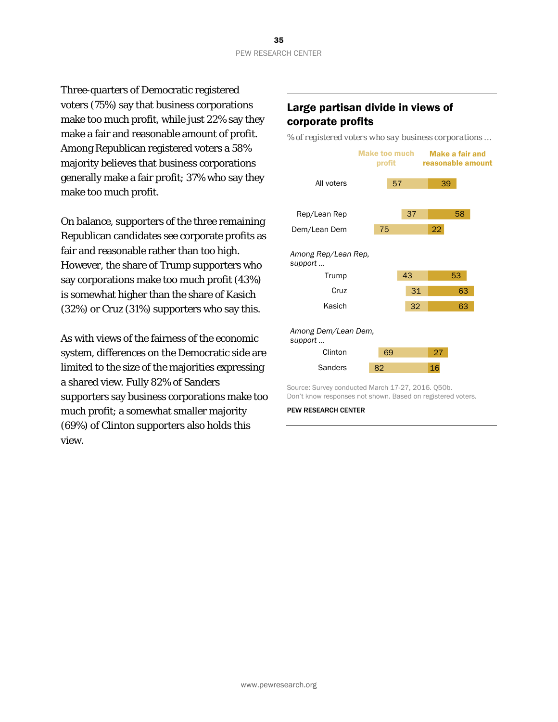Three-quarters of Democratic registered voters (75%) say that business corporations make too much profit, while just 22% say they make a fair and reasonable amount of profit. Among Republican registered voters a 58% majority believes that business corporations generally make a fair profit; 37% who say they make too much profit.

On balance, supporters of the three remaining Republican candidates see corporate profits as fair and reasonable rather than too high. However, the share of Trump supporters who say corporations make too much profit (43%) is somewhat higher than the share of Kasich (32%) or Cruz (31%) supporters who say this.

As with views of the fairness of the economic system, differences on the Democratic side are limited to the size of the majorities expressing a shared view. Fully 82% of Sanders supporters say business corporations make too much profit; a somewhat smaller majority (69%) of Clinton supporters also holds this view.

## Large partisan divide in views of corporate profits

*% of registered voters who say business corporations …*



Source: Survey conducted March 17-27, 2016. Q50b. Don't know responses not shown. Based on registered voters.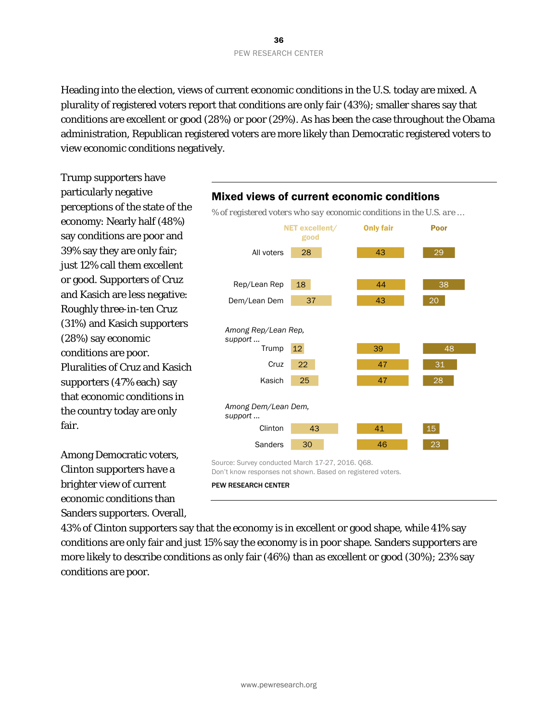Heading into the election, views of current economic conditions in the U.S. today are mixed. A plurality of registered voters report that conditions are only fair (43%); smaller shares say that conditions are excellent or good (28%) or poor (29%). As has been the case throughout the Obama administration, Republican registered voters are more likely than Democratic registered voters to view economic conditions negatively.

Trump supporters have particularly negative perceptions of the state of the economy: Nearly half (48%) say conditions are poor and 39% say they are only fair; just 12% call them excellent or good. Supporters of Cruz and Kasich are less negative: Roughly three-in-ten Cruz (31%) and Kasich supporters (28%) say economic conditions are poor. Pluralities of Cruz and Kasich supporters (47% each) say that economic conditions in the country today are only fair.

Among Democratic voters, Clinton supporters have a brighter view of current economic conditions than Sanders supporters. Overall,



43% of Clinton supporters say that the economy is in excellent or good shape, while 41% say conditions are only fair and just 15% say the economy is in poor shape. Sanders supporters are more likely to describe conditions as only fair (46%) than as excellent or good (30%); 23% say conditions are poor.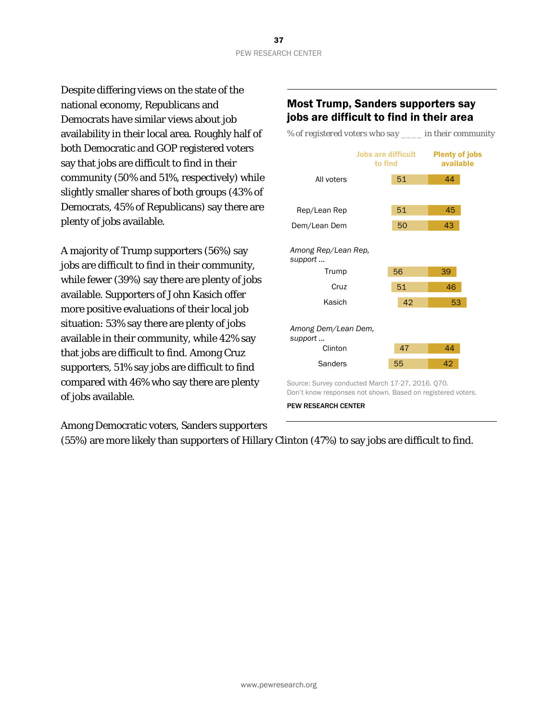Despite differing views on the state of the national economy, Republicans and Democrats have similar views about job availability in their local area. Roughly half of both Democratic and GOP registered voters say that jobs are difficult to find in their community (50% and 51%, respectively) while slightly smaller shares of both groups (43% of Democrats, 45% of Republicans) say there are plenty of jobs available.

A majority of Trump supporters (56%) say jobs are difficult to find in their community, while fewer (39%) say there are plenty of jobs available. Supporters of John Kasich offer more positive evaluations of their local job situation: 53% say there are plenty of jobs available in their community, while 42% say that jobs are difficult to find. Among Cruz supporters, 51% say jobs are difficult to find compared with 46% who say there are plenty of jobs available.

## Most Trump, Sanders supporters say jobs are difficult to find in their area

*% of registered voters who say \_\_\_\_ in their community*



Among Democratic voters, Sanders supporters

(55%) are more likely than supporters of Hillary Clinton (47%) to say jobs are difficult to find.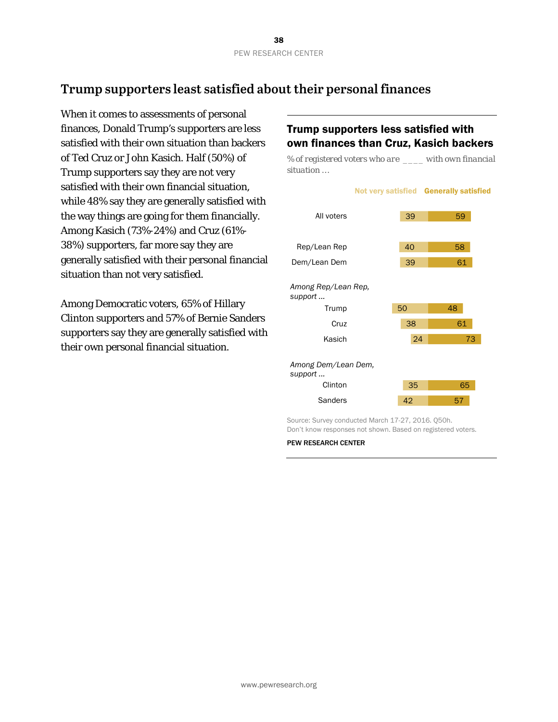## **Trump supporters least satisfied about their personal finances**

When it comes to assessments of personal finances, Donald Trump's supporters are less satisfied with their own situation than backers of Ted Cruz or John Kasich. Half (50%) of Trump supporters say they are not very satisfied with their own financial situation, while 48% say they are generally satisfied with the way things are going for them financially. Among Kasich (73%-24%) and Cruz (61%- 38%) supporters, far more say they are generally satisfied with their personal financial situation than not very satisfied.

Among Democratic voters, 65% of Hillary Clinton supporters and 57% of Bernie Sanders supporters say they are generally satisfied with their own personal financial situation.

## Trump supporters less satisfied with own finances than Cruz, Kasich backers

*% of registered voters who are \_\_\_\_ with own financial situation …*

|                                         |    | Not very satisfied Generally satisfied |
|-----------------------------------------|----|----------------------------------------|
| All voters                              | 39 | 59                                     |
|                                         |    |                                        |
| Rep/Lean Rep                            | 40 | 58                                     |
| Dem/Lean Dem                            | 39 | 61                                     |
| Among Rep/Lean Rep,<br>support<br>Trump | 50 | 48                                     |
| Cruz                                    | 38 | 61                                     |
| Kasich                                  | 24 | 73                                     |
| Among Dem/Lean Dem,<br>support          |    |                                        |
| Clinton                                 | 35 | 65                                     |
| Sanders                                 | 42 | 57                                     |

Source: Survey conducted March 17-27, 2016. Q50h. Don't know responses not shown. Based on registered voters.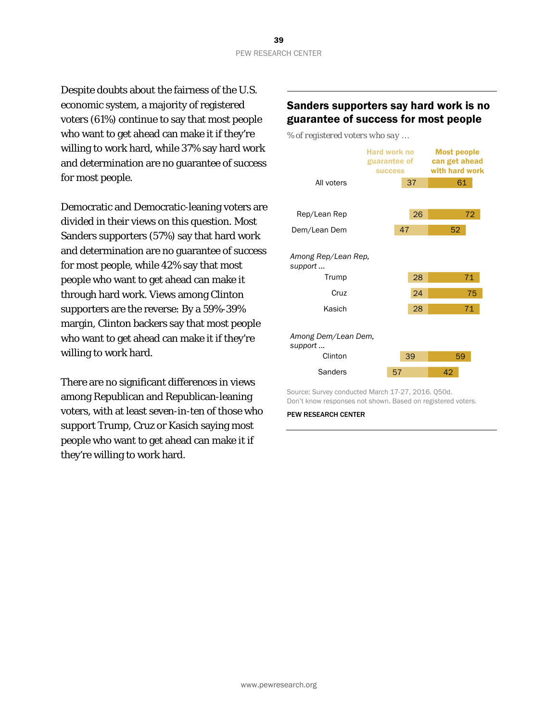Despite doubts about the fairness of the U.S. economic system, a majority of registered voters (61%) continue to say that most people who want to get ahead can make it if they're willing to work hard, while 37% say hard work and determination are no guarantee of success for most people.

Democratic and Democratic-leaning voters are divided in their views on this question. Most Sanders supporters (57%) say that hard work and determination are no guarantee of success for most people, while 42% say that most people who want to get ahead can make it through hard work. Views among Clinton supporters are the reverse: By a 59%-39% margin, Clinton backers say that most people who want to get ahead can make it if they're willing to work hard.

There are no significant differences in views among Republican and Republican-leaning voters, with at least seven-in-ten of those who support Trump, Cruz or Kasich saying most people who want to get ahead can make it if they're willing to work hard.

## Sanders supporters say hard work is no guarantee of success for most people

*% of registered voters who say …*



Source: Survey conducted March 17-27, 2016. Q50d. Don't know responses not shown. Based on registered voters.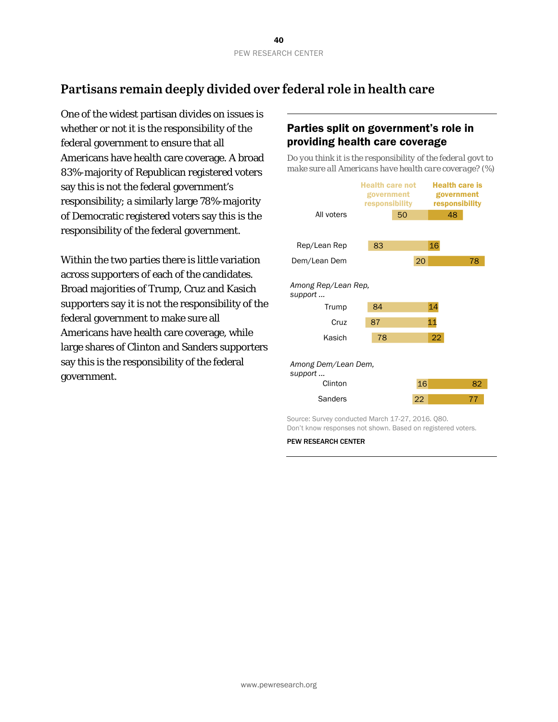## **Partisans remain deeply divided over federal role in health care**

One of the widest partisan divides on issues is whether or not it is the responsibility of the federal government to ensure that all Americans have health care coverage. A broad 83%-majority of Republican registered voters say this is not the federal government's responsibility; a similarly large 78%-majority of Democratic registered voters say this is the responsibility of the federal government.

Within the two parties there is little variation across supporters of each of the candidates. Broad majorities of Trump, Cruz and Kasich supporters say it is not the responsibility of the federal government to make sure all Americans have health care coverage, while large shares of Clinton and Sanders supporters say this is the responsibility of the federal government.

## Parties split on government's role in providing health care coverage

*Do you think it is the responsibility of the federal govt to make sure all Americans have health care coverage? (%)*



Source: Survey conducted March 17-27, 2016. Q80. Don't know responses not shown. Based on registered voters.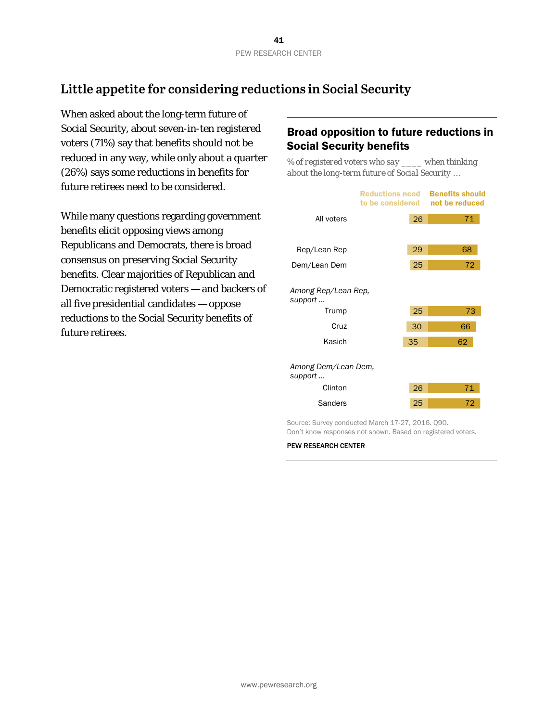## **Little appetite for considering reductions in Social Security**

When asked about the long-term future of Social Security, about seven-in-ten registered voters (71%) say that benefits should not be reduced in any way, while only about a quarter (26%) says some reductions in benefits for future retirees need to be considered.

While many questions regarding government benefits elicit opposing views among Republicans and Democrats, there is broad consensus on preserving Social Security benefits. Clear majorities of Republican and Democratic registered voters — and backers of all five presidential candidates — oppose reductions to the Social Security benefits of future retirees.

## Broad opposition to future reductions in Social Security benefits

*% of registered voters who say \_\_\_\_ when thinking about the long-term future of Social Security …*

|                                         | <b>Reductions need</b><br>to be considered | <b>Benefits should</b><br>not be reduced |
|-----------------------------------------|--------------------------------------------|------------------------------------------|
| All voters                              | 26                                         | 71                                       |
|                                         |                                            |                                          |
| Rep/Lean Rep                            | 29                                         | 68                                       |
| Dem/Lean Dem                            | 25                                         | 72                                       |
| Among Rep/Lean Rep,<br>support<br>Trump | 25                                         | 73                                       |
| Cruz                                    | 30                                         | 66                                       |
| Kasich                                  | 35                                         | 62                                       |
| Among Dem/Lean Dem,<br>support          |                                            |                                          |
| Clinton                                 | 26                                         | 71                                       |
| Sanders                                 | 25                                         | 72                                       |

Source: Survey conducted March 17-27, 2016. Q90. Don't know responses not shown. Based on registered voters.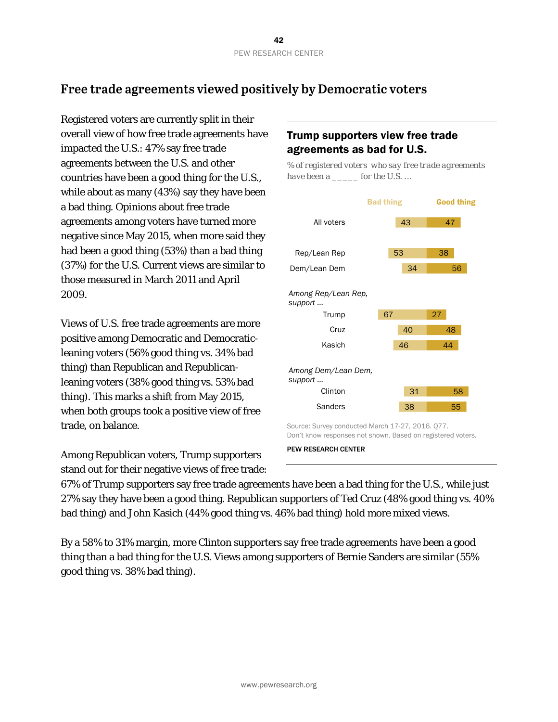## **Free trade agreements viewed positively by Democratic voters**

Registered voters are currently split in their overall view of how free trade agreements have impacted the U.S.: 47% say free trade agreements between the U.S. and other countries have been a good thing for the U.S., while about as many (43%) say they have been a bad thing. Opinions about free trade agreements among voters have turned more negative since May 2015, when more said they had been a good thing (53%) than a bad thing (37%) for the U.S. Current views are similar to those measured in March 2011 and April 2009.

Views of U.S. free trade agreements are more positive among Democratic and Democraticleaning voters (56% good thing vs. 34% bad thing) than Republican and Republicanleaning voters (38% good thing vs. 53% bad thing). This marks a shift from May 2015, when both groups took a positive view of free trade, on balance.

Among Republican voters, Trump supporters stand out for their negative views of free trade:

## Trump supporters view free trade agreements as bad for U.S.

*% of registered voters who say free trade agreements have been a \_\_\_\_\_ for the U.S. …*



PEW RESEARCH CENTER

67% of Trump supporters say free trade agreements have been a bad thing for the U.S., while just 27% say they have been a good thing. Republican supporters of Ted Cruz (48% good thing vs. 40% bad thing) and John Kasich (44% good thing vs. 46% bad thing) hold more mixed views.

By a 58% to 31% margin, more Clinton supporters say free trade agreements have been a good thing than a bad thing for the U.S. Views among supporters of Bernie Sanders are similar (55% good thing vs. 38% bad thing).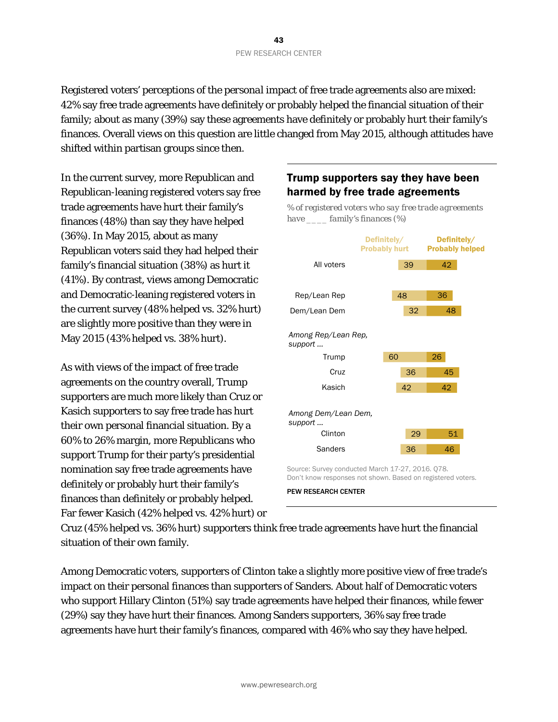Registered voters' perceptions of the *personal* impact of free trade agreements also are mixed: 42% say free trade agreements have definitely or probably helped the financial situation of their family; about as many (39%) say these agreements have definitely or probably hurt their family's finances. Overall views on this question are little changed from May 2015, although attitudes have shifted within partisan groups since then.

In the current survey, more Republican and Republican-leaning registered voters say free trade agreements have hurt their family's finances (48%) than say they have helped (36%). In May 2015, about as many Republican voters said they had helped their family's financial situation (38%) as hurt it (41%). By contrast, views among Democratic and Democratic-leaning registered voters in the current survey (48% helped vs. 32% hurt) are slightly more positive than they were in May 2015 (43% helped vs. 38% hurt).

As with views of the impact of free trade agreements on the country overall, Trump supporters are much more likely than Cruz or Kasich supporters to say free trade has hurt their own personal financial situation. By a 60% to 26% margin, more Republicans who support Trump for their party's presidential nomination say free trade agreements have definitely or probably hurt their family's finances than definitely or probably helped. Far fewer Kasich (42% helped vs. 42% hurt) or

## Trump supporters say they have been harmed by free trade agreements

*% of registered voters who say free trade agreements* 

*have \_\_\_\_ family's finances (%)*



Don't know responses not shown. Based on registered voters. PEW RESEARCH CENTER

Cruz (45% helped vs. 36% hurt) supporters think free trade agreements have hurt the financial situation of their own family.

Among Democratic voters, supporters of Clinton take a slightly more positive view of free trade's impact on their personal finances than supporters of Sanders. About half of Democratic voters who support Hillary Clinton (51%) say trade agreements have helped their finances, while fewer (29%) say they have hurt their finances. Among Sanders supporters, 36% say free trade agreements have hurt their family's finances, compared with 46% who say they have helped.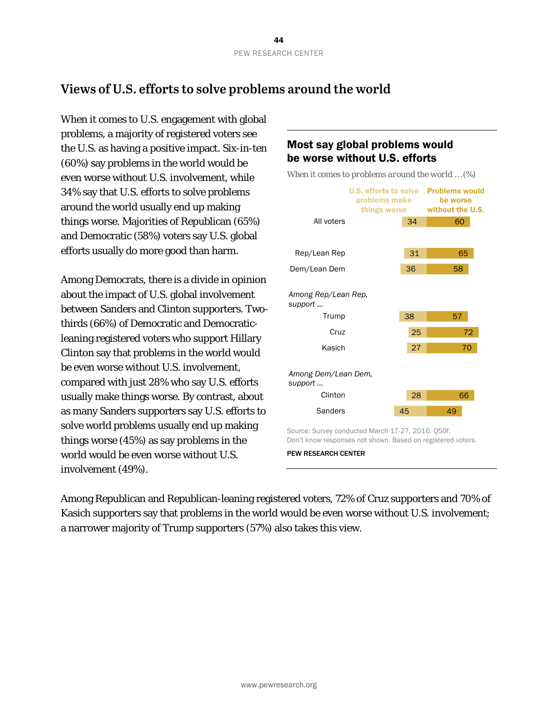## **Views of U.S. efforts to solve problems around the world**

When it comes to U.S. engagement with global problems, a majority of registered voters see the U.S. as having a positive impact. Six-in-ten (60%) say problems in the world would be even worse without U.S. involvement, while 34% say that U.S. efforts to solve problems around the world usually end up making things worse. Majorities of Republican (65%) and Democratic (58%) voters say U.S. global efforts usually do more good than harm.

Among Democrats, there is a divide in opinion about the impact of U.S. global involvement between Sanders and Clinton supporters. Twothirds (66%) of Democratic and Democraticleaning registered voters who support Hillary Clinton say that problems in the world would be even worse without U.S. involvement, compared with just 28% who say U.S. efforts usually make things worse. By contrast, about as many Sanders supporters say U.S. efforts to solve world problems usually end up making things worse (45%) as say problems in the world would be even worse without U.S. involvement (49%).

## Most say global problems would be worse without U.S. efforts

*When it comes to problems around the world … (%)*



Don't know responses not shown. Based on registered voters.

PEW RESEARCH CENTER

Among Republican and Republican-leaning registered voters, 72% of Cruz supporters and 70% of Kasich supporters say that problems in the world would be even worse without U.S. involvement; a narrower majority of Trump supporters (57%) also takes this view.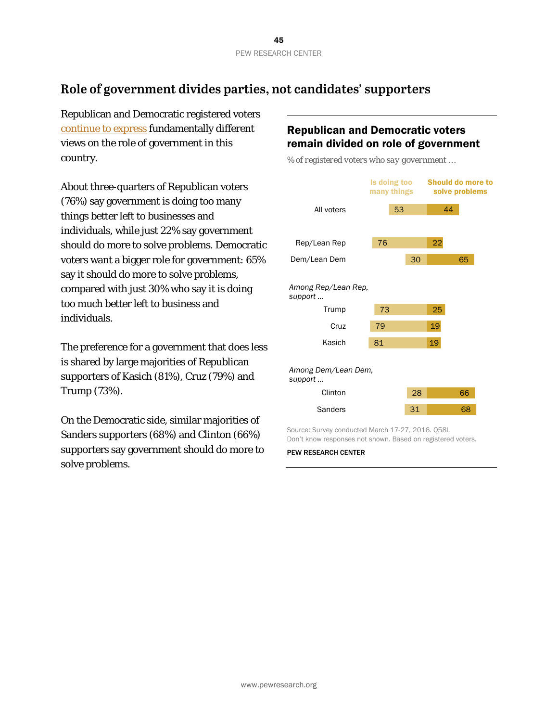## **Role of government divides parties, not candidates' supporters**

Republican and Democratic registered voters [continue to express](http://www.people-press.org/2015/11/23/2-general-opinions-about-the-federal-government/) fundamentally different views on the role of government in this country.

About three-quarters of Republican voters (76%) say government is doing too many things better left to businesses and individuals, while just 22% say government should do more to solve problems. Democratic voters want a bigger role for government: 65% say it should do more to solve problems, compared with just 30% who say it is doing too much better left to business and individuals.

The preference for a government that does less is shared by large majorities of Republican supporters of Kasich (81%), Cruz (79%) and Trump (73%).

On the Democratic side, similar majorities of Sanders supporters (68%) and Clinton (66%) supporters say government should do more to solve problems.

## Republican and Democratic voters remain divided on role of government

*% of registered voters who say government …*



Source: Survey conducted March 17-27, 2016. Q58l. Don't know responses not shown. Based on registered voters.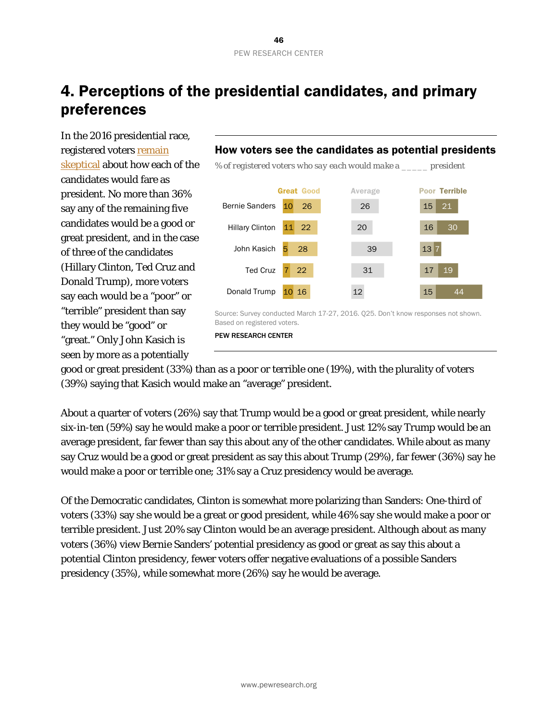# 4. Perceptions of the presidential candidates, and primary preferences

In the 2016 presidential race, registered voters [remain](http://www.people-press.org/2016/01/20/voters-skeptical-that-2016-candidates-would-make-good-presidents/)  [skeptical](http://www.people-press.org/2016/01/20/voters-skeptical-that-2016-candidates-would-make-good-presidents/) about how each of the candidates would fare as president. No more than 36% say any of the remaining five candidates would be a good or great president, and in the case of three of the candidates (Hillary Clinton, Ted Cruz and Donald Trump), more voters say each would be a "poor" or "terrible" president than say they would be "good" or "great." Only John Kasich is seen by more as a potentially

### How voters see the candidates as potential presidents

*% of registered voters who say each would make a \_\_\_\_\_ president*



Source: Survey conducted March 17-27, 2016. Q25. Don't know responses not shown. Based on registered voters.

PEW RESEARCH CENTER

good or great president (33%) than as a poor or terrible one (19%), with the plurality of voters (39%) saying that Kasich would make an "average" president.

About a quarter of voters (26%) say that Trump would be a good or great president, while nearly six-in-ten (59%) say he would make a poor or terrible president. Just 12% say Trump would be an average president, far fewer than say this about any of the other candidates. While about as many say Cruz would be a good or great president as say this about Trump (29%), far fewer (36%) say he would make a poor or terrible one; 31% say a Cruz presidency would be average.

Of the Democratic candidates, Clinton is somewhat more polarizing than Sanders: One-third of voters (33%) say she would be a great or good president, while 46% say she would make a poor or terrible president. Just 20% say Clinton would be an average president. Although about as many voters (36%) view Bernie Sanders' potential presidency as good or great as say this about a potential Clinton presidency, fewer voters offer negative evaluations of a possible Sanders presidency (35%), while somewhat more (26%) say he would be average.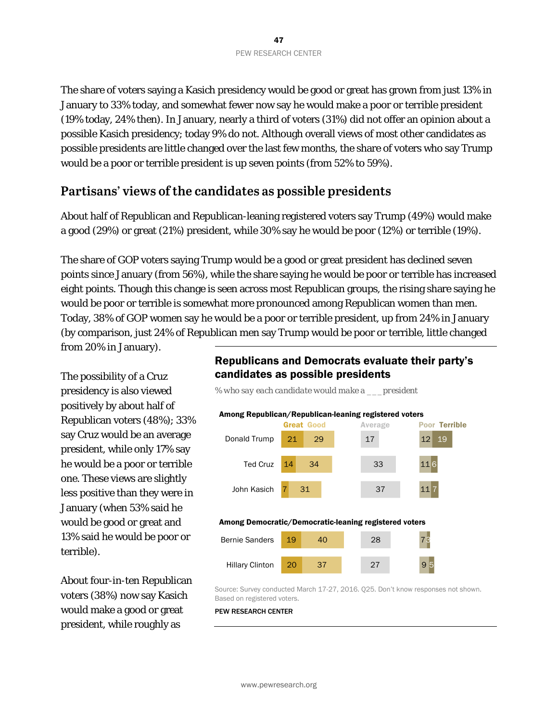The share of voters saying a Kasich presidency would be good or great has grown from just 13% in January to 33% today, and somewhat fewer now say he would make a poor or terrible president (19% today, 24% then). In January, nearly a third of voters (31%) did not offer an opinion about a possible Kasich presidency; today 9% do not. Although overall views of most other candidates as possible presidents are little changed over the last few months, the share of voters who say Trump would be a poor or terrible president is up seven points (from 52% to 59%).

## **Partisans' views of the candidates as possible presidents**

About half of Republican and Republican-leaning registered voters say Trump (49%) would make a good (29%) or great (21%) president, while 30% say he would be poor (12%) or terrible (19%).

The share of GOP voters saying Trump would be a good or great president has declined seven points since January (from 56%), while the share saying he would be poor or terrible has increased eight points. Though this change is seen across most Republican groups, the rising share saying he would be poor or terrible is somewhat more pronounced among Republican women than men. Today, 38% of GOP women say he would be a poor or terrible president, up from 24% in January (by comparison, just 24% of Republican men say Trump would be poor or terrible, little changed from 20% in January).

The possibility of a Cruz presidency is also viewed positively by about half of Republican voters (48%); 33% say Cruz would be an average president, while only 17% say he would be a poor or terrible one. These views are slightly less positive than they were in January (when 53% said he would be good or great and 13% said he would be poor or terrible).

About four-in-ten Republican voters (38%) now say Kasich would make a good or great president, while roughly as

### Republicans and Democrats evaluate their party's candidates as possible presidents



Source: Survey conducted March 17-27, 2016. Q25. Don't know responses not shown. Based on registered voters.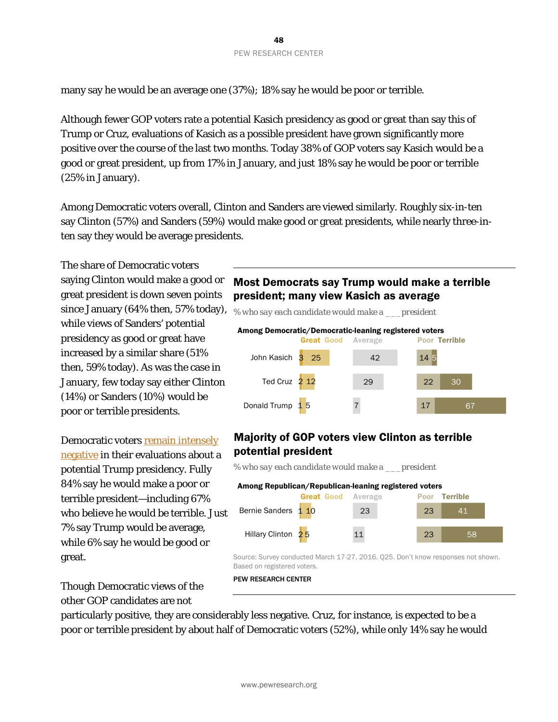many say he would be an average one (37%); 18% say he would be poor or terrible.

Although fewer GOP voters rate a potential Kasich presidency as good or great than say this of Trump or Cruz, evaluations of Kasich as a possible president have grown significantly more positive over the course of the last two months. Today 38% of GOP voters say Kasich would be a good or great president, up from 17% in January, and just 18% say he would be poor or terrible (25% in January).

Among Democratic voters overall, Clinton and Sanders are viewed similarly. Roughly six-in-ten say Clinton (57%) and Sanders (59%) would make good or great presidents, while nearly three-inten say they would be average presidents.

The share of Democratic voters saying Clinton would make a good or great president is down seven points since January (64% then, 57% today), while views of Sanders' potential presidency as good or great have increased by a similar share (51% then, 59% today). As was the case in January, few today say either Clinton (14%) or Sanders (10%) would be poor or terrible presidents.

Democratic voters [remain intensely](http://www.people-press.org/2016/01/20/voters-skeptical-that-2016-candidates-would-make-good-presidents/#2016-candidates-the-view-from-the-other-side)  [negative](http://www.people-press.org/2016/01/20/voters-skeptical-that-2016-candidates-would-make-good-presidents/#2016-candidates-the-view-from-the-other-side) in their evaluations about a potential Trump presidency. Fully 84% say he would make a poor or terrible president—including 67% who believe he would be terrible. Just 7% say Trump would be average, while 6% say he would be good or great.

Though Democratic views of the other GOP candidates are not

## Most Democrats say Trump would make a terrible president; many view Kasich as average

John Kasich 3 Ted Cruz 2 12 Donald Trump 1 5 25 42 29 7 14 5 22 17 30 67 Great Good Average Poor Terrible Among Democratic/Democratic-leaning registered voters *% who say each candidate would make a \_\_\_president*

## Majority of GOP voters view Clinton as terrible potential president

*% who say each candidate would make a \_\_\_president*

| Among Republican/Republican-leaning registered voters |                           |    |  |       |                      |  |
|-------------------------------------------------------|---------------------------|----|--|-------|----------------------|--|
|                                                       | <b>Great Good</b> Average |    |  |       | <b>Poor Terrible</b> |  |
| Bernie Sanders 1 10                                   |                           | 23 |  | $-23$ | 41                   |  |
| Hillary Clinton <sub>25</sub>                         |                           | 11 |  | 23    | 58                   |  |

Source: Survey conducted March 17-27, 2016. Q25. Don't know responses not shown. Based on registered voters.

PEW RESEARCH CENTER

particularly positive, they are considerably less negative. Cruz, for instance, is expected to be a poor or terrible president by about half of Democratic voters (52%), while only 14% say he would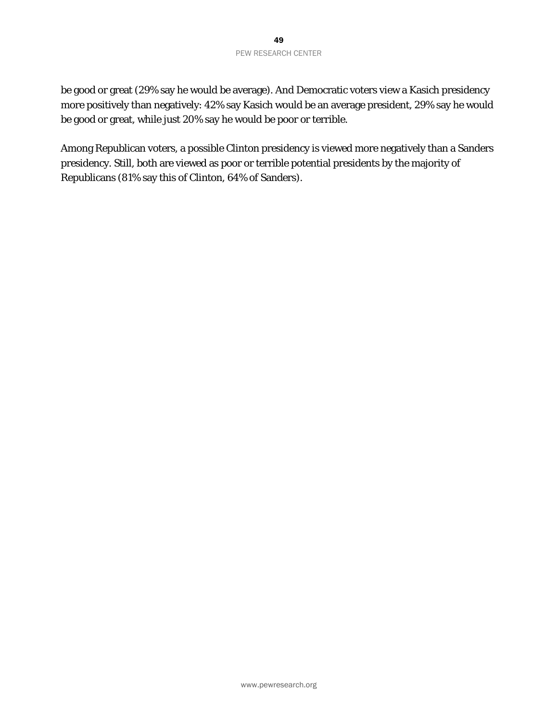be good or great (29% say he would be average). And Democratic voters view a Kasich presidency more positively than negatively: 42% say Kasich would be an average president, 29% say he would be good or great, while just 20% say he would be poor or terrible.

Among Republican voters, a possible Clinton presidency is viewed more negatively than a Sanders presidency. Still, both are viewed as poor or terrible potential presidents by the majority of Republicans (81% say this of Clinton, 64% of Sanders).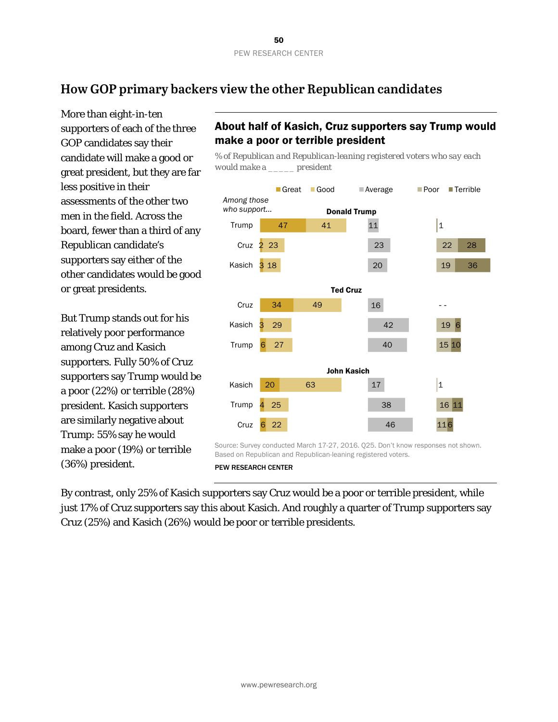## **How GOP primary backers view the other Republican candidates**

More than eight-in-ten supporters of each of the three GOP candidates say their candidate will make a good or great president, but they are far less positive in their assessments of the other two men in the field. Across the board, fewer than a third of any Republican candidate's supporters say either of the other candidates would be good or great presidents.

But Trump stands out for his relatively poor performance among Cruz and Kasich supporters. Fully 50% of Cruz supporters say Trump would be a poor (22%) or terrible (28%) president. Kasich supporters are similarly negative about Trump: 55% say he would make a poor (19%) or terrible (36%) president.

## About half of Kasich, Cruz supporters say Trump would make a poor or terrible president

*% of Republican and Republican-leaning registered voters who say each would make a \_\_\_\_\_ president*



Based on Republican and Republican-leaning registered voters.

PEW RESEARCH CENTER

By contrast, only 25% of Kasich supporters say Cruz would be a poor or terrible president, while just 17% of Cruz supporters say this about Kasich. And roughly a quarter of Trump supporters say Cruz (25%) and Kasich (26%) would be poor or terrible presidents.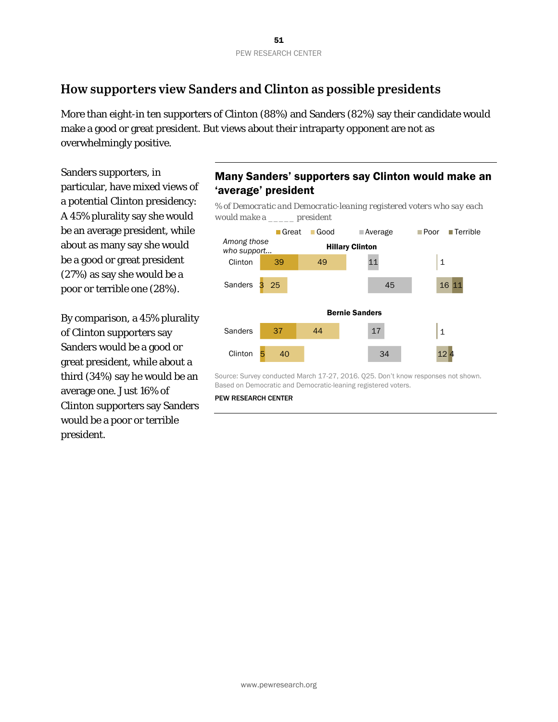## **How supporters view Sanders and Clinton as possible presidents**

More than eight-in ten supporters of Clinton (88%) and Sanders (82%) say their candidate would make a good or great president. But views about their intraparty opponent are not as overwhelmingly positive.

Sanders supporters, in particular, have mixed views of a potential Clinton presidency: A 45% plurality say she would be an average president, while about as many say she would be a good or great president (27%) as say she would be a poor or terrible one (28%).

By comparison, a 45% plurality of Clinton supporters say Sanders would be a good or great president, while about a third (34%) say he would be an average one. Just 16% of Clinton supporters say Sanders would be a poor or terrible president.

### Many Sanders' supporters say Clinton would make an 'average' president

*% of Democratic and Democratic-leaning registered voters who say each would make a \_\_\_\_\_ president*



Source: Survey conducted March 17-27, 2016. Q25. Don't know responses not shown. Based on Democratic and Democratic-leaning registered voters.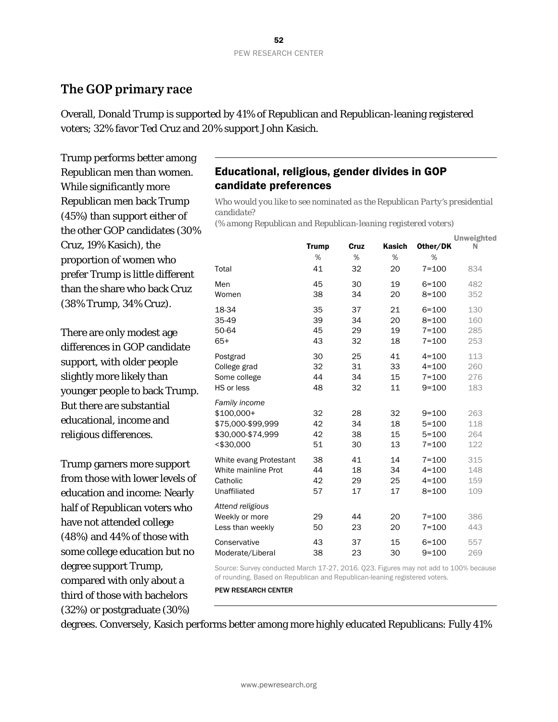## **The GOP primary race**

Overall, Donald Trump is supported by 41% of Republican and Republican-leaning registered voters; 32% favor Ted Cruz and 20% support John Kasich.

Trump performs better among Republican men than women. While significantly more Republican men back Trump (45%) than support either of the other GOP candidates (30% Cruz, 19% Kasich), the proportion of women who prefer Trump is little different than the share who back Cruz (38% Trump, 34% Cruz).

There are only modest age differences in GOP candidate support, with older people slightly more likely than younger people to back Trump. But there are substantial educational, income and religious differences.

Trump garners more support from those with lower levels of education and income: Nearly half of Republican voters who have not attended college (48%) and 44% of those with some college education but no degree support Trump, compared with only about a third of those with bachelors (32%) or postgraduate (30%)

### Educational, religious, gender divides in GOP candidate preferences

*Who would you like to see nominated as the Republican Party's presidential candidate?* 

*(% among Republican and Republican-leaning registered voters)* 

|                        | <b>Trump</b> | Cruz | <b>Kasich</b> | Other/DK  | <b>Unweighted</b><br>N |
|------------------------|--------------|------|---------------|-----------|------------------------|
|                        | %            | %    | %             | %         |                        |
| Total                  | 41           | 32   | 20            | $7 = 100$ | 834                    |
| Men                    | 45           | 30   | 19            | $6 = 100$ | 482                    |
| Women                  | 38           | 34   | 20            | $8 = 100$ | 352                    |
| 18-34                  | 35           | 37   | 21            | $6 = 100$ | 130                    |
| 35-49                  | 39           | 34   | 20            | $8 = 100$ | 160                    |
| 50-64                  | 45           | 29   | 19            | $7 = 100$ | 285                    |
| $65+$                  | 43           | 32   | 18            | $7 = 100$ | 253                    |
| Postgrad               | 30           | 25   | 41            | $4 = 100$ | 113                    |
| College grad           | 32           | 31   | 33            | $4 = 100$ | 260                    |
| Some college           | 44           | 34   | 15            | $7 = 100$ | 276                    |
| HS or less             | 48           | 32   | 11            | $9 = 100$ | 183                    |
| Family income          |              |      |               |           |                        |
| \$100,000+             | 32           | 28   | 32            | $9 = 100$ | 263                    |
| \$75,000-\$99,999      | 42           | 34   | 18            | $5 = 100$ | 118                    |
| \$30,000-\$74,999      | 42           | 38   | 15            | $5 = 100$ | 264                    |
| <\$30,000              | 51           | 30   | 13            | $7 = 100$ | 122                    |
| White evang Protestant | 38           | 41   | 14            | $7 = 100$ | 315                    |
| White mainline Prot    | 44           | 18   | 34            | $4 = 100$ | 148                    |
| Catholic               | 42           | 29   | 25            | $4 = 100$ | 159                    |
| Unaffiliated           | 57           | 17   | 17            | $8 = 100$ | 109                    |
| Attend religious       |              |      |               |           |                        |
| Weekly or more         | 29           | 44   | 20            | $7 = 100$ | 386                    |
| Less than weekly       | 50           | 23   | 20            | $7 = 100$ | 443                    |
| Conservative           | 43           | 37   | 15            | $6 = 100$ | 557                    |
| Moderate/Liberal       | 38           | 23   | 30            | $9 = 100$ | 269                    |

Source: Survey conducted March 17-27, 2016. Q23. Figures may not add to 100% because of rounding. Based on Republican and Republican-leaning registered voters.

PEW RESEARCH CENTER

degrees. Conversely, Kasich performs better among more highly educated Republicans: Fully 41%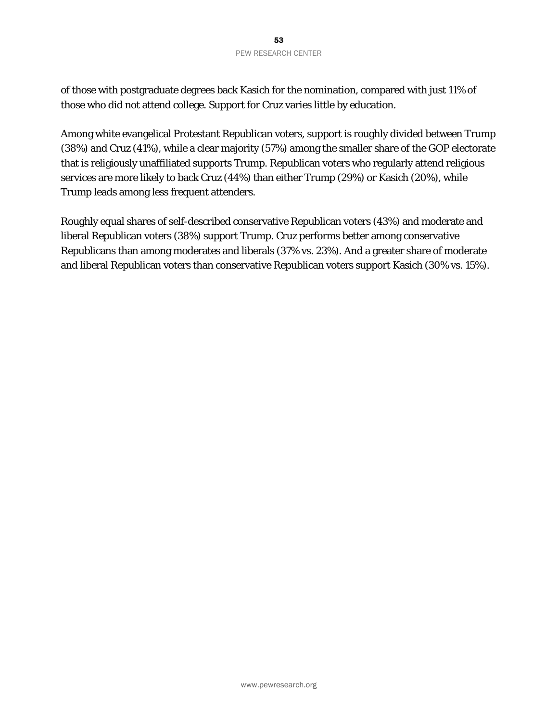of those with postgraduate degrees back Kasich for the nomination, compared with just 11% of those who did not attend college. Support for Cruz varies little by education.

Among white evangelical Protestant Republican voters, support is roughly divided between Trump (38%) and Cruz (41%), while a clear majority (57%) among the smaller share of the GOP electorate that is religiously unaffiliated supports Trump. Republican voters who regularly attend religious services are more likely to back Cruz (44%) than either Trump (29%) or Kasich (20%), while Trump leads among less frequent attenders.

Roughly equal shares of self-described conservative Republican voters (43%) and moderate and liberal Republican voters (38%) support Trump. Cruz performs better among conservative Republicans than among moderates and liberals (37% vs. 23%). And a greater share of moderate and liberal Republican voters than conservative Republican voters support Kasich (30% vs. 15%).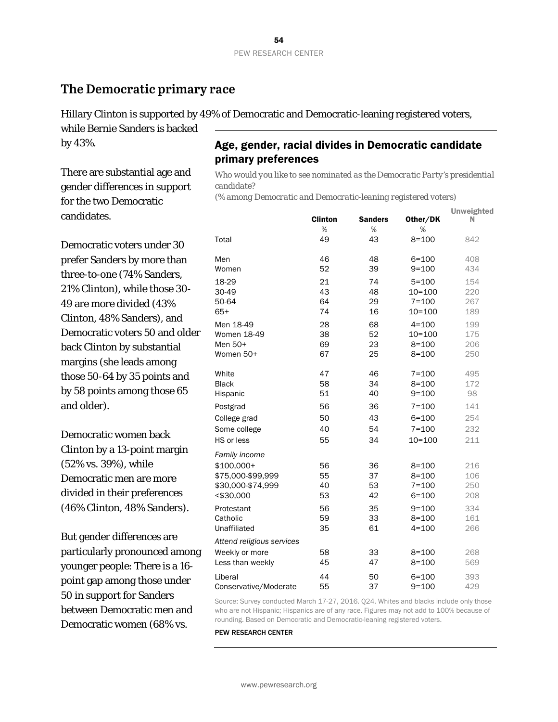## **The Democratic primary race**

Hillary Clinton is supported by 49% of Democratic and Democratic-leaning registered voters,

while Bernie Sanders is backed by 43%.

There are substantial age and gender differences in support for the two Democratic candidates.

Democratic voters under 30 prefer Sanders by more than three-to-one (74% Sanders, 21% Clinton), while those 30- 49 are more divided (43% Clinton, 48% Sanders), and Democratic voters 50 and older back Clinton by substantial margins (she leads among those 50-64 by 35 points and by 58 points among those 65 and older).

Democratic women back Clinton by a 13-point margin (52% vs. 39%), while Democratic men are more divided in their preferences (46% Clinton, 48% Sanders).

But gender differences are particularly pronounced among younger people: There is a 16 point gap among those under 50 in support for Sanders between Democratic men and Democratic women (68% vs.

## Age, gender, racial divides in Democratic candidate primary preferences

*Who would you like to see nominated as the Democratic Party's presidential candidate?* 

*(% among Democratic and Democratic-leaning registered voters)*

|                           | <b>Clinton</b> | <b>Sanders</b> | Other/DK   | <b>Unweighted</b><br>N |
|---------------------------|----------------|----------------|------------|------------------------|
|                           | %              | %              | %          |                        |
| Total                     | 49             | 43             | $8 = 100$  | 842                    |
| Men                       | 46             | 48             | $6 = 100$  | 408                    |
| Women                     | 52             | 39             | $9 = 100$  | 434                    |
| 18-29                     | 21             | 74             | $5 = 100$  | 154                    |
| 30-49                     | 43             | 48             | 10=100     | 220                    |
| 50-64                     | 64             | 29             | $7 = 100$  | 267                    |
| $65+$                     | 74             | 16             | 10=100     | 189                    |
| Men 18-49                 | 28             | 68             | $4 = 100$  | 199                    |
| Women 18-49               | 38             | 52             | $10 = 100$ | 175                    |
| Men 50+                   | 69             | 23             | $8 = 100$  | 206                    |
| Women 50+                 | 67             | 25             | $8 = 100$  | 250                    |
| White                     | 47             | 46             | $7 = 100$  | 495                    |
| <b>Black</b>              | 58             | 34             | $8 = 100$  | 172                    |
| Hispanic                  | 51             | 40             | $9 = 100$  | 98                     |
| Postgrad                  | 56             | 36             | $7 = 100$  | 141                    |
| College grad              | 50             | 43             | $6 = 100$  | 254                    |
| Some college              | 40             | 54             | $7 = 100$  | 232                    |
| HS or less                | 55             | 34             | $10 = 100$ | 211                    |
| Family income             |                |                |            |                        |
| $$100,000+$               | 56             | 36             | $8 = 100$  | 216                    |
| \$75,000-\$99,999         | 55             | 37             | $8 = 100$  | 106                    |
| \$30,000-\$74,999         | 40             | 53             | $7 = 100$  | 250                    |
| <\$30,000                 | 53             | 42             | $6 = 100$  | 208                    |
| Protestant                | 56             | 35             | $9 = 100$  | 334                    |
| Catholic                  | 59             | 33             | $8 = 100$  | 161                    |
| Unaffiliated              | 35             | 61             | $4 = 100$  | 266                    |
| Attend religious services |                |                |            |                        |
| Weekly or more            | 58             | 33             | $8 = 100$  | 268                    |
| Less than weekly          | 45             | 47             | $8 = 100$  | 569                    |
| Liberal                   | 44             | 50             | $6 = 100$  | 393                    |
| Conservative/Moderate     | 55             | 37             | $9 = 100$  | 429                    |

Source: Survey conducted March 17-27, 2016. Q24. Whites and blacks include only those who are not Hispanic; Hispanics are of any race. Figures may not add to 100% because of rounding. Based on Democratic and Democratic-leaning registered voters.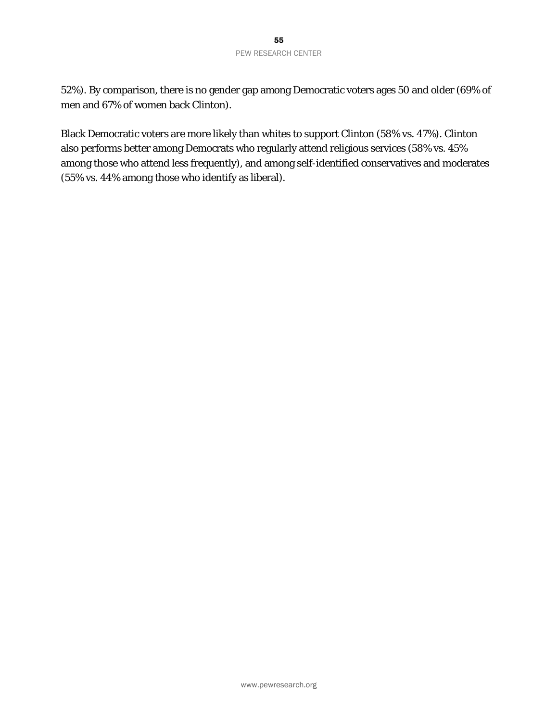52%). By comparison, there is no gender gap among Democratic voters ages 50 and older (69% of men and 67% of women back Clinton).

Black Democratic voters are more likely than whites to support Clinton (58% vs. 47%). Clinton also performs better among Democrats who regularly attend religious services (58% vs. 45% among those who attend less frequently), and among self-identified conservatives and moderates (55% vs. 44% among those who identify as liberal).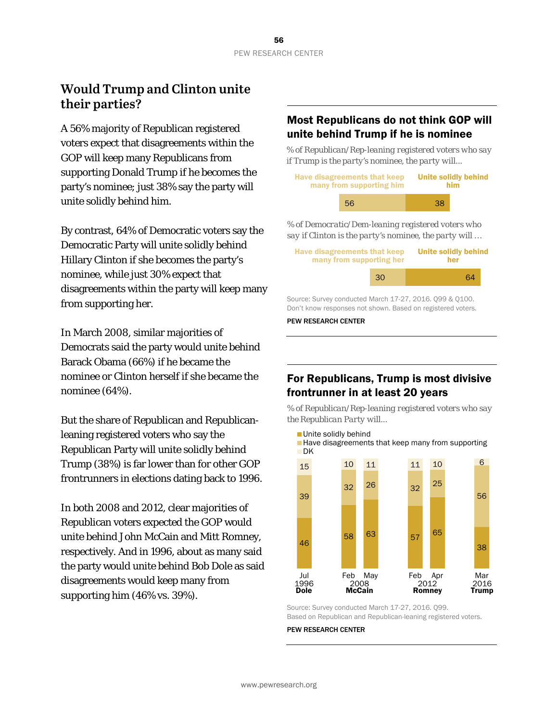## **Would Trump and Clinton unite their parties?**

A 56% majority of Republican registered voters expect that disagreements within the GOP will keep many Republicans from supporting Donald Trump if he becomes the party's nominee; just 38% say the party will unite solidly behind him.

By contrast, 64% of Democratic voters say the Democratic Party will unite solidly behind Hillary Clinton if she becomes the party's nominee, while just 30% expect that disagreements within the party will keep many from supporting her.

In March 2008, similar majorities of Democrats said the party would unite behind Barack Obama (66%) if he became the nominee or Clinton herself if she became the nominee (64%).

But the share of Republican and Republicanleaning registered voters who say the Republican Party will unite solidly behind Trump (38%) is far lower than for other GOP frontrunners in elections dating back to 1996.

In both 2008 and 2012, clear majorities of Republican voters expected the GOP would unite behind John McCain and Mitt Romney, respectively. And in 1996, about as many said the party would unite behind Bob Dole as said disagreements would keep many from supporting him (46% vs. 39%).

### Most Republicans do not think GOP will unite behind Trump if he is nominee

*% of Republican/Rep-leaning registered voters who say if Trump is the party's nominee, the party will...*

| <b>Have disagreements that keep</b><br>many from supporting him |    | <b>Unite solidly behind</b><br><b>him</b> |
|-----------------------------------------------------------------|----|-------------------------------------------|
| 56.                                                             | 38 |                                           |

*% of Democratic/Dem-leaning registered voters who say if Clinton is the party's nominee, the party will …*

| Have disagreements that keep<br>many from supporting her |    | <b>Unite solidly behind</b><br>her |
|----------------------------------------------------------|----|------------------------------------|
|                                                          | 30 | 64                                 |
| Source: Survey conducted March 17-27, 2016. Q99 & Q100.  |    |                                    |

Don't know responses not shown. Based on registered voters.

PEW RESEARCH CENTER

## For Republicans, Trump is most divisive frontrunner in at least 20 years

*% of Republican/Rep-leaning registered voters who say the Republican Party will...*



Source: Survey conducted March 17-27, 2016. Q99. Based on Republican and Republican-leaning registered voters.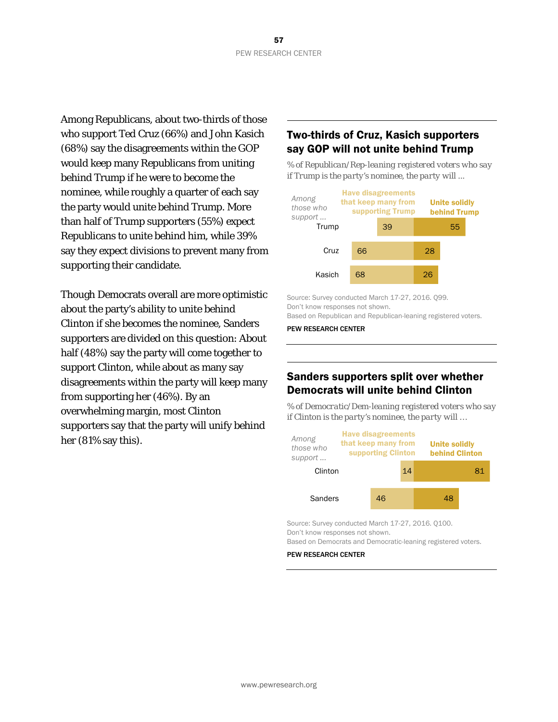Among Republicans, about two-thirds of those who support Ted Cruz (66%) and John Kasich (68%) say the disagreements within the GOP would keep many Republicans from uniting behind Trump if he were to become the nominee, while roughly a quarter of each say the party would unite behind Trump. More than half of Trump supporters (55%) expect Republicans to unite behind him, while 39% say they expect divisions to prevent many from supporting their candidate.

Though Democrats overall are more optimistic about the party's ability to unite behind Clinton if she becomes the nominee, Sanders supporters are divided on this question: About half (48%) say the party will come together to support Clinton, while about as many say disagreements within the party will keep many from supporting her (46%). By an overwhelming margin, most Clinton supporters say that the party will unify behind her (81% say this).

## Two-thirds of Cruz, Kasich supporters say GOP will not unite behind Trump

*% of Republican/Rep-leaning registered voters who say if Trump is the party's nominee, the party will ...*



Source: Survey conducted March 17-27, 2016. Q99. Don't know responses not shown.

Based on Republican and Republican-leaning registered voters.

PEW RESEARCH CENTER

### Sanders supporters split over whether Democrats will unite behind Clinton

*% of Democratic/Dem-leaning registered voters who say if Clinton is the party's nominee, the party will …*



Source: Survey conducted March 17-27, 2016. Q100. Don't know responses not shown.

Based on Democrats and Democratic-leaning registered voters.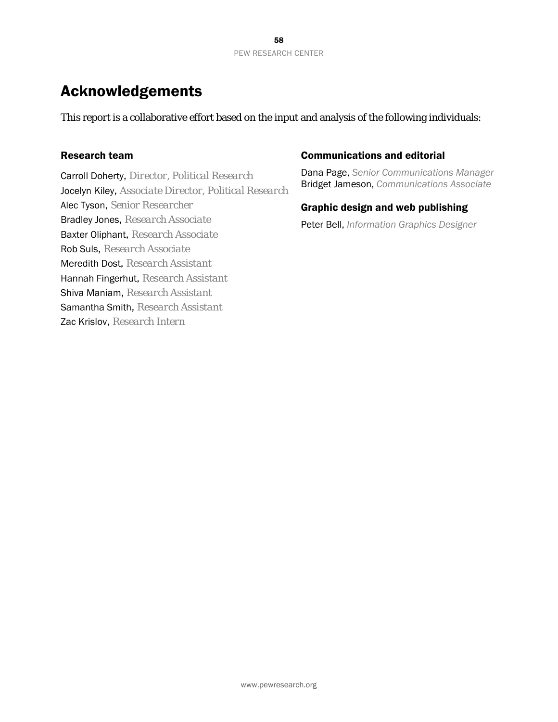## Acknowledgements

This report is a collaborative effort based on the input and analysis of the following individuals:

### Research team

Carroll Doherty, *Director, Political Research* Jocelyn Kiley, *Associate Director, Political Research* Alec Tyson, *Senior Researcher* Bradley Jones, *Research Associate* Baxter Oliphant, *Research Associate* Rob Suls, *Research Associate* Meredith Dost, *Research Assistant* Hannah Fingerhut, *Research Assistant* Shiva Maniam, *Research Assistant* Samantha Smith, *Research Assistant* Zac Krislov, *Research Intern*

### Communications and editorial

Dana Page, *Senior Communications Manager* Bridget Jameson, *Communications Associate*

### Graphic design and web publishing

Peter Bell, *Information Graphics Designer*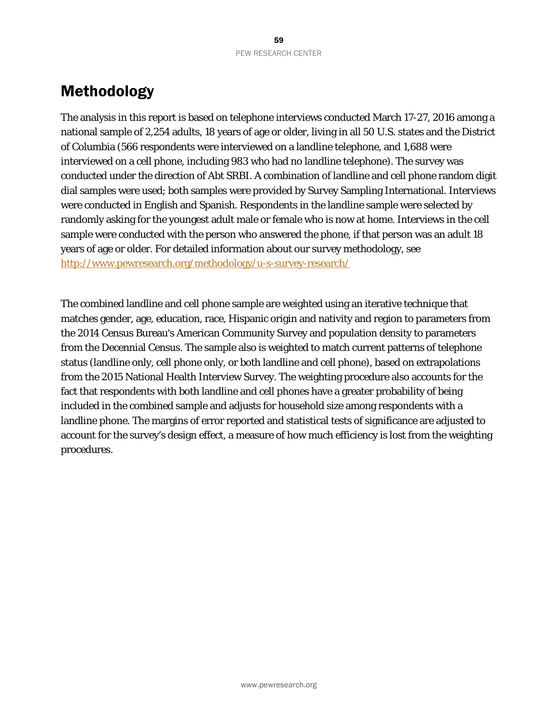## Methodology

The analysis in this report is based on telephone interviews conducted March 17-27, 2016 among a national sample of 2,254 adults, 18 years of age or older, living in all 50 U.S. states and the District of Columbia (566 respondents were interviewed on a landline telephone, and 1,688 were interviewed on a cell phone, including 983 who had no landline telephone). The survey was conducted under the direction of Abt SRBI. A combination of landline and cell phone random digit dial samples were used; both samples were provided by Survey Sampling International. Interviews were conducted in English and Spanish. Respondents in the landline sample were selected by randomly asking for the youngest adult male or female who is now at home. Interviews in the cell sample were conducted with the person who answered the phone, if that person was an adult 18 years of age or older. For detailed information about our survey methodology, see <http://www.pewresearch.org/methodology/u-s-survey-research/>

The combined landline and cell phone sample are weighted using an iterative technique that matches gender, age, education, race, Hispanic origin and nativity and region to parameters from the 2014 Census Bureau's American Community Survey and population density to parameters from the Decennial Census. The sample also is weighted to match current patterns of telephone status (landline only, cell phone only, or both landline and cell phone), based on extrapolations from the 2015 National Health Interview Survey. The weighting procedure also accounts for the fact that respondents with both landline and cell phones have a greater probability of being included in the combined sample and adjusts for household size among respondents with a landline phone. The margins of error reported and statistical tests of significance are adjusted to account for the survey's design effect, a measure of how much efficiency is lost from the weighting procedures.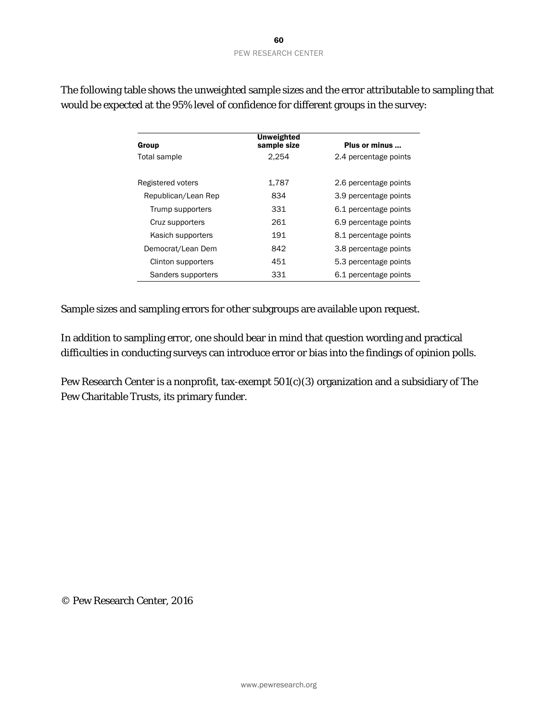| Group               | Unweighted<br>sample size | Plus or minus         |
|---------------------|---------------------------|-----------------------|
| Total sample        | 2.254                     | 2.4 percentage points |
|                     |                           |                       |
| Registered voters   | 1,787                     | 2.6 percentage points |
| Republican/Lean Rep | 834                       | 3.9 percentage points |
| Trump supporters    | 331                       | 6.1 percentage points |
| Cruz supporters     | 261                       | 6.9 percentage points |
| Kasich supporters   | 191                       | 8.1 percentage points |
| Democrat/Lean Dem   | 842                       | 3.8 percentage points |
| Clinton supporters  | 451                       | 5.3 percentage points |
| Sanders supporters  | 331                       | 6.1 percentage points |

The following table shows the unweighted sample sizes and the error attributable to sampling that would be expected at the 95% level of confidence for different groups in the survey:

Sample sizes and sampling errors for other subgroups are available upon request.

In addition to sampling error, one should bear in mind that question wording and practical difficulties in conducting surveys can introduce error or bias into the findings of opinion polls.

Pew Research Center is a nonprofit, tax-exempt 501(c)(3) organization and a subsidiary of The Pew Charitable Trusts, its primary funder.

© Pew Research Center, 2016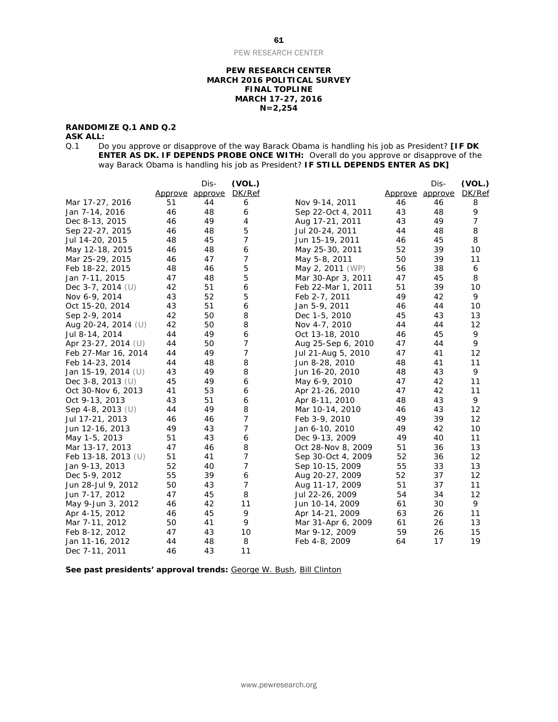#### **PEW RESEARCH CENTER MARCH 2016 POLITICAL SURVEY FINAL TOPLINE MARCH 17-27, 2016 N=2,254**

### **RANDOMIZE Q.1 AND Q.2**

**ASK ALL:**<br>Q.1 Do Q.1 Do you approve or disapprove of the way Barack Obama is handling his job as President? **[IF DK ENTER AS DK. IF DEPENDS PROBE ONCE WITH:** Overall do you approve or disapprove of the way Barack Obama is handling his job as President? **IF STILL DEPENDS ENTER AS DK]**

|                       |                | Dis-    | (VOL.) |                    |         | Dis-    | (VOL.)         |
|-----------------------|----------------|---------|--------|--------------------|---------|---------|----------------|
|                       | <u>Approve</u> | approve | DK/Ref |                    | Approve | approve | DK/Ref         |
| Mar 17-27, 2016       | 51             | 44      | 6      | Nov 9-14, 2011     | 46      | 46      | 8              |
| Jan 7-14, 2016        | 46             | 48      | 6      | Sep 22-Oct 4, 2011 | 43      | 48      | 9              |
| Dec 8-13, 2015        | 46             | 49      | 4      | Aug 17-21, 2011    | 43      | 49      | $\overline{7}$ |
| Sep 22-27, 2015       | 46             | 48      | 5      | Jul 20-24, 2011    | 44      | 48      | 8              |
| Jul 14-20, 2015       | 48             | 45      | 7      | Jun 15-19, 2011    | 46      | 45      | 8              |
| May 12-18, 2015       | 46             | 48      | 6      | May 25-30, 2011    | 52      | 39      | 10             |
| Mar 25-29, 2015       | 46             | 47      | 7      | May 5-8, 2011      | 50      | 39      | 11             |
| Feb 18-22, 2015       | 48             | 46      | 5      | May 2, 2011 (WP)   | 56      | 38      | 6              |
| Jan 7-11, 2015        | 47             | 48      | 5      | Mar 30-Apr 3, 2011 | 47      | 45      | 8              |
| Dec 3-7, 2014 $(U)$   | 42             | 51      | 6      | Feb 22-Mar 1, 2011 | 51      | 39      | 10             |
| Nov 6-9, 2014         | 43             | 52      | 5      | Feb 2-7, 2011      | 49      | 42      | 9              |
| Oct 15-20, 2014       | 43             | 51      | 6      | Jan 5-9, 2011      | 46      | 44      | 10             |
| Sep 2-9, 2014         | 42             | 50      | 8      | Dec 1-5, 2010      | 45      | 43      | 13             |
| Aug 20-24, 2014 (U)   | 42             | 50      | 8      | Nov 4-7, 2010      | 44      | 44      | 12             |
| Jul 8-14, 2014        | 44             | 49      | 6      | Oct 13-18, 2010    | 46      | 45      | 9              |
| Apr 23-27, 2014 (U)   | 44             | 50      | 7      | Aug 25-Sep 6, 2010 | 47      | 44      | 9              |
| Feb 27-Mar 16, 2014   | 44             | 49      | 7      | Jul 21-Aug 5, 2010 | 47      | 41      | 12             |
| Feb 14-23, 2014       | 44             | 48      | 8      | Jun 8-28, 2010     | 48      | 41      | 11             |
| Jan 15-19, 2014 (U)   | 43             | 49      | 8      | Jun 16-20, 2010    | 48      | 43      | 9              |
| Dec $3-8$ , 2013 (U)  | 45             | 49      | 6      | May 6-9, 2010      | 47      | 42      | 11             |
| Oct 30-Nov 6, 2013    | 41             | 53      | 6      | Apr 21-26, 2010    | 47      | 42      | 11             |
| Oct 9-13, 2013        | 43             | 51      | 6      | Apr 8-11, 2010     | 48      | 43      | 9              |
| Sep 4-8, 2013 $(U)$   | 44             | 49      | 8      | Mar 10-14, 2010    | 46      | 43      | 12             |
| Jul 17-21, 2013       | 46             | 46      | 7      | Feb 3-9, 2010      | 49      | 39      | 12             |
| Jun 12-16, 2013       | 49             | 43      | 7      | Jan 6-10, 2010     | 49      | 42      | 10             |
| May 1-5, 2013         | 51             | 43      | 6      | Dec 9-13, 2009     | 49      | 40      | 11             |
| Mar 13-17, 2013       | 47             | 46      | 8      | Oct 28-Nov 8, 2009 | 51      | 36      | 13             |
| Feb 13-18, 2013 $(U)$ | 51             | 41      | 7      | Sep 30-Oct 4, 2009 | 52      | 36      | 12             |
| Jan 9-13, 2013        | 52             | 40      | 7      | Sep 10-15, 2009    | 55      | 33      | 13             |
| Dec 5-9, 2012         | 55             | 39      | 6      | Aug 20-27, 2009    | 52      | 37      | 12             |
| Jun 28-Jul 9, 2012    | 50             | 43      | 7      | Aug 11-17, 2009    | 51      | 37      | 11             |
| Jun 7-17, 2012        | 47             | 45      | 8      | Jul 22-26, 2009    | 54      | 34      | 12             |
| May 9-Jun 3, 2012     | 46             | 42      | 11     | Jun 10-14, 2009    | 61      | 30      | 9              |
| Apr 4-15, 2012        | 46             | 45      | 9      | Apr 14-21, 2009    | 63      | 26      | 11             |
| Mar 7-11, 2012        | 50             | 41      | 9      | Mar 31-Apr 6, 2009 | 61      | 26      | 13             |
| Feb 8-12, 2012        | 47             | 43      | 10     | Mar 9-12, 2009     | 59      | 26      | 15             |
| Jan 11-16, 2012       | 44             | 48      | 8      | Feb 4-8, 2009      | 64      | 17      | 19             |
| Dec 7-11, 2011        | 46             | 43      | 11     |                    |         |         |                |

See past presidents' approval trends: [George W. Bush,](http://www.people-press.org/files/legacy-questionnaires/483.pdf) [Bill Clinton](http://www.people-press.org/files/legacy-questionnaires/18.pdf)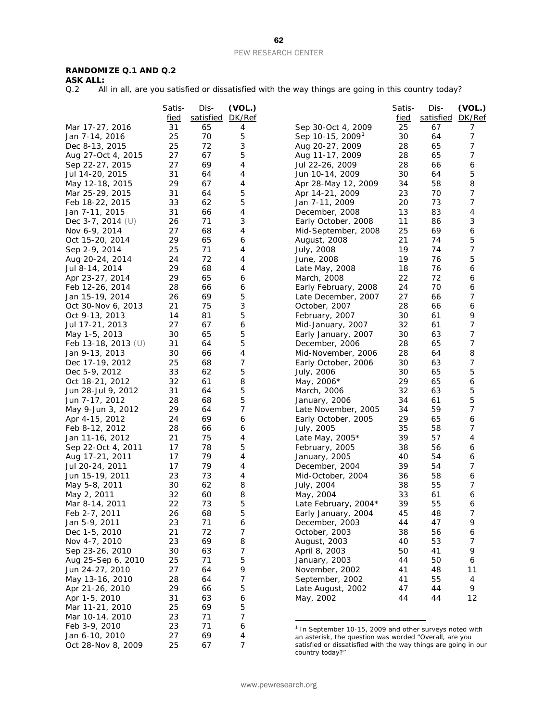### **RANDOMIZE Q.1 AND Q.2**

**ASK ALL:**<br>Q.2 **All** 

All in all, are you satisfied or dissatisfied with the way things are going in this country today?

| satisfied<br><u>DK/Ref</u><br>satisfied<br>DK/Ref<br>fied<br><u>fied</u><br>Mar 17-27, 2016<br>31<br>25<br>65<br>Sep 30-Oct 4, 2009<br>67<br>7<br>4<br>25<br>5<br>Sep 10-15, 2009 <sup>1</sup><br>7<br>Jan 7-14, 2016<br>70<br>30<br>64<br>3<br>7<br>72<br>65<br>Dec 8-13, 2015<br>25<br>Aug 20-27, 2009<br>28<br>5<br>7<br>67<br>Aug 27-Oct 4, 2015<br>27<br>Aug 11-17, 2009<br>28<br>65<br>69<br>4<br>28<br>66<br>Sep 22-27, 2015<br>27<br>Jul 22-26, 2009<br>6<br>5<br>Jul 14-20, 2015<br>31<br>64<br>4<br>30<br>64<br>Jun 10-14, 2009<br>29<br>67<br>58<br>8<br>May 12-18, 2015<br>4<br>34<br>Apr 28-May 12, 2009<br>5<br>7<br>31<br>64<br>Apr 14-21, 2009<br>23<br>70<br>Mar 25-29, 2015<br>5<br>7<br>62<br>33<br>20<br>73<br>Feb 18-22, 2015<br>Jan 7-11, 2009<br>Jan 7-11, 2015<br>31<br>66<br>4<br>13<br>83<br>4<br>December, 2008<br>3<br>Dec $3-7$ , 2014 (U)<br>71<br>3<br>11<br>26<br>Early October, 2008<br>86<br>27<br>4<br>25<br>69<br>6<br>Nov 6-9, 2014<br>68<br>Mid-September, 2008<br>5<br>65<br>29<br>6<br>21<br>74<br>Oct 15-20, 2014<br>August, 2008<br>25<br>71<br>7<br>Sep 2-9, 2014<br>4<br>19<br>74<br>July, 2008<br>72<br>5<br>24<br>4<br>19<br>76<br>Aug 20-24, 2014<br>June, 2008<br>68<br>29<br>4<br>18<br>76<br>6<br>Jul 8-14, 2014<br>Late May, 2008<br>29<br>65<br>March, 2008<br>22<br>72<br>6<br>Apr 23-27, 2014<br>6<br>28<br>66<br>6<br>24<br>70<br>6<br>Feb 12-26, 2014<br>Early February, 2008<br>7<br>69<br>5<br>27<br>Jan 15-19, 2014<br>26<br>Late December, 2007<br>66<br>3<br>75<br>Oct 30-Nov 6, 2013<br>21<br>October, 2007<br>28<br>66<br>6<br>5<br>9<br>Oct 9-13, 2013<br>14<br>81<br>30<br>61<br>February, 2007<br>7<br>27<br>67<br>6<br>32<br>61<br>Jul 17-21, 2013<br>Mid-January, 2007<br>65<br>5<br>7<br>30<br>30<br>63<br>May 1-5, 2013<br>Early January, 2007<br>5<br>7<br>Feb 13-18, 2013 (U)<br>31<br>64<br>28<br>65<br>December, 2006<br>8<br>Jan 9-13, 2013<br>30<br>66<br>4<br>28<br>64<br>Mid-November, 2006<br>7<br>7<br>Dec 17-19, 2012<br>25<br>68<br>30<br>63<br>Early October, 2006<br>5<br>62<br>5<br>Dec 5-9, 2012<br>33<br>30<br>65<br>July, 2006<br>61<br>8<br>65<br>Oct 18-21, 2012<br>32<br>May, 2006*<br>29<br>6<br>5<br>5<br>31<br>64<br>32<br>63<br>Jun 28-Jul 9, 2012<br>March, 2006<br>5<br>5<br>68<br>61<br>Jun 7-17, 2012<br>28<br>January, 2006<br>34<br>$\boldsymbol{7}$<br>7<br>29<br>64<br>34<br>59<br>May 9-Jun 3, 2012<br>Late November, 2005<br>65<br>Apr 4-15, 2012<br>24<br>69<br>6<br>29<br>6<br>Early October, 2005<br>7<br>28<br>35<br>58<br>Feb 8-12, 2012<br>66<br>6<br>July, 2005<br>75<br>57<br>4<br>21<br>4<br>39<br>Jan 11-16, 2012<br>Late May, 2005*<br>5<br>78<br>56<br>17<br>February, 2005<br>38<br>6<br>Sep 22-Oct 4, 2011<br>79<br>54<br>Aug 17-21, 2011<br>17<br>4<br>January, 2005<br>40<br>6<br>7<br>17<br>79<br>4<br>39<br>54<br>Jul 20-24, 2011<br>December, 2004<br>23<br>73<br>4<br>58<br>6<br>Jun 15-19, 2011<br>Mid-October, 2004<br>36<br>8<br>7<br>30<br>62<br>38<br>55<br>May 5-8, 2011<br>July, 2004<br>32<br>60<br>8<br>33<br>61<br>May 2, 2011<br>May, 2004<br>6<br>22<br>73<br>5<br>55<br>Late February, 2004*<br>39<br>Mar 8-14, 2011<br>6<br>Feb 2-7, 2011<br>26<br>68<br>5<br>48<br>7<br>Early January, 2004<br>45<br>9<br>Jan 5-9, 2011<br>23<br>71<br>6<br>December, 2003<br>44<br>47<br>72<br>7<br>Dec 1-5, 2010<br>21<br>October, 2003<br>38<br>56<br>6<br>23<br>69<br>8<br>Nov 4-7, 2010<br>August, 2003<br>40<br>53<br>7<br>7<br>9<br>63<br>50<br>41<br>Sep 23-26, 2010<br>30<br>April 8, 2003<br>5<br>71<br>Aug 25-Sep 6, 2010<br>25<br>January, 2003<br>44<br>50<br>6<br>9<br>Jun 24-27, 2010<br>27<br>64<br>November, 2002<br>41<br>48<br>11<br>7<br>May 13-16, 2010<br>28<br>64<br>55<br>September, 2002<br>41<br>4<br>29<br>5<br>9<br>Apr 21-26, 2010<br>66<br>Late August, 2002<br>47<br>44<br>Apr 1-5, 2010<br>31<br>63<br>6<br>May, 2002<br>44<br>44<br>12<br>25<br>5<br>Mar 11-21, 2010<br>69<br>7<br>Mar 10-14, 2010<br>23<br>71<br>23<br>71<br>Feb 3-9, 2010<br>6<br><sup>1</sup> In September 10-15, 2009 and other surveys noted with<br>27<br>Jan 6-10, 2010<br>69<br>4<br>an asterisk, the question was worded "Overall, are you<br>25<br>7<br>Oct 28-Nov 8, 2009<br>67<br>satisfied or dissatisfied with the way things are going in our | Satis- | Dis- | (VOL.) | Satis- | Dis- | (VOL.) |
|-------------------------------------------------------------------------------------------------------------------------------------------------------------------------------------------------------------------------------------------------------------------------------------------------------------------------------------------------------------------------------------------------------------------------------------------------------------------------------------------------------------------------------------------------------------------------------------------------------------------------------------------------------------------------------------------------------------------------------------------------------------------------------------------------------------------------------------------------------------------------------------------------------------------------------------------------------------------------------------------------------------------------------------------------------------------------------------------------------------------------------------------------------------------------------------------------------------------------------------------------------------------------------------------------------------------------------------------------------------------------------------------------------------------------------------------------------------------------------------------------------------------------------------------------------------------------------------------------------------------------------------------------------------------------------------------------------------------------------------------------------------------------------------------------------------------------------------------------------------------------------------------------------------------------------------------------------------------------------------------------------------------------------------------------------------------------------------------------------------------------------------------------------------------------------------------------------------------------------------------------------------------------------------------------------------------------------------------------------------------------------------------------------------------------------------------------------------------------------------------------------------------------------------------------------------------------------------------------------------------------------------------------------------------------------------------------------------------------------------------------------------------------------------------------------------------------------------------------------------------------------------------------------------------------------------------------------------------------------------------------------------------------------------------------------------------------------------------------------------------------------------------------------------------------------------------------------------------------------------------------------------------------------------------------------------------------------------------------------------------------------------------------------------------------------------------------------------------------------------------------------------------------------------------------------------------------------------------------------------------------------------------------------------------------------------------------------------------------------------------------------------------------------------------------------------------------------------------------------------------------------------------------------------------------------------------------------------------------------------------------------------------------------------------------------------------------------------------------------------------------------------------------------------------------------------------------------------------------------------------------------------------------------------------|--------|------|--------|--------|------|--------|
|                                                                                                                                                                                                                                                                                                                                                                                                                                                                                                                                                                                                                                                                                                                                                                                                                                                                                                                                                                                                                                                                                                                                                                                                                                                                                                                                                                                                                                                                                                                                                                                                                                                                                                                                                                                                                                                                                                                                                                                                                                                                                                                                                                                                                                                                                                                                                                                                                                                                                                                                                                                                                                                                                                                                                                                                                                                                                                                                                                                                                                                                                                                                                                                                                                                                                                                                                                                                                                                                                                                                                                                                                                                                                                                                                                                                                                                                                                                                                                                                                                                                                                                                                                                                                                                                                           |        |      |        |        |      |        |
|                                                                                                                                                                                                                                                                                                                                                                                                                                                                                                                                                                                                                                                                                                                                                                                                                                                                                                                                                                                                                                                                                                                                                                                                                                                                                                                                                                                                                                                                                                                                                                                                                                                                                                                                                                                                                                                                                                                                                                                                                                                                                                                                                                                                                                                                                                                                                                                                                                                                                                                                                                                                                                                                                                                                                                                                                                                                                                                                                                                                                                                                                                                                                                                                                                                                                                                                                                                                                                                                                                                                                                                                                                                                                                                                                                                                                                                                                                                                                                                                                                                                                                                                                                                                                                                                                           |        |      |        |        |      |        |
|                                                                                                                                                                                                                                                                                                                                                                                                                                                                                                                                                                                                                                                                                                                                                                                                                                                                                                                                                                                                                                                                                                                                                                                                                                                                                                                                                                                                                                                                                                                                                                                                                                                                                                                                                                                                                                                                                                                                                                                                                                                                                                                                                                                                                                                                                                                                                                                                                                                                                                                                                                                                                                                                                                                                                                                                                                                                                                                                                                                                                                                                                                                                                                                                                                                                                                                                                                                                                                                                                                                                                                                                                                                                                                                                                                                                                                                                                                                                                                                                                                                                                                                                                                                                                                                                                           |        |      |        |        |      |        |
|                                                                                                                                                                                                                                                                                                                                                                                                                                                                                                                                                                                                                                                                                                                                                                                                                                                                                                                                                                                                                                                                                                                                                                                                                                                                                                                                                                                                                                                                                                                                                                                                                                                                                                                                                                                                                                                                                                                                                                                                                                                                                                                                                                                                                                                                                                                                                                                                                                                                                                                                                                                                                                                                                                                                                                                                                                                                                                                                                                                                                                                                                                                                                                                                                                                                                                                                                                                                                                                                                                                                                                                                                                                                                                                                                                                                                                                                                                                                                                                                                                                                                                                                                                                                                                                                                           |        |      |        |        |      |        |
|                                                                                                                                                                                                                                                                                                                                                                                                                                                                                                                                                                                                                                                                                                                                                                                                                                                                                                                                                                                                                                                                                                                                                                                                                                                                                                                                                                                                                                                                                                                                                                                                                                                                                                                                                                                                                                                                                                                                                                                                                                                                                                                                                                                                                                                                                                                                                                                                                                                                                                                                                                                                                                                                                                                                                                                                                                                                                                                                                                                                                                                                                                                                                                                                                                                                                                                                                                                                                                                                                                                                                                                                                                                                                                                                                                                                                                                                                                                                                                                                                                                                                                                                                                                                                                                                                           |        |      |        |        |      |        |
|                                                                                                                                                                                                                                                                                                                                                                                                                                                                                                                                                                                                                                                                                                                                                                                                                                                                                                                                                                                                                                                                                                                                                                                                                                                                                                                                                                                                                                                                                                                                                                                                                                                                                                                                                                                                                                                                                                                                                                                                                                                                                                                                                                                                                                                                                                                                                                                                                                                                                                                                                                                                                                                                                                                                                                                                                                                                                                                                                                                                                                                                                                                                                                                                                                                                                                                                                                                                                                                                                                                                                                                                                                                                                                                                                                                                                                                                                                                                                                                                                                                                                                                                                                                                                                                                                           |        |      |        |        |      |        |
|                                                                                                                                                                                                                                                                                                                                                                                                                                                                                                                                                                                                                                                                                                                                                                                                                                                                                                                                                                                                                                                                                                                                                                                                                                                                                                                                                                                                                                                                                                                                                                                                                                                                                                                                                                                                                                                                                                                                                                                                                                                                                                                                                                                                                                                                                                                                                                                                                                                                                                                                                                                                                                                                                                                                                                                                                                                                                                                                                                                                                                                                                                                                                                                                                                                                                                                                                                                                                                                                                                                                                                                                                                                                                                                                                                                                                                                                                                                                                                                                                                                                                                                                                                                                                                                                                           |        |      |        |        |      |        |
|                                                                                                                                                                                                                                                                                                                                                                                                                                                                                                                                                                                                                                                                                                                                                                                                                                                                                                                                                                                                                                                                                                                                                                                                                                                                                                                                                                                                                                                                                                                                                                                                                                                                                                                                                                                                                                                                                                                                                                                                                                                                                                                                                                                                                                                                                                                                                                                                                                                                                                                                                                                                                                                                                                                                                                                                                                                                                                                                                                                                                                                                                                                                                                                                                                                                                                                                                                                                                                                                                                                                                                                                                                                                                                                                                                                                                                                                                                                                                                                                                                                                                                                                                                                                                                                                                           |        |      |        |        |      |        |
|                                                                                                                                                                                                                                                                                                                                                                                                                                                                                                                                                                                                                                                                                                                                                                                                                                                                                                                                                                                                                                                                                                                                                                                                                                                                                                                                                                                                                                                                                                                                                                                                                                                                                                                                                                                                                                                                                                                                                                                                                                                                                                                                                                                                                                                                                                                                                                                                                                                                                                                                                                                                                                                                                                                                                                                                                                                                                                                                                                                                                                                                                                                                                                                                                                                                                                                                                                                                                                                                                                                                                                                                                                                                                                                                                                                                                                                                                                                                                                                                                                                                                                                                                                                                                                                                                           |        |      |        |        |      |        |
|                                                                                                                                                                                                                                                                                                                                                                                                                                                                                                                                                                                                                                                                                                                                                                                                                                                                                                                                                                                                                                                                                                                                                                                                                                                                                                                                                                                                                                                                                                                                                                                                                                                                                                                                                                                                                                                                                                                                                                                                                                                                                                                                                                                                                                                                                                                                                                                                                                                                                                                                                                                                                                                                                                                                                                                                                                                                                                                                                                                                                                                                                                                                                                                                                                                                                                                                                                                                                                                                                                                                                                                                                                                                                                                                                                                                                                                                                                                                                                                                                                                                                                                                                                                                                                                                                           |        |      |        |        |      |        |
|                                                                                                                                                                                                                                                                                                                                                                                                                                                                                                                                                                                                                                                                                                                                                                                                                                                                                                                                                                                                                                                                                                                                                                                                                                                                                                                                                                                                                                                                                                                                                                                                                                                                                                                                                                                                                                                                                                                                                                                                                                                                                                                                                                                                                                                                                                                                                                                                                                                                                                                                                                                                                                                                                                                                                                                                                                                                                                                                                                                                                                                                                                                                                                                                                                                                                                                                                                                                                                                                                                                                                                                                                                                                                                                                                                                                                                                                                                                                                                                                                                                                                                                                                                                                                                                                                           |        |      |        |        |      |        |
|                                                                                                                                                                                                                                                                                                                                                                                                                                                                                                                                                                                                                                                                                                                                                                                                                                                                                                                                                                                                                                                                                                                                                                                                                                                                                                                                                                                                                                                                                                                                                                                                                                                                                                                                                                                                                                                                                                                                                                                                                                                                                                                                                                                                                                                                                                                                                                                                                                                                                                                                                                                                                                                                                                                                                                                                                                                                                                                                                                                                                                                                                                                                                                                                                                                                                                                                                                                                                                                                                                                                                                                                                                                                                                                                                                                                                                                                                                                                                                                                                                                                                                                                                                                                                                                                                           |        |      |        |        |      |        |
|                                                                                                                                                                                                                                                                                                                                                                                                                                                                                                                                                                                                                                                                                                                                                                                                                                                                                                                                                                                                                                                                                                                                                                                                                                                                                                                                                                                                                                                                                                                                                                                                                                                                                                                                                                                                                                                                                                                                                                                                                                                                                                                                                                                                                                                                                                                                                                                                                                                                                                                                                                                                                                                                                                                                                                                                                                                                                                                                                                                                                                                                                                                                                                                                                                                                                                                                                                                                                                                                                                                                                                                                                                                                                                                                                                                                                                                                                                                                                                                                                                                                                                                                                                                                                                                                                           |        |      |        |        |      |        |
|                                                                                                                                                                                                                                                                                                                                                                                                                                                                                                                                                                                                                                                                                                                                                                                                                                                                                                                                                                                                                                                                                                                                                                                                                                                                                                                                                                                                                                                                                                                                                                                                                                                                                                                                                                                                                                                                                                                                                                                                                                                                                                                                                                                                                                                                                                                                                                                                                                                                                                                                                                                                                                                                                                                                                                                                                                                                                                                                                                                                                                                                                                                                                                                                                                                                                                                                                                                                                                                                                                                                                                                                                                                                                                                                                                                                                                                                                                                                                                                                                                                                                                                                                                                                                                                                                           |        |      |        |        |      |        |
|                                                                                                                                                                                                                                                                                                                                                                                                                                                                                                                                                                                                                                                                                                                                                                                                                                                                                                                                                                                                                                                                                                                                                                                                                                                                                                                                                                                                                                                                                                                                                                                                                                                                                                                                                                                                                                                                                                                                                                                                                                                                                                                                                                                                                                                                                                                                                                                                                                                                                                                                                                                                                                                                                                                                                                                                                                                                                                                                                                                                                                                                                                                                                                                                                                                                                                                                                                                                                                                                                                                                                                                                                                                                                                                                                                                                                                                                                                                                                                                                                                                                                                                                                                                                                                                                                           |        |      |        |        |      |        |
|                                                                                                                                                                                                                                                                                                                                                                                                                                                                                                                                                                                                                                                                                                                                                                                                                                                                                                                                                                                                                                                                                                                                                                                                                                                                                                                                                                                                                                                                                                                                                                                                                                                                                                                                                                                                                                                                                                                                                                                                                                                                                                                                                                                                                                                                                                                                                                                                                                                                                                                                                                                                                                                                                                                                                                                                                                                                                                                                                                                                                                                                                                                                                                                                                                                                                                                                                                                                                                                                                                                                                                                                                                                                                                                                                                                                                                                                                                                                                                                                                                                                                                                                                                                                                                                                                           |        |      |        |        |      |        |
|                                                                                                                                                                                                                                                                                                                                                                                                                                                                                                                                                                                                                                                                                                                                                                                                                                                                                                                                                                                                                                                                                                                                                                                                                                                                                                                                                                                                                                                                                                                                                                                                                                                                                                                                                                                                                                                                                                                                                                                                                                                                                                                                                                                                                                                                                                                                                                                                                                                                                                                                                                                                                                                                                                                                                                                                                                                                                                                                                                                                                                                                                                                                                                                                                                                                                                                                                                                                                                                                                                                                                                                                                                                                                                                                                                                                                                                                                                                                                                                                                                                                                                                                                                                                                                                                                           |        |      |        |        |      |        |
|                                                                                                                                                                                                                                                                                                                                                                                                                                                                                                                                                                                                                                                                                                                                                                                                                                                                                                                                                                                                                                                                                                                                                                                                                                                                                                                                                                                                                                                                                                                                                                                                                                                                                                                                                                                                                                                                                                                                                                                                                                                                                                                                                                                                                                                                                                                                                                                                                                                                                                                                                                                                                                                                                                                                                                                                                                                                                                                                                                                                                                                                                                                                                                                                                                                                                                                                                                                                                                                                                                                                                                                                                                                                                                                                                                                                                                                                                                                                                                                                                                                                                                                                                                                                                                                                                           |        |      |        |        |      |        |
|                                                                                                                                                                                                                                                                                                                                                                                                                                                                                                                                                                                                                                                                                                                                                                                                                                                                                                                                                                                                                                                                                                                                                                                                                                                                                                                                                                                                                                                                                                                                                                                                                                                                                                                                                                                                                                                                                                                                                                                                                                                                                                                                                                                                                                                                                                                                                                                                                                                                                                                                                                                                                                                                                                                                                                                                                                                                                                                                                                                                                                                                                                                                                                                                                                                                                                                                                                                                                                                                                                                                                                                                                                                                                                                                                                                                                                                                                                                                                                                                                                                                                                                                                                                                                                                                                           |        |      |        |        |      |        |
|                                                                                                                                                                                                                                                                                                                                                                                                                                                                                                                                                                                                                                                                                                                                                                                                                                                                                                                                                                                                                                                                                                                                                                                                                                                                                                                                                                                                                                                                                                                                                                                                                                                                                                                                                                                                                                                                                                                                                                                                                                                                                                                                                                                                                                                                                                                                                                                                                                                                                                                                                                                                                                                                                                                                                                                                                                                                                                                                                                                                                                                                                                                                                                                                                                                                                                                                                                                                                                                                                                                                                                                                                                                                                                                                                                                                                                                                                                                                                                                                                                                                                                                                                                                                                                                                                           |        |      |        |        |      |        |
|                                                                                                                                                                                                                                                                                                                                                                                                                                                                                                                                                                                                                                                                                                                                                                                                                                                                                                                                                                                                                                                                                                                                                                                                                                                                                                                                                                                                                                                                                                                                                                                                                                                                                                                                                                                                                                                                                                                                                                                                                                                                                                                                                                                                                                                                                                                                                                                                                                                                                                                                                                                                                                                                                                                                                                                                                                                                                                                                                                                                                                                                                                                                                                                                                                                                                                                                                                                                                                                                                                                                                                                                                                                                                                                                                                                                                                                                                                                                                                                                                                                                                                                                                                                                                                                                                           |        |      |        |        |      |        |
|                                                                                                                                                                                                                                                                                                                                                                                                                                                                                                                                                                                                                                                                                                                                                                                                                                                                                                                                                                                                                                                                                                                                                                                                                                                                                                                                                                                                                                                                                                                                                                                                                                                                                                                                                                                                                                                                                                                                                                                                                                                                                                                                                                                                                                                                                                                                                                                                                                                                                                                                                                                                                                                                                                                                                                                                                                                                                                                                                                                                                                                                                                                                                                                                                                                                                                                                                                                                                                                                                                                                                                                                                                                                                                                                                                                                                                                                                                                                                                                                                                                                                                                                                                                                                                                                                           |        |      |        |        |      |        |
|                                                                                                                                                                                                                                                                                                                                                                                                                                                                                                                                                                                                                                                                                                                                                                                                                                                                                                                                                                                                                                                                                                                                                                                                                                                                                                                                                                                                                                                                                                                                                                                                                                                                                                                                                                                                                                                                                                                                                                                                                                                                                                                                                                                                                                                                                                                                                                                                                                                                                                                                                                                                                                                                                                                                                                                                                                                                                                                                                                                                                                                                                                                                                                                                                                                                                                                                                                                                                                                                                                                                                                                                                                                                                                                                                                                                                                                                                                                                                                                                                                                                                                                                                                                                                                                                                           |        |      |        |        |      |        |
|                                                                                                                                                                                                                                                                                                                                                                                                                                                                                                                                                                                                                                                                                                                                                                                                                                                                                                                                                                                                                                                                                                                                                                                                                                                                                                                                                                                                                                                                                                                                                                                                                                                                                                                                                                                                                                                                                                                                                                                                                                                                                                                                                                                                                                                                                                                                                                                                                                                                                                                                                                                                                                                                                                                                                                                                                                                                                                                                                                                                                                                                                                                                                                                                                                                                                                                                                                                                                                                                                                                                                                                                                                                                                                                                                                                                                                                                                                                                                                                                                                                                                                                                                                                                                                                                                           |        |      |        |        |      |        |
|                                                                                                                                                                                                                                                                                                                                                                                                                                                                                                                                                                                                                                                                                                                                                                                                                                                                                                                                                                                                                                                                                                                                                                                                                                                                                                                                                                                                                                                                                                                                                                                                                                                                                                                                                                                                                                                                                                                                                                                                                                                                                                                                                                                                                                                                                                                                                                                                                                                                                                                                                                                                                                                                                                                                                                                                                                                                                                                                                                                                                                                                                                                                                                                                                                                                                                                                                                                                                                                                                                                                                                                                                                                                                                                                                                                                                                                                                                                                                                                                                                                                                                                                                                                                                                                                                           |        |      |        |        |      |        |
|                                                                                                                                                                                                                                                                                                                                                                                                                                                                                                                                                                                                                                                                                                                                                                                                                                                                                                                                                                                                                                                                                                                                                                                                                                                                                                                                                                                                                                                                                                                                                                                                                                                                                                                                                                                                                                                                                                                                                                                                                                                                                                                                                                                                                                                                                                                                                                                                                                                                                                                                                                                                                                                                                                                                                                                                                                                                                                                                                                                                                                                                                                                                                                                                                                                                                                                                                                                                                                                                                                                                                                                                                                                                                                                                                                                                                                                                                                                                                                                                                                                                                                                                                                                                                                                                                           |        |      |        |        |      |        |
|                                                                                                                                                                                                                                                                                                                                                                                                                                                                                                                                                                                                                                                                                                                                                                                                                                                                                                                                                                                                                                                                                                                                                                                                                                                                                                                                                                                                                                                                                                                                                                                                                                                                                                                                                                                                                                                                                                                                                                                                                                                                                                                                                                                                                                                                                                                                                                                                                                                                                                                                                                                                                                                                                                                                                                                                                                                                                                                                                                                                                                                                                                                                                                                                                                                                                                                                                                                                                                                                                                                                                                                                                                                                                                                                                                                                                                                                                                                                                                                                                                                                                                                                                                                                                                                                                           |        |      |        |        |      |        |
|                                                                                                                                                                                                                                                                                                                                                                                                                                                                                                                                                                                                                                                                                                                                                                                                                                                                                                                                                                                                                                                                                                                                                                                                                                                                                                                                                                                                                                                                                                                                                                                                                                                                                                                                                                                                                                                                                                                                                                                                                                                                                                                                                                                                                                                                                                                                                                                                                                                                                                                                                                                                                                                                                                                                                                                                                                                                                                                                                                                                                                                                                                                                                                                                                                                                                                                                                                                                                                                                                                                                                                                                                                                                                                                                                                                                                                                                                                                                                                                                                                                                                                                                                                                                                                                                                           |        |      |        |        |      |        |
|                                                                                                                                                                                                                                                                                                                                                                                                                                                                                                                                                                                                                                                                                                                                                                                                                                                                                                                                                                                                                                                                                                                                                                                                                                                                                                                                                                                                                                                                                                                                                                                                                                                                                                                                                                                                                                                                                                                                                                                                                                                                                                                                                                                                                                                                                                                                                                                                                                                                                                                                                                                                                                                                                                                                                                                                                                                                                                                                                                                                                                                                                                                                                                                                                                                                                                                                                                                                                                                                                                                                                                                                                                                                                                                                                                                                                                                                                                                                                                                                                                                                                                                                                                                                                                                                                           |        |      |        |        |      |        |
|                                                                                                                                                                                                                                                                                                                                                                                                                                                                                                                                                                                                                                                                                                                                                                                                                                                                                                                                                                                                                                                                                                                                                                                                                                                                                                                                                                                                                                                                                                                                                                                                                                                                                                                                                                                                                                                                                                                                                                                                                                                                                                                                                                                                                                                                                                                                                                                                                                                                                                                                                                                                                                                                                                                                                                                                                                                                                                                                                                                                                                                                                                                                                                                                                                                                                                                                                                                                                                                                                                                                                                                                                                                                                                                                                                                                                                                                                                                                                                                                                                                                                                                                                                                                                                                                                           |        |      |        |        |      |        |
|                                                                                                                                                                                                                                                                                                                                                                                                                                                                                                                                                                                                                                                                                                                                                                                                                                                                                                                                                                                                                                                                                                                                                                                                                                                                                                                                                                                                                                                                                                                                                                                                                                                                                                                                                                                                                                                                                                                                                                                                                                                                                                                                                                                                                                                                                                                                                                                                                                                                                                                                                                                                                                                                                                                                                                                                                                                                                                                                                                                                                                                                                                                                                                                                                                                                                                                                                                                                                                                                                                                                                                                                                                                                                                                                                                                                                                                                                                                                                                                                                                                                                                                                                                                                                                                                                           |        |      |        |        |      |        |
|                                                                                                                                                                                                                                                                                                                                                                                                                                                                                                                                                                                                                                                                                                                                                                                                                                                                                                                                                                                                                                                                                                                                                                                                                                                                                                                                                                                                                                                                                                                                                                                                                                                                                                                                                                                                                                                                                                                                                                                                                                                                                                                                                                                                                                                                                                                                                                                                                                                                                                                                                                                                                                                                                                                                                                                                                                                                                                                                                                                                                                                                                                                                                                                                                                                                                                                                                                                                                                                                                                                                                                                                                                                                                                                                                                                                                                                                                                                                                                                                                                                                                                                                                                                                                                                                                           |        |      |        |        |      |        |
|                                                                                                                                                                                                                                                                                                                                                                                                                                                                                                                                                                                                                                                                                                                                                                                                                                                                                                                                                                                                                                                                                                                                                                                                                                                                                                                                                                                                                                                                                                                                                                                                                                                                                                                                                                                                                                                                                                                                                                                                                                                                                                                                                                                                                                                                                                                                                                                                                                                                                                                                                                                                                                                                                                                                                                                                                                                                                                                                                                                                                                                                                                                                                                                                                                                                                                                                                                                                                                                                                                                                                                                                                                                                                                                                                                                                                                                                                                                                                                                                                                                                                                                                                                                                                                                                                           |        |      |        |        |      |        |
|                                                                                                                                                                                                                                                                                                                                                                                                                                                                                                                                                                                                                                                                                                                                                                                                                                                                                                                                                                                                                                                                                                                                                                                                                                                                                                                                                                                                                                                                                                                                                                                                                                                                                                                                                                                                                                                                                                                                                                                                                                                                                                                                                                                                                                                                                                                                                                                                                                                                                                                                                                                                                                                                                                                                                                                                                                                                                                                                                                                                                                                                                                                                                                                                                                                                                                                                                                                                                                                                                                                                                                                                                                                                                                                                                                                                                                                                                                                                                                                                                                                                                                                                                                                                                                                                                           |        |      |        |        |      |        |
|                                                                                                                                                                                                                                                                                                                                                                                                                                                                                                                                                                                                                                                                                                                                                                                                                                                                                                                                                                                                                                                                                                                                                                                                                                                                                                                                                                                                                                                                                                                                                                                                                                                                                                                                                                                                                                                                                                                                                                                                                                                                                                                                                                                                                                                                                                                                                                                                                                                                                                                                                                                                                                                                                                                                                                                                                                                                                                                                                                                                                                                                                                                                                                                                                                                                                                                                                                                                                                                                                                                                                                                                                                                                                                                                                                                                                                                                                                                                                                                                                                                                                                                                                                                                                                                                                           |        |      |        |        |      |        |
|                                                                                                                                                                                                                                                                                                                                                                                                                                                                                                                                                                                                                                                                                                                                                                                                                                                                                                                                                                                                                                                                                                                                                                                                                                                                                                                                                                                                                                                                                                                                                                                                                                                                                                                                                                                                                                                                                                                                                                                                                                                                                                                                                                                                                                                                                                                                                                                                                                                                                                                                                                                                                                                                                                                                                                                                                                                                                                                                                                                                                                                                                                                                                                                                                                                                                                                                                                                                                                                                                                                                                                                                                                                                                                                                                                                                                                                                                                                                                                                                                                                                                                                                                                                                                                                                                           |        |      |        |        |      |        |
|                                                                                                                                                                                                                                                                                                                                                                                                                                                                                                                                                                                                                                                                                                                                                                                                                                                                                                                                                                                                                                                                                                                                                                                                                                                                                                                                                                                                                                                                                                                                                                                                                                                                                                                                                                                                                                                                                                                                                                                                                                                                                                                                                                                                                                                                                                                                                                                                                                                                                                                                                                                                                                                                                                                                                                                                                                                                                                                                                                                                                                                                                                                                                                                                                                                                                                                                                                                                                                                                                                                                                                                                                                                                                                                                                                                                                                                                                                                                                                                                                                                                                                                                                                                                                                                                                           |        |      |        |        |      |        |
|                                                                                                                                                                                                                                                                                                                                                                                                                                                                                                                                                                                                                                                                                                                                                                                                                                                                                                                                                                                                                                                                                                                                                                                                                                                                                                                                                                                                                                                                                                                                                                                                                                                                                                                                                                                                                                                                                                                                                                                                                                                                                                                                                                                                                                                                                                                                                                                                                                                                                                                                                                                                                                                                                                                                                                                                                                                                                                                                                                                                                                                                                                                                                                                                                                                                                                                                                                                                                                                                                                                                                                                                                                                                                                                                                                                                                                                                                                                                                                                                                                                                                                                                                                                                                                                                                           |        |      |        |        |      |        |
|                                                                                                                                                                                                                                                                                                                                                                                                                                                                                                                                                                                                                                                                                                                                                                                                                                                                                                                                                                                                                                                                                                                                                                                                                                                                                                                                                                                                                                                                                                                                                                                                                                                                                                                                                                                                                                                                                                                                                                                                                                                                                                                                                                                                                                                                                                                                                                                                                                                                                                                                                                                                                                                                                                                                                                                                                                                                                                                                                                                                                                                                                                                                                                                                                                                                                                                                                                                                                                                                                                                                                                                                                                                                                                                                                                                                                                                                                                                                                                                                                                                                                                                                                                                                                                                                                           |        |      |        |        |      |        |
|                                                                                                                                                                                                                                                                                                                                                                                                                                                                                                                                                                                                                                                                                                                                                                                                                                                                                                                                                                                                                                                                                                                                                                                                                                                                                                                                                                                                                                                                                                                                                                                                                                                                                                                                                                                                                                                                                                                                                                                                                                                                                                                                                                                                                                                                                                                                                                                                                                                                                                                                                                                                                                                                                                                                                                                                                                                                                                                                                                                                                                                                                                                                                                                                                                                                                                                                                                                                                                                                                                                                                                                                                                                                                                                                                                                                                                                                                                                                                                                                                                                                                                                                                                                                                                                                                           |        |      |        |        |      |        |
|                                                                                                                                                                                                                                                                                                                                                                                                                                                                                                                                                                                                                                                                                                                                                                                                                                                                                                                                                                                                                                                                                                                                                                                                                                                                                                                                                                                                                                                                                                                                                                                                                                                                                                                                                                                                                                                                                                                                                                                                                                                                                                                                                                                                                                                                                                                                                                                                                                                                                                                                                                                                                                                                                                                                                                                                                                                                                                                                                                                                                                                                                                                                                                                                                                                                                                                                                                                                                                                                                                                                                                                                                                                                                                                                                                                                                                                                                                                                                                                                                                                                                                                                                                                                                                                                                           |        |      |        |        |      |        |
|                                                                                                                                                                                                                                                                                                                                                                                                                                                                                                                                                                                                                                                                                                                                                                                                                                                                                                                                                                                                                                                                                                                                                                                                                                                                                                                                                                                                                                                                                                                                                                                                                                                                                                                                                                                                                                                                                                                                                                                                                                                                                                                                                                                                                                                                                                                                                                                                                                                                                                                                                                                                                                                                                                                                                                                                                                                                                                                                                                                                                                                                                                                                                                                                                                                                                                                                                                                                                                                                                                                                                                                                                                                                                                                                                                                                                                                                                                                                                                                                                                                                                                                                                                                                                                                                                           |        |      |        |        |      |        |
|                                                                                                                                                                                                                                                                                                                                                                                                                                                                                                                                                                                                                                                                                                                                                                                                                                                                                                                                                                                                                                                                                                                                                                                                                                                                                                                                                                                                                                                                                                                                                                                                                                                                                                                                                                                                                                                                                                                                                                                                                                                                                                                                                                                                                                                                                                                                                                                                                                                                                                                                                                                                                                                                                                                                                                                                                                                                                                                                                                                                                                                                                                                                                                                                                                                                                                                                                                                                                                                                                                                                                                                                                                                                                                                                                                                                                                                                                                                                                                                                                                                                                                                                                                                                                                                                                           |        |      |        |        |      |        |
|                                                                                                                                                                                                                                                                                                                                                                                                                                                                                                                                                                                                                                                                                                                                                                                                                                                                                                                                                                                                                                                                                                                                                                                                                                                                                                                                                                                                                                                                                                                                                                                                                                                                                                                                                                                                                                                                                                                                                                                                                                                                                                                                                                                                                                                                                                                                                                                                                                                                                                                                                                                                                                                                                                                                                                                                                                                                                                                                                                                                                                                                                                                                                                                                                                                                                                                                                                                                                                                                                                                                                                                                                                                                                                                                                                                                                                                                                                                                                                                                                                                                                                                                                                                                                                                                                           |        |      |        |        |      |        |
|                                                                                                                                                                                                                                                                                                                                                                                                                                                                                                                                                                                                                                                                                                                                                                                                                                                                                                                                                                                                                                                                                                                                                                                                                                                                                                                                                                                                                                                                                                                                                                                                                                                                                                                                                                                                                                                                                                                                                                                                                                                                                                                                                                                                                                                                                                                                                                                                                                                                                                                                                                                                                                                                                                                                                                                                                                                                                                                                                                                                                                                                                                                                                                                                                                                                                                                                                                                                                                                                                                                                                                                                                                                                                                                                                                                                                                                                                                                                                                                                                                                                                                                                                                                                                                                                                           |        |      |        |        |      |        |
|                                                                                                                                                                                                                                                                                                                                                                                                                                                                                                                                                                                                                                                                                                                                                                                                                                                                                                                                                                                                                                                                                                                                                                                                                                                                                                                                                                                                                                                                                                                                                                                                                                                                                                                                                                                                                                                                                                                                                                                                                                                                                                                                                                                                                                                                                                                                                                                                                                                                                                                                                                                                                                                                                                                                                                                                                                                                                                                                                                                                                                                                                                                                                                                                                                                                                                                                                                                                                                                                                                                                                                                                                                                                                                                                                                                                                                                                                                                                                                                                                                                                                                                                                                                                                                                                                           |        |      |        |        |      |        |
|                                                                                                                                                                                                                                                                                                                                                                                                                                                                                                                                                                                                                                                                                                                                                                                                                                                                                                                                                                                                                                                                                                                                                                                                                                                                                                                                                                                                                                                                                                                                                                                                                                                                                                                                                                                                                                                                                                                                                                                                                                                                                                                                                                                                                                                                                                                                                                                                                                                                                                                                                                                                                                                                                                                                                                                                                                                                                                                                                                                                                                                                                                                                                                                                                                                                                                                                                                                                                                                                                                                                                                                                                                                                                                                                                                                                                                                                                                                                                                                                                                                                                                                                                                                                                                                                                           |        |      |        |        |      |        |
|                                                                                                                                                                                                                                                                                                                                                                                                                                                                                                                                                                                                                                                                                                                                                                                                                                                                                                                                                                                                                                                                                                                                                                                                                                                                                                                                                                                                                                                                                                                                                                                                                                                                                                                                                                                                                                                                                                                                                                                                                                                                                                                                                                                                                                                                                                                                                                                                                                                                                                                                                                                                                                                                                                                                                                                                                                                                                                                                                                                                                                                                                                                                                                                                                                                                                                                                                                                                                                                                                                                                                                                                                                                                                                                                                                                                                                                                                                                                                                                                                                                                                                                                                                                                                                                                                           |        |      |        |        |      |        |
|                                                                                                                                                                                                                                                                                                                                                                                                                                                                                                                                                                                                                                                                                                                                                                                                                                                                                                                                                                                                                                                                                                                                                                                                                                                                                                                                                                                                                                                                                                                                                                                                                                                                                                                                                                                                                                                                                                                                                                                                                                                                                                                                                                                                                                                                                                                                                                                                                                                                                                                                                                                                                                                                                                                                                                                                                                                                                                                                                                                                                                                                                                                                                                                                                                                                                                                                                                                                                                                                                                                                                                                                                                                                                                                                                                                                                                                                                                                                                                                                                                                                                                                                                                                                                                                                                           |        |      |        |        |      |        |
|                                                                                                                                                                                                                                                                                                                                                                                                                                                                                                                                                                                                                                                                                                                                                                                                                                                                                                                                                                                                                                                                                                                                                                                                                                                                                                                                                                                                                                                                                                                                                                                                                                                                                                                                                                                                                                                                                                                                                                                                                                                                                                                                                                                                                                                                                                                                                                                                                                                                                                                                                                                                                                                                                                                                                                                                                                                                                                                                                                                                                                                                                                                                                                                                                                                                                                                                                                                                                                                                                                                                                                                                                                                                                                                                                                                                                                                                                                                                                                                                                                                                                                                                                                                                                                                                                           |        |      |        |        |      |        |
|                                                                                                                                                                                                                                                                                                                                                                                                                                                                                                                                                                                                                                                                                                                                                                                                                                                                                                                                                                                                                                                                                                                                                                                                                                                                                                                                                                                                                                                                                                                                                                                                                                                                                                                                                                                                                                                                                                                                                                                                                                                                                                                                                                                                                                                                                                                                                                                                                                                                                                                                                                                                                                                                                                                                                                                                                                                                                                                                                                                                                                                                                                                                                                                                                                                                                                                                                                                                                                                                                                                                                                                                                                                                                                                                                                                                                                                                                                                                                                                                                                                                                                                                                                                                                                                                                           |        |      |        |        |      |        |
|                                                                                                                                                                                                                                                                                                                                                                                                                                                                                                                                                                                                                                                                                                                                                                                                                                                                                                                                                                                                                                                                                                                                                                                                                                                                                                                                                                                                                                                                                                                                                                                                                                                                                                                                                                                                                                                                                                                                                                                                                                                                                                                                                                                                                                                                                                                                                                                                                                                                                                                                                                                                                                                                                                                                                                                                                                                                                                                                                                                                                                                                                                                                                                                                                                                                                                                                                                                                                                                                                                                                                                                                                                                                                                                                                                                                                                                                                                                                                                                                                                                                                                                                                                                                                                                                                           |        |      |        |        |      |        |
|                                                                                                                                                                                                                                                                                                                                                                                                                                                                                                                                                                                                                                                                                                                                                                                                                                                                                                                                                                                                                                                                                                                                                                                                                                                                                                                                                                                                                                                                                                                                                                                                                                                                                                                                                                                                                                                                                                                                                                                                                                                                                                                                                                                                                                                                                                                                                                                                                                                                                                                                                                                                                                                                                                                                                                                                                                                                                                                                                                                                                                                                                                                                                                                                                                                                                                                                                                                                                                                                                                                                                                                                                                                                                                                                                                                                                                                                                                                                                                                                                                                                                                                                                                                                                                                                                           |        |      |        |        |      |        |
|                                                                                                                                                                                                                                                                                                                                                                                                                                                                                                                                                                                                                                                                                                                                                                                                                                                                                                                                                                                                                                                                                                                                                                                                                                                                                                                                                                                                                                                                                                                                                                                                                                                                                                                                                                                                                                                                                                                                                                                                                                                                                                                                                                                                                                                                                                                                                                                                                                                                                                                                                                                                                                                                                                                                                                                                                                                                                                                                                                                                                                                                                                                                                                                                                                                                                                                                                                                                                                                                                                                                                                                                                                                                                                                                                                                                                                                                                                                                                                                                                                                                                                                                                                                                                                                                                           |        |      |        |        |      |        |
|                                                                                                                                                                                                                                                                                                                                                                                                                                                                                                                                                                                                                                                                                                                                                                                                                                                                                                                                                                                                                                                                                                                                                                                                                                                                                                                                                                                                                                                                                                                                                                                                                                                                                                                                                                                                                                                                                                                                                                                                                                                                                                                                                                                                                                                                                                                                                                                                                                                                                                                                                                                                                                                                                                                                                                                                                                                                                                                                                                                                                                                                                                                                                                                                                                                                                                                                                                                                                                                                                                                                                                                                                                                                                                                                                                                                                                                                                                                                                                                                                                                                                                                                                                                                                                                                                           |        |      |        |        |      |        |
|                                                                                                                                                                                                                                                                                                                                                                                                                                                                                                                                                                                                                                                                                                                                                                                                                                                                                                                                                                                                                                                                                                                                                                                                                                                                                                                                                                                                                                                                                                                                                                                                                                                                                                                                                                                                                                                                                                                                                                                                                                                                                                                                                                                                                                                                                                                                                                                                                                                                                                                                                                                                                                                                                                                                                                                                                                                                                                                                                                                                                                                                                                                                                                                                                                                                                                                                                                                                                                                                                                                                                                                                                                                                                                                                                                                                                                                                                                                                                                                                                                                                                                                                                                                                                                                                                           |        |      |        |        |      |        |
|                                                                                                                                                                                                                                                                                                                                                                                                                                                                                                                                                                                                                                                                                                                                                                                                                                                                                                                                                                                                                                                                                                                                                                                                                                                                                                                                                                                                                                                                                                                                                                                                                                                                                                                                                                                                                                                                                                                                                                                                                                                                                                                                                                                                                                                                                                                                                                                                                                                                                                                                                                                                                                                                                                                                                                                                                                                                                                                                                                                                                                                                                                                                                                                                                                                                                                                                                                                                                                                                                                                                                                                                                                                                                                                                                                                                                                                                                                                                                                                                                                                                                                                                                                                                                                                                                           |        |      |        |        |      |        |

<span id="page-62-0"></span>satisfied or dissatisfied with the way things are going in our country today?"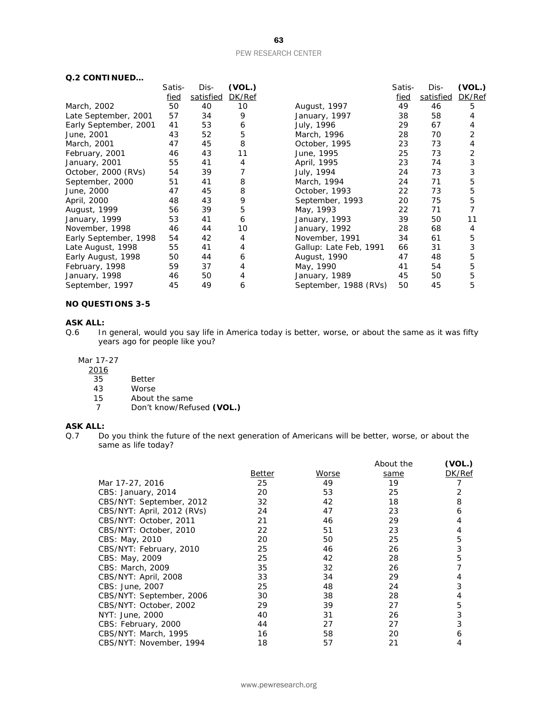| Q.2 CONTINUED         |             |           |        |                        |        |           |        |
|-----------------------|-------------|-----------|--------|------------------------|--------|-----------|--------|
|                       | Satis-      | Dis-      | (VOL.) |                        | Satis- | Dis-      | (VOL.) |
|                       | <u>fied</u> | satisfied | DK/Ref |                        | fied   | satisfied | DK/Ref |
| March, 2002           | 50          | 40        | 10     | August, 1997           | 49     | 46        | 5      |
| Late September, 2001  | 57          | 34        | 9      | January, 1997          | 38     | 58        | 4      |
| Early September, 2001 | 41          | 53        | 6      | July, 1996             | 29     | 67        | 4      |
| June, 2001            | 43          | 52        | 5      | March, 1996            | 28     | 70        | 2      |
| March, 2001           | 47          | 45        | 8      | October, 1995          | 23     | 73        | 4      |
| February, 2001        | 46          | 43        | 11     | June, 1995             | 25     | 73        | 2      |
| January, 2001         | 55          | 41        | 4      | April, 1995            | 23     | 74        | 3      |
| October, 2000 (RVs)   | 54          | 39        |        | July, 1994             | 24     | 73        | 3      |
| September, 2000       | 51          | 41        | 8      | March, 1994            | 24     | 71        | 5      |
| June, 2000            | 47          | 45        | 8      | October, 1993          | 22     | 73        | 5      |
| April, 2000           | 48          | 43        | 9      | September, 1993        | 20     | 75        | 5      |
| August, 1999          | 56          | 39        | 5      | May, 1993              | 22     | 71        |        |
| January, 1999         | 53          | 41        | 6      | January, 1993          | 39     | 50        | 11     |
| November, 1998        | 46          | 44        | 10     | January, 1992          | 28     | 68        | 4      |
| Early September, 1998 | 54          | 42        | 4      | November, 1991         | 34     | 61        | 5      |
| Late August, 1998     | 55          | 41        | 4      | Gallup: Late Feb, 1991 | 66     | 31        | 3      |
| Early August, 1998    | 50          | 44        | 6      | August, 1990           | 47     | 48        | 5      |
| February, 1998        | 59          | 37        | 4      | May, 1990              | 41     | 54        | 5      |
| January, 1998         | 46          | 50        | 4      | January, 1989          | 45     | 50        | 5      |
| September, 1997       | 45          | 49        | 6      | September, 1988 (RVs)  | 50     | 45        | 5      |

#### **NO QUESTIONS 3-5**

#### **ASK ALL:**

Q.6 In general, would you say life in America today is better, worse, or about the same as it was fifty years ago for people like you?

#### Mar 17-27

- $\frac{2016}{35}$
- 35 Better<br>43 Worse
- 43 Worse<br>15 About
- 15 About the same<br>7 Don't know/Refu 7 Don't know/Refused **(VOL.)**

## **ASK ALL:**<br>Q.7 Do

Do you think the future of the next generation of Americans will be better, worse, or about the same as life today?

|                            |        |       | About the | (VOL.) |
|----------------------------|--------|-------|-----------|--------|
|                            | Better | Worse | same      | DK/Ref |
| Mar 17-27, 2016            | 25     | 49    | 19        |        |
| CBS: January, 2014         | 20     | 53    | 25        |        |
| CBS/NYT: September, 2012   | 32     | 42    | 18        | 8      |
| CBS/NYT: April, 2012 (RVs) | 24     | 47    | 23        | 6      |
| CBS/NYT: October, 2011     | 21     | 46    | 29        |        |
| CBS/NYT: October, 2010     | 22     | 51    | 23        |        |
| CBS: May, 2010             | 20     | 50    | 25        | 5      |
| CBS/NYT: February, 2010    | 25     | 46    | 26        | 3      |
| <i>CBS</i> : May, 2009     | 25     | 42    | 28        | 5      |
| CBS: March, 2009           | 35     | 32    | 26        |        |
| CBS/NYT: April, 2008       | 33     | 34    | 29        |        |
| <i>CBS: June, 2007</i>     | 25     | 48    | 24        | 3      |
| CBS/NYT: September, 2006   | 30     | 38    | 28        |        |
| CBS/NYT: October, 2002     | 29     | 39    | 27        | 5      |
| NYT: June, 2000            | 40     | 31    | 26        | 3      |
| CBS: February, 2000        | 44     | 27    | 27        |        |
| CBS/NYT: March, 1995       | 16     | 58    | 20        | 6      |
| CBS/NYT: November, 1994    | 18     | 57    | 21        | 4      |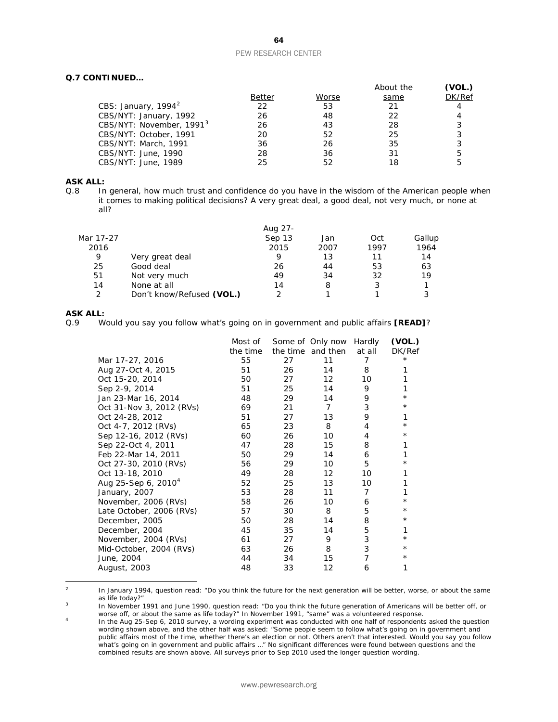#### **Q.7 CONTINUED…**

|                                      |               |       | About the | (VOL.) |
|--------------------------------------|---------------|-------|-----------|--------|
|                                      | <b>Better</b> | Worse | same      | DK/Ref |
| CBS: January, $1994^2$               | 22            | 53    | 21        | 4      |
| CBS/NYT: January, 1992               | 26            | 48    | 22        |        |
| CBS/NYT: November, 1991 <sup>3</sup> | 26            | 43    | 28        | 3      |
| CBS/NYT: October, 1991               | 20            | 52    | 25        | 3      |
| CBS/NYT: March, 1991                 | 36            | 26    | 35        | 3      |
| CBS/NYT: June, 1990                  | 28            | 36    | 31        | 5      |
| CBS/NYT: June, 1989                  | 25            | 52    | 18        | 5      |

## **ASK ALL:**<br>Q.8 In

In general, how much trust and confidence do you have in the wisdom of the American people when it comes to making political decisions? A very great deal, a good deal, not very much, or none at all?

| Aug 27- |      |      |        |
|---------|------|------|--------|
| Sep 13  | Jan  | Oct  | Gallup |
| 2015    | 2007 | 1997 | 1964   |
| Q       | 13   | 11   | 14     |
| 26      | 44   | 53   | 63     |
| 49      | 34   | 32   | 19     |
| 14      | 8    |      |        |
|         |      |      |        |
|         |      |      |        |

## **ASK ALL:**<br>0.9 W

Q.9 Would you say you follow what's going on in government and public affairs **[READ]**?

|                          | Most of  |    | Some of Only now  | Hardly         | (VOL.)   |
|--------------------------|----------|----|-------------------|----------------|----------|
|                          | the time |    | the time and then | at all         | DK/Ref   |
| Mar 17-27, 2016          | 55       | 27 | 11                | 7              | $^\star$ |
| Aug 27-Oct 4, 2015       | 51       | 26 | 14                | 8              |          |
| Oct 15-20, 2014          | 50       | 27 | 12                | 10             |          |
| Sep 2-9, 2014            | 51       | 25 | 14                | 9              | 1        |
| Jan 23-Mar 16, 2014      | 48       | 29 | 14                | 9              | $^\star$ |
| Oct 31-Nov 3, 2012 (RVs) | 69       | 21 | $\overline{7}$    | 3              | $^\star$ |
| Oct 24-28, 2012          | 51       | 27 | 13                | 9              | 1        |
| Oct 4-7, 2012 (RVs)      | 65       | 23 | 8                 | 4              | $^\star$ |
| Sep 12-16, 2012 (RVs)    | 60       | 26 | 10                | 4              | $^\star$ |
| Sep 22-Oct 4, 2011       | 47       | 28 | 15                | 8              |          |
| Feb 22-Mar 14, 2011      | 50       | 29 | 14                | 6              |          |
| Oct 27-30, 2010 (RVs)    | 56       | 29 | 10                | 5              | $^\star$ |
| Oct 13-18, 2010          | 49       | 28 | 12                | 10             |          |
| Aug 25-Sep 6, $2010^4$   | 52       | 25 | 13                | 10             |          |
| January, 2007            | 53       | 28 | 11                | $\overline{7}$ |          |
| November, 2006 (RVs)     | 58       | 26 | 10                | 6              | $^\star$ |
| Late October, 2006 (RVs) | 57       | 30 | 8                 | 5              | $^\star$ |
| December, 2005           | 50       | 28 | 14                | 8              | $^\star$ |
| December, 2004           | 45       | 35 | 14                | 5              | 1        |
| November, 2004 (RVs)     | 61       | 27 | 9                 | 3              | $^\star$ |
| Mid-October, 2004 (RVs)  | 63       | 26 | 8                 | 3              | $^\star$ |
| June, 2004               | 44       | 34 | 15                | 7              | $^\star$ |
| August, 2003             | 48       | 33 | 12                | 6              | 1        |
|                          |          |    |                   |                |          |

<span id="page-64-0"></span> $\overline{2}$ In January 1994, question read: "Do you think the future for the next generation will be better, worse, or about the same as life today?"

<span id="page-64-1"></span><sup>3</sup> In November 1991 and June 1990, question read: "Do you think the future generation of Americans will be better off, or worse off, or about the same as life today?" In November 1991, "same" was a volunteered response.

<span id="page-64-2"></span><sup>4</sup> In the Aug 25-Sep 6, 2010 survey, a wording experiment was conducted with one half of respondents asked the question wording shown above, and the other half was asked: "Some people seem to follow what's going on in government and public affairs most of the time, whether there's an election or not. Others aren't that interested. Would you say you follow what's going on in government and public affairs …" No significant differences were found between questions and the combined results are shown above. All surveys prior to Sep 2010 used the longer question wording.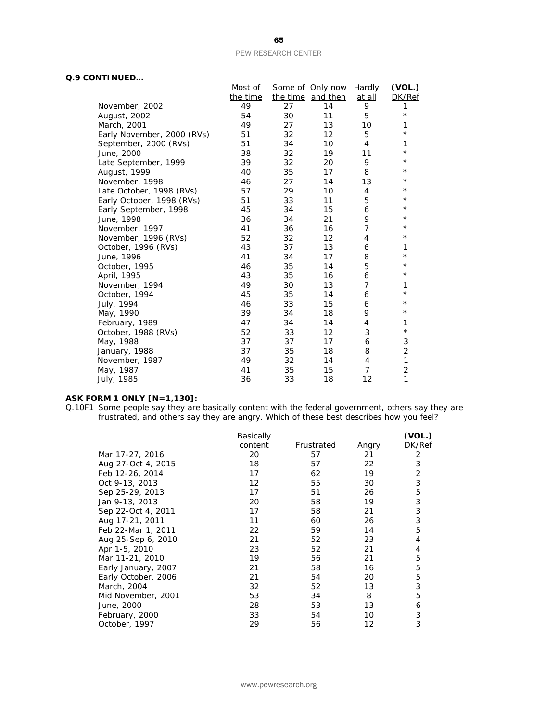#### **Q.9 CONTINUED…**

|                            | Most of  |    | Some of Only now Hardly |                | (VOL.)         |
|----------------------------|----------|----|-------------------------|----------------|----------------|
|                            | the time |    | the time and then       | at all         | DK/Ref         |
| November, 2002             | 49       | 27 | 14                      | 9              | 1              |
| August, 2002               | 54       | 30 | 11                      | 5              | $\star$        |
| March, 2001                | 49       | 27 | 13                      | 10             | 1              |
| Early November, 2000 (RVs) | 51       | 32 | 12                      | 5              | $^{\star}$     |
| September, 2000 (RVs)      | 51       | 34 | 10                      | 4              | 1              |
| June, 2000                 | 38       | 32 | 19                      | 11             | $\star$        |
| Late September, 1999       | 39       | 32 | 20                      | 9              | $^{\star}$     |
| August, 1999               | 40       | 35 | 17                      | 8              | $^\star$       |
| November, 1998             | 46       | 27 | 14                      | 13             | $\star$        |
| Late October, 1998 (RVs)   | 57       | 29 | 10                      | 4              | $^\star$       |
| Early October, 1998 (RVs)  | 51       | 33 | 11                      | 5              | $^\star$       |
| Early September, 1998      | 45       | 34 | 15                      | 6              | $^{\star}$     |
| June, 1998                 | 36       | 34 | 21                      | 9              | $^\star$       |
| November, 1997             | 41       | 36 | 16                      | $\overline{7}$ | $^\star$       |
| November, 1996 (RVs)       | 52       | 32 | 12                      | $\overline{4}$ | $^\star$       |
| October, 1996 (RVs)        | 43       | 37 | 13                      | 6              | 1              |
| June, 1996                 | 41       | 34 | 17                      | 8              | $^{\star}$     |
| October, 1995              | 46       | 35 | 14                      | 5              | $^\star$       |
| April, 1995                | 43       | 35 | 16                      | 6              | $\star$        |
| November, 1994             | 49       | 30 | 13                      | 7              | 1              |
| October, 1994              | 45       | 35 | 14                      | 6              | $^\star$       |
| July, 1994                 | 46       | 33 | 15                      | 6              | $\star$        |
| May, 1990                  | 39       | 34 | 18                      | 9              | $^{\star}$     |
| February, 1989             | 47       | 34 | 14                      | 4              | 1              |
| October, 1988 (RVs)        | 52       | 33 | 12                      | 3              | $\star$        |
| May, 1988                  | 37       | 37 | 17                      | 6              | 3              |
| January, 1988              | 37       | 35 | 18                      | 8              | $\overline{2}$ |
| November, 1987             | 49       | 32 | 14                      | $\overline{4}$ | 1              |
| May, 1987                  | 41       | 35 | 15                      | 7              | $\overline{2}$ |
| July, 1985                 | 36       | 33 | 18                      | 12             | 1              |

#### **ASK FORM 1 ONLY [N=1,130]:**

Q.10F1 Some people say they are basically content with the federal government, others say they are frustrated, and others say they are angry. Which of these best describes how you feel?

|                     | Basically |            |              | (VOL.) |
|---------------------|-----------|------------|--------------|--------|
|                     | content   | Frustrated | <u>Angry</u> | DK/Ref |
| Mar 17-27, 2016     | 20        | 57         | 21           | 2      |
| Aug 27-Oct 4, 2015  | 18        | 57         | 22           | 3      |
| Feb 12-26, 2014     | 17        | 62         | 19           | 2      |
| Oct 9-13, 2013      | 12        | 55         | 30           | 3      |
| Sep 25-29, 2013     | 17        | 51         | 26           | 5      |
| Jan 9-13, 2013      | 20        | 58         | 19           | 3      |
| Sep 22-Oct 4, 2011  | 17        | 58         | 21           | 3      |
| Aug 17-21, 2011     | 11        | 60         | 26           | 3      |
| Feb 22-Mar 1, 2011  | 22        | 59         | 14           | 5      |
| Aug 25-Sep 6, 2010  | 21        | 52         | 23           | 4      |
| Apr 1-5, 2010       | 23        | 52         | 21           | 4      |
| Mar 11-21, 2010     | 19        | 56         | 21           | 5      |
| Early January, 2007 | 21        | 58         | 16           | 5      |
| Early October, 2006 | 21        | 54         | 20           | 5      |
| March, 2004         | 32        | 52         | 13           | 3      |
| Mid November, 2001  | 53        | 34         | 8            | 5      |
| June, 2000          | 28        | 53         | 13           | 6      |
| February, 2000      | 33        | 54         | 10           | 3      |
| October, 1997       | 29        | 56         | 12           | 3      |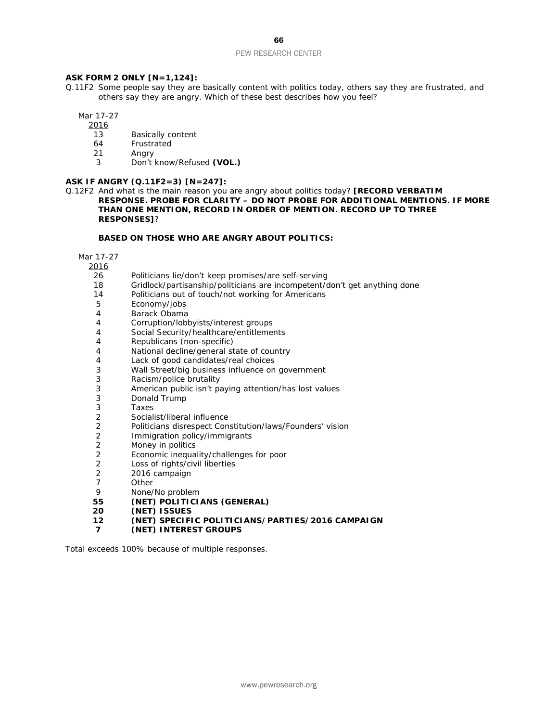#### **ASK FORM 2 ONLY [N=1,124]:**

Q.11F2 Some people say they are basically content with politics today, others say they are frustrated, and others say they are angry. Which of these best describes how you feel?

Mar 17-27

2016

- 13 Basically content
- 64 Frustrated
- 21 Angry
- 3 Don't know/Refused **(VOL.)**

#### **ASK IF ANGRY (Q.11F2=3) [N=247]:**

Q.12F2 And what is the main reason you are angry about politics today? **[RECORD VERBATIM RESPONSE. PROBE FOR CLARITY – DO NOT PROBE FOR ADDITIONAL MENTIONS. IF MORE THAN ONE MENTION, RECORD IN ORDER OF MENTION. RECORD UP TO THREE RESPONSES]**?

#### **BASED ON THOSE WHO ARE ANGRY ABOUT POLITICS:**

Mar 17-27

 $\frac{2016}{36}$ 

- 26 Politicians lie/don't keep promises/are self-serving<br>18 Gridlock/partisanship/politicians are incompetent/c
- Gridlock/partisanship/politicians are incompetent/don't get anything done
- 14 Politicians out of touch/not working for Americans
- 5 Economy/jobs
- 4 Barack Obama<br>4 Corruption/lobb
- Corruption/lobbyists/interest groups
- 4 Social Security/healthcare/entitlements
- 4 Republicans (non-specific)
- 4 National decline/general state of country
- 4 Lack of good candidates/real choices
- 3 Wall Street/big business influence on government
- 3 Racism/police brutality
- 3 American public isn't paying attention/has lost values
- 3 Donald Trump<br>3 Taxes
- 3 Taxes<br>2 Sociali
- 2 Socialist/liberal influence<br>2 Politicians disrespect Con
- 2 Politicians disrespect Constitution/laws/Founders' vision
- 2 Immigration policy/immigrants<br>2 Money in politics
- Money in politics
- 2 Economic inequality/challenges for poor
- 2 Loss of rights/civil liberties
- 2 2016 campaign<br>7 0ther
- 7 Other<br>9 None/
- 9 None/No problem<br>55 **(NET) POLITICI**
- **55 (NET) POLITICIANS (GENERAL)**
- **20 (NET) ISSUES**
- **12 (NET) SPECIFIC POLITICIANS/PARTIES/2016 CAMPAIGN**
- **7 (NET) INTEREST GROUPS**

*Total exceeds 100% because of multiple responses.*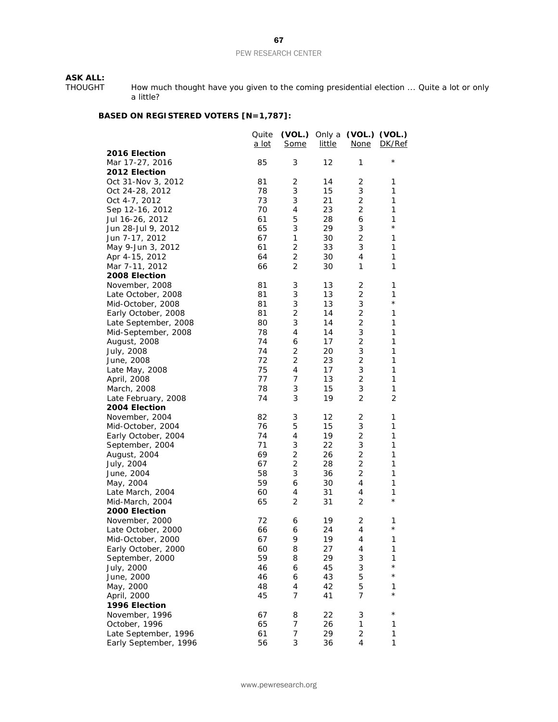## **ASK ALL:**<br>THOUGHT

THOUGHT How much thought have you given to the coming presidential election ... Quite a lot or only a little?

### **BASED ON REGISTERED VOTERS [N=1,787]:**

|                       | Quite<br><u>a lot</u> | (VOL.) Only a<br><b>Some</b> | <u>little</u> | (VOL.) (VOL.)<br><b>None</b> | DK/Ref         |
|-----------------------|-----------------------|------------------------------|---------------|------------------------------|----------------|
| 2016 Election         |                       |                              |               |                              |                |
| Mar 17-27, 2016       | 85                    | 3                            | 12            | 1                            | $^\star$       |
| 2012 Election         |                       |                              |               |                              |                |
| Oct 31-Nov 3, 2012    | 81                    | 2                            | 14            | 2                            | 1              |
| Oct 24-28, 2012       | 78                    | 3                            | 15            | 3                            | 1              |
| Oct 4-7, 2012         | 73                    | 3                            | 21            | $\overline{2}$               | 1              |
| Sep 12-16, 2012       | 70                    | 4                            | 23            | $\overline{2}$               | 1              |
| Jul 16-26, 2012       | 61                    | 5                            | 28            | 6                            | 1              |
| Jun 28-Jul 9, 2012    | 65                    | 3                            | 29            | 3                            | $^{\star}$     |
| Jun 7-17, 2012        | 67                    | 1                            | 30            | $\overline{2}$               | 1              |
| May 9-Jun 3, 2012     | 61                    | 2                            | 33            | 3                            | 1              |
| Apr 4-15, 2012        | 64                    | 2                            | 30            | $\overline{4}$               | 1              |
| Mar 7-11, 2012        | 66                    | $\overline{2}$               | 30            | 1                            | 1              |
| 2008 Election         |                       |                              |               |                              |                |
| November, 2008        | 81                    | 3                            | 13            | 2                            | 1              |
| Late October, 2008    | 81                    | 3                            | 13            | $\overline{2}$               | 1              |
| Mid-October, 2008     | 81                    | 3                            | 13            | 3                            | $\star$        |
| Early October, 2008   | 81                    | 2                            | 14            | 2                            | 1              |
| Late September, 2008  | 80                    | 3                            | 14            | $\overline{2}$               | $\mathbf{1}$   |
| Mid-September, 2008   | 78                    | 4                            | 14            | 3                            | 1              |
| August, 2008          | 74                    | 6                            | 17            | 2                            | $\mathbf{1}$   |
| July, 2008            | 74                    | 2                            | 20            | 3                            | $\mathbf{1}$   |
| June, 2008            | 72                    | $\overline{2}$               | 23            | $\mathbf 2$                  | 1              |
| Late May, 2008        | 75                    | 4                            | 17            | $\ensuremath{\mathsf{3}}$    | 1              |
| April, 2008           | 77                    | 7                            | 13            | 2                            | 1              |
| March, 2008           | 78                    | 3                            | 15            | 3                            | $\mathbf{1}$   |
| Late February, 2008   | 74                    | 3                            | 19            | $\overline{2}$               | $\overline{2}$ |
| 2004 Election         |                       |                              |               |                              |                |
| November, 2004        | 82                    | 3                            | 12            | 2                            | 1              |
| Mid-October, 2004     | 76                    | 5                            | 15            | 3                            | 1              |
| Early October, 2004   | 74                    | 4                            | 19            | $\overline{2}$               | 1              |
| September, 2004       | 71                    | 3                            | 22            | 3                            | 1              |
| August, 2004          | 69                    | $\overline{2}$               | 26            | $\sqrt{2}$                   | 1              |
| July, 2004            | 67                    | 2                            | 28            | $\overline{2}$               | 1              |
| June, 2004            | 58                    | 3                            | 36            | $\sqrt{2}$                   | 1              |
| May, 2004             | 59                    | 6                            | 30            | 4                            | 1              |
| Late March, 2004      | 60                    | 4                            | 31            | 4                            | 1              |
| Mid-March, 2004       | 65                    | $\overline{2}$               | 31            | $\overline{2}$               | $\star$        |
| 2000 Election         |                       |                              |               |                              |                |
| November, 2000        | 72                    | 6                            | 19            | 2                            | 1              |
| Late October, 2000    | 66                    | 6                            | 24            | 4                            | $\star$        |
| Mid-October, 2000     | 67                    | 9                            | 19            | 4                            | 1              |
| Early October, 2000   | 60                    | 8                            | 27            | 4                            | 1              |
| September, 2000       | 59                    | 8                            | 29            | 3                            | 1              |
| July, 2000            | 46                    | 6                            | 45            | 3                            | $^{\star}$     |
| June, 2000            | 46                    | 6                            | 43            | 5                            | $\star$        |
| May, 2000             | 48                    | 4                            | 42            | 5                            | 1              |
| April, 2000           | 45                    | 7                            | 41            | $\overline{7}$               | $^\star$       |
| 1996 Election         |                       |                              |               |                              |                |
| November, 1996        | 67                    | 8                            | 22            | 3                            | $^\star$       |
| October, 1996         | 65                    | 7                            | 26            | 1                            | 1              |
| Late September, 1996  | 61                    | 7                            | 29            | $\overline{c}$               | 1              |
| Early September, 1996 | 56                    | 3                            | 36            | $\overline{4}$               | 1              |
|                       |                       |                              |               |                              |                |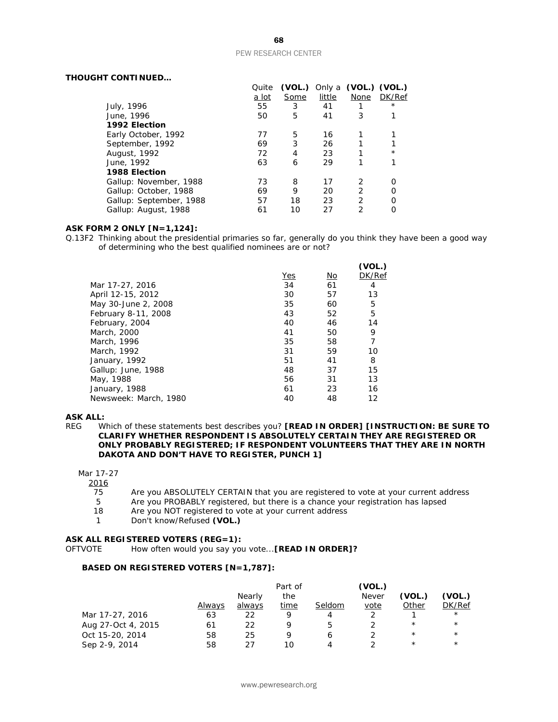#### **THOUGHT CONTINUED…**

|                         | Quite        | (VOL.) |        | Only a (VOL.) (VOL.) |          |
|-------------------------|--------------|--------|--------|----------------------|----------|
|                         | <u>a lot</u> | Some   | little | None                 | DK/Ref   |
| July, 1996              | 55           | 3      | 41     |                      | $^\star$ |
| June, 1996              | 50           | 5      | 41     | 3                    |          |
| 1992 Election           |              |        |        |                      |          |
| Early October, 1992     | 77           | 5      | 16     |                      |          |
| September, 1992         | 69           | 3      | 26     |                      |          |
| August, 1992            | 72           | 4      | 23     |                      | $^\star$ |
| June, 1992              | 63           | 6      | 29     |                      |          |
| 1988 Election           |              |        |        |                      |          |
| Gallup: November, 1988  | 73           | 8      | 17     | 2                    |          |
| Gallup: October, 1988   | 69           | 9      | 20     | 2                    |          |
| Gallup: September, 1988 | 57           | 18     | 23     | 2                    |          |
| Gallup: August, 1988    | 61           | 10     | 27     | 2                    |          |

#### **ASK FORM 2 ONLY [N=1,124]:**

Q.13F2 Thinking about the presidential primaries so far, generally do you think they have been a good way of determining who the best qualified nominees are or not?

|            |    | (VOL.) |
|------------|----|--------|
| <b>Yes</b> | No | DK/Ref |
| 34         | 61 | 4      |
| 30         | 57 | 13     |
| 35         | 60 | 5      |
| 43         | 52 | 5      |
| 40         | 46 | 14     |
| 41         | 50 | 9      |
| 35         | 58 | 7      |
| 31         | 59 | 10     |
| 51         | 41 | 8      |
| 48         | 37 | 15     |
| 56         | 31 | 13     |
| 61         | 23 | 16     |
| 40         | 48 | 12     |
|            |    |        |

## **ASK ALL:**<br>REG W

Which of these statements best describes you? **[READ IN ORDER] [INSTRUCTION: BE SURE TO CLARIFY WHETHER RESPONDENT IS ABSOLUTELY CERTAIN THEY ARE REGISTERED OR ONLY PROBABLY REGISTERED; IF RESPONDENT VOLUNTEERS THAT THEY ARE IN NORTH DAKOTA AND DON'T HAVE TO REGISTER, PUNCH 1]**

#### Mar 17-27

 $\frac{2016}{75}$ 

- 75 Are you ABSOLUTELY CERTAIN that you are registered to vote at your current address<br>5 Are you PROBABLY registered, but there is a chance your registration has lapsed
- 5 Are you PROBABLY registered, but there is a chance your registration has lapsed<br>18 Are you NOT registered to vote at your current address
- Are you NOT registered to vote at your current address
- 1 Don't know/Refused **(VOL.)**

#### **ASK ALL REGISTERED VOTERS (REG=1):**

OFTVOTE How often would you say you vote...**[READ IN ORDER]?**

#### **BASED ON REGISTERED VOTERS [N=1,787]:**

|                    |        |        | Part of |        | (VOL.)       |          |            |
|--------------------|--------|--------|---------|--------|--------------|----------|------------|
|                    |        | Nearly | the     |        | <b>Never</b> | (VOL.)   | (VOL.)     |
|                    | Always | always | time    | Seldom | vote         | Other    | DK/Ref     |
| Mar 17-27, 2016    | 63     | 22     | Q       | 4      |              |          | $^{\star}$ |
| Aug 27-Oct 4, 2015 | 61     | 22     | Q       |        |              | $^\star$ | $^{\star}$ |
| Oct 15-20, 2014    | 58     | 25     | Q       |        |              | $^\star$ | $^{\star}$ |
| Sep 2-9, 2014      | 58     | つフ     | 10      |        |              | $^\star$ | $^\star$   |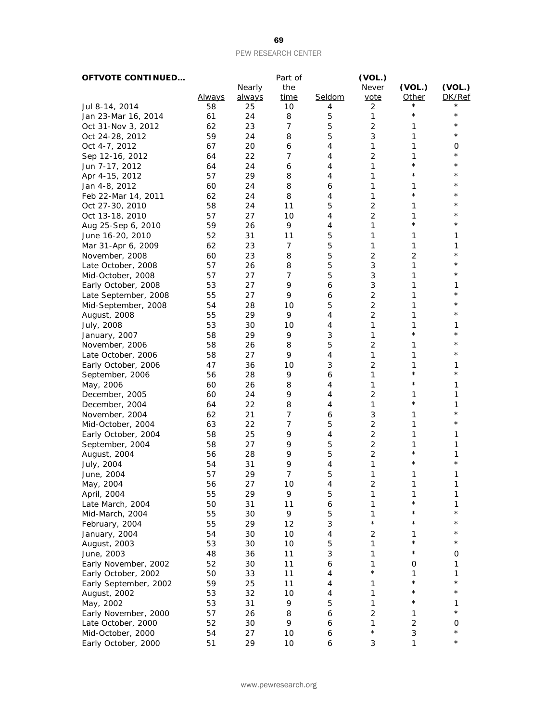| <b>OFTVOTE CONTINUED</b> |               |        | Part of        |        | (VOL.)         |                |            |
|--------------------------|---------------|--------|----------------|--------|----------------|----------------|------------|
|                          |               | Nearly | the            |        | Never          | (VOL.)         | (VOL.)     |
|                          | <u>Always</u> | always | time           | Seldom | vote           | Other          | DK/Ref     |
| Jul 8-14, 2014           | 58            | 25     | 10             | 4      | 2              | $^\star$       | $^\star$   |
| Jan 23-Mar 16, 2014      | 61            | 24     | 8              | 5      | 1              | $^\star$       | $^\star$   |
| Oct 31-Nov 3, 2012       | 62            | 23     | 7              | 5      | 2              | 1              | $^\star$   |
| Oct 24-28, 2012          | 59            | 24     | 8              | 5      | 3              | 1              | $^\star$   |
| Oct 4-7, 2012            | 67            | 20     | 6              | 4      | 1              | 1              | 0          |
| Sep 12-16, 2012          | 64            | 22     | 7              | 4      | $\overline{2}$ | 1              | $^\star$   |
| Jun 7-17, 2012           | 64            | 24     | 6              | 4      | 1              | $\star$        | $^\star$   |
| Apr 4-15, 2012           | 57            | 29     | 8              | 4      | 1              | $^\star$       | $^\star$   |
| Jan 4-8, 2012            | 60            | 24     | 8              | 6      | 1              | 1              | $^\star$   |
| Feb 22-Mar 14, 2011      | 62            | 24     | 8              | 4      | $\mathbf{1}$   | $\star$        | $^\star$   |
| Oct 27-30, 2010          | 58            | 24     | 11             | 5      | $\overline{2}$ | 1              | $^\star$   |
| Oct 13-18, 2010          | 57            | 27     | 10             | 4      | 2              | 1              | $^\star$   |
| Aug 25-Sep 6, 2010       | 59            | 26     | 9              | 4      | $\mathbf{1}$   | $^\star$       | $^\star$   |
| June 16-20, 2010         | 52            | 31     | 11             | 5      | 1              | 1              | 1          |
| Mar 31-Apr 6, 2009       | 62            | 23     | 7              | 5      | 1              | 1              | 1          |
| November, 2008           | 60            | 23     | 8              | 5      | 2              | $\overline{2}$ | $^{\star}$ |
| Late October, 2008       | 57            | 26     | 8              | 5      | 3              | $\mathbf{1}$   | $^\star$   |
| Mid-October, 2008        | 57            | 27     | 7              | 5      | 3              | 1              | $^\star$   |
| Early October, 2008      | 53            | 27     | 9              | 6      | 3              | 1              | 1          |
| Late September, 2008     | 55            | 27     | 9              | 6      | 2              | 1              | $^\star$   |
| Mid-September, 2008      | 54            | 28     | 10             | 5      | 2              | 1              | $^\star$   |
| August, 2008             | 55            | 29     | 9              | 4      | $\overline{2}$ | 1              | $^\star$   |
| July, 2008               | 53            | 30     | 10             | 4      | 1              | 1              | 1          |
| January, 2007            | 58            | 29     | 9              | 3      | 1              | $^{\star}$     | $^{\star}$ |
| November, 2006           | 58            | 26     | 8              | 5      | $\overline{2}$ | 1              | $^{\star}$ |
| Late October, 2006       | 58            | 27     | 9              | 4      | 1              | 1              | $^\star$   |
| Early October, 2006      | 47            | 36     | 10             | 3      | $\overline{c}$ | 1              | 1          |
| September, 2006          | 56            | 28     | 9              | 6      | $\mathbf{1}$   | $^\star$       | $^\star$   |
| May, 2006                | 60            | 26     | 8              | 4      | 1              | $^\star$       | 1          |
| December, 2005           | 60            | 24     | 9              | 4      | 2              | 1              | 1          |
| December, 2004           | 64            | 22     | 8              | 4      | 1              | $^{\star}$     | 1          |
| November, 2004           | 62            | 21     | 7              | 6      | 3              | $\mathbf{1}$   | $^\star$   |
| Mid-October, 2004        | 63            | 22     | $\overline{7}$ | 5      | $\overline{c}$ | 1              | $^{\star}$ |
| Early October, 2004      | 58            | 25     | 9              | 4      | $\overline{c}$ | 1              | 1          |
| September, 2004          | 58            | 27     | 9              | 5      | 2              | 1              | 1          |
| August, 2004             | 56            | 28     | 9              | 5      | $\overline{c}$ | $^\star$       | 1          |
| July, 2004               | 54            | 31     | 9              | 4      | 1              | $^{\star}$     | $^\star$   |
| June, 2004               | 57            | 29     | $\overline{7}$ | 5      | 1              | 1              | 1          |
| May, 2004                | 56            | 27     | 10             | 4      | 2              | 1              | 1          |
| April, 2004              | 55            | 29     | 9              | 5      | 1              | 1              | 1          |
| Late March, 2004         | 50            | 31     | 11             | 6      | 1              | $^\star$       | 1          |
| Mid-March, 2004          | 55            | 30     | 9              | 5      | 1              | $^\star$       | $^\star$   |
| February, 2004           | 55            | 29     | 12             | 3      | $\star$        | $\star$        | $^\star$   |
| January, 2004            | 54            | 30     | 10             | 4      | $\overline{c}$ | 1              | $\star$    |
| August, 2003             | 53            | 30     | 10             | 5      | 1              | $^{\star}$     | $^\star$   |
| June, 2003               | 48            | 36     | 11             | 3      | 1              | $^\star$       | 0          |
| Early November, 2002     | 52            | 30     | 11             | 6      | 1              | 0              | 1          |
| Early October, 2002      | 50            | 33     | 11             | 4      | $\star$        | 1              | 1          |
| Early September, 2002    | 59            | 25     | 11             | 4      | 1              | $^\star$       | $^\star$   |
| August, 2002             | 53            | 32     | 10             | 4      | 1              | $^\star$       | $^\star$   |
| May, 2002                | 53            | 31     | 9              | 5      | 1              | $^\star$       | 1          |
| Early November, 2000     | 57            | 26     | 8              | 6      | 2              | 1              | $^\star$   |
| Late October, 2000       | 52            | 30     | 9              | 6      | 1              | $\overline{c}$ | 0          |
| Mid-October, 2000        | 54            | 27     | 10             | 6      | $\star$        | 3              | $^\star$   |
| Early October, 2000      | 51            | 29     | 10             | 6      | 3              | 1              | $^\star$   |
|                          |               |        |                |        |                |                |            |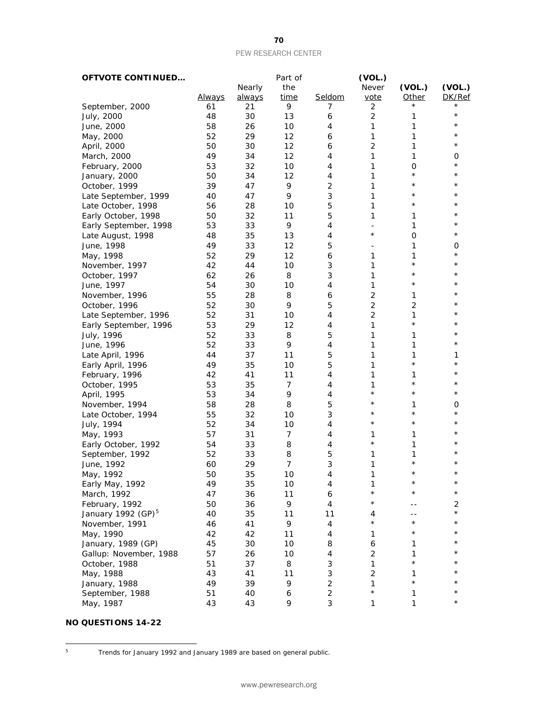| <b>OFTVOTE CONTINUED</b> |               |        | Part of     |                           | (VOL.)                   |                |               |
|--------------------------|---------------|--------|-------------|---------------------------|--------------------------|----------------|---------------|
|                          |               | Nearly | the         |                           | Never                    | (VOL.)         | (VOL.)        |
|                          | <b>Always</b> | always | <u>time</u> | Seldom                    | vote                     | <b>Other</b>   | DK/Ref        |
| September, 2000          | 61            | 21     | 9           | 7                         | 2                        |                |               |
| July, 2000               | 48            | 30     | 13          | 6                         | $\overline{c}$           | 1              | $\star$       |
| June, 2000               | 58            | 26     | 10          | 4                         | 1                        | 1              | $^\star$      |
| May, 2000                | 52            | 29     | 12          | 6                         | 1                        | 1              | $^\star$      |
| April, 2000              | 50            | 30     | 12          | 6                         | $\overline{c}$           | 1              | $^\star$      |
| March, 2000              | 49            | 34     | 12          | 4                         | 1                        | 1              | 0             |
| February, 2000           | 53            | 32     | 10          | 4                         | 1                        | O              | $^\star$      |
| January, 2000            | 50            | 34     | 12          | 4                         | 1                        | $\star$        | $^\star$      |
| October, 1999            | 39            | 47     | 9           | $\overline{2}$            | 1                        | $\star$        | $^\star$      |
| Late September, 1999     | 40            | 47     | 9           | 3                         | 1                        | $^\star$       | $^\star$      |
| Late October, 1998       | 56            | 28     | 10          | 5                         | 1                        | $^\star$       | $^\star$      |
| Early October, 1998      | 50            | 32     | 11          | 5                         | 1                        | 1              | $^\star$      |
| Early September, 1998    | 53            | 33     | 9           | 4                         | $\overline{\phantom{a}}$ | 1              | $^\star$      |
| Late August, 1998        | 48            | 35     | 13          | 4                         | $^\star$                 | $\mathbf 0$    | $^\star$      |
| June, 1998               | 49            | 33     | 12          | 5                         |                          | 1              | 0             |
| May, 1998                | 52            | 29     | 12          | 6                         | 1                        | 1              | $^\star$      |
| November, 1997           | 42            | 44     | 10          | 3                         | 1                        | $\star$        | $^\star$      |
| October, 1997            | 62            | 26     | 8           | 3                         | 1                        | $^\star$       | $^\star$      |
| June, 1997               | 54            | 30     | 10          | 4                         | 1                        | $^{\star}$     | *             |
| November, 1996           | 55            | 28     | 8           | 6                         | $\overline{2}$           | 1              | $^\star$      |
| October, 1996            | 52            | 30     | 9           | 5                         | $\overline{2}$           | $\overline{2}$ | $^\star$      |
| Late September, 1996     | 52            | 31     | 10          | 4                         | $\overline{2}$           | 1              | $^\star$      |
| Early September, 1996    | 53            | 29     | 12          | 4                         | 1                        | $\star$        | *             |
| July, 1996               | 52            | 33     | 8           | 5                         | 1                        | 1              | $^\star$      |
| June, 1996               | 52            | 33     | 9           | 4                         | 1                        | 1              | $^\star$      |
| Late April, 1996         | 44            | 37     | 11          | 5                         | 1                        | 1              | 1             |
| Early April, 1996        | 49            | 35     | 10          | 5                         | 1                        | $\star$        | $^\star$      |
| February, 1996           | 42            | 41     | 11          | 4                         | 1                        | 1              | $^\star$      |
| October, 1995            | 53            | 35     | 7           | 4                         | 1                        | $\star$        | $^\star$      |
| April, 1995              | 53            | 34     | 9           | 4                         | $^{\star}$               | $^{\star}$     | $^\star$      |
| November, 1994           | 58            | 28     | 8           | 5                         | $^\star$                 | 1              | 0             |
| Late October, 1994       | 55            | 32     | 10          | 3                         | $\star$                  | $^\star$       | $^\star$      |
|                          | 52            | 34     | 10          | 4                         | $^\star$                 | $\star$        | $^\star$      |
| July, 1994               | 57            | 31     | 7           | 4                         | 1                        | 1              | $^\star$      |
| May, 1993                | 54            | 33     | 8           | 4                         | $\star$                  | 1              | $^\star$      |
| Early October, 1992      | 52            | 33     | 8           | 5                         | 1                        | 1              | $^\star$      |
| September, 1992          | 60            | 29     | 7           | 3                         | 1                        | $^\star$       | $^\star$      |
| June, 1992               |               |        |             |                           |                          | $\star$        | $^\star$      |
| May, 1992                | 50            | 35     | 10          | 4                         | 1                        | $^\star$       | $^\star$      |
| Early May, 1992          | 49            | 35     | 10          | 4                         | 1<br>$^\star$            | $^\star$       | $^\star$      |
| March, 1992              | 47            | 36     | 11          | 6                         | $^\star$                 |                |               |
| February, 1992           | 50            | 36     | 9           | 4                         |                          |                | 2<br>$^\star$ |
| January 1992 $(GP)^5$    | 40            | 35     | 11          | 11                        | 4<br>$^\star$            | $\star$        | $^\star$      |
| November, 1991           | 46            | 41     | 9           | $\overline{4}$            |                          |                | $^\star$      |
| May, 1990                | 42            | 42     | 11          | 4                         | 1                        | $^\star$       |               |
| January, 1989 (GP)       | 45            | 30     | 10          | 8                         | 6                        | 1              | $^\star$      |
| Gallup: November, 1988   | 57            | 26     | 10          | 4                         | 2                        | 1              | $^\star$      |
| October, 1988            | 51            | 37     | 8           | 3                         | 1                        | $\star$        | $^\star$      |
| May, 1988                | 43            | 41     | 11          | 3                         | $\overline{2}$           | 1              | $^\star$      |
| January, 1988            | 49            | 39     | 9           | $\overline{c}$            | 1                        | $\star$        |               |
| September, 1988          | 51            | 40     | 6           | $\mathbf 2$               | $\star$                  | 1              | $^\star$      |
| May, 1987                | 43            | 43     | 9           | $\ensuremath{\mathsf{3}}$ | 1                        | $\mathbf{1}$   | $^\star$      |
|                          |               |        |             |                           |                          |                |               |

### **NO QUESTIONS 14-22**

<span id="page-70-0"></span> $5^{\circ}$ 

<sup>5</sup> Trends for January 1992 and January 1989 are based on general public.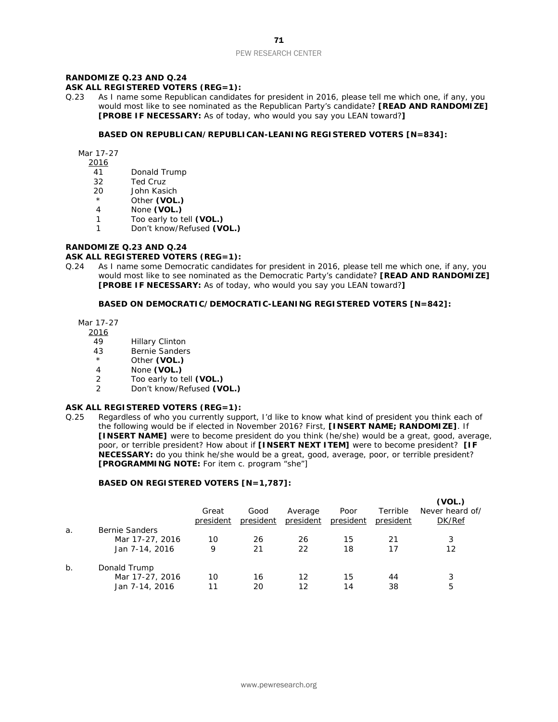### **RANDOMIZE Q.23 AND Q.24**

#### **ASK ALL REGISTERED VOTERS (REG=1):**

Q.23 As I name some Republican candidates for president in 2016, please tell me which one, if any, you would most like to see nominated as the Republican Party's candidate? **[READ AND RANDOMIZE] [PROBE IF NECESSARY:** As of today, who would you say you LEAN toward?**]**

#### **BASED ON REPUBLICAN/REPUBLICAN-LEANING REGISTERED VOTERS [N=834]:**

Mar 17-27

- 2016
- 41 Donald Trump
- 32 Ted Cruz
- 20 John Kasich
- \* Other **(VOL.)**<br>4 None **(VOL.)**
- None **(VOL.)**
- 1 Too early to tell **(VOL.)**
- 1 Don't know/Refused **(VOL.)**

#### **RANDOMIZE Q.23 AND Q.24**

#### **ASK ALL REGISTERED VOTERS (REG=1):**

Q.24 As I name some Democratic candidates for president in 2016, please tell me which one, if any, you would most like to see nominated as the Democratic Party's candidate? **[READ AND RANDOMIZE] [PROBE IF NECESSARY:** As of today, who would you say you LEAN toward?**]**

#### **BASED ON DEMOCRATIC/DEMOCRATIC-LEANING REGISTERED VOTERS [N=842]:**

Mar 17-27

2016

- 49 Hillary Clinton
- 43 Bernie Sanders<br>
A Other (VOL)
- Other (VOL.)
- 4 None **(VOL.)**
- 2 Too early to tell **(VOL.)**
- 2 Don't know/Refused **(VOL.)**

#### **ASK ALL REGISTERED VOTERS (REG=1):**

Q.25 Regardless of who you currently support, I'd like to know what kind of president you think each of the following would be if elected in November 2016? First, **[INSERT NAME; RANDOMIZE]**. If **[INSERT NAME]** were to become president do you think (he/she) would be a great, good, average, poor, or terrible president? How about if **[INSERT NEXT ITEM]** were to become president? **[IF NECESSARY:** do you think he/she would be a great, good, average, poor, or terrible president? **[PROGRAMMING NOTE:** For item c. program "she"]

#### **BASED ON REGISTERED VOTERS [N=1,787]:**

|    |                 | Great<br>president | Good<br>president | Average<br>president | Poor<br>president | Terrible<br>president | (VOL.)<br>Never heard of/<br>DK/Ref |
|----|-----------------|--------------------|-------------------|----------------------|-------------------|-----------------------|-------------------------------------|
| a. | Bernie Sanders  |                    |                   |                      |                   |                       |                                     |
|    | Mar 17-27, 2016 | 10                 | 26                | 26                   | 15                | 21                    | 3                                   |
|    | Jan 7-14, 2016  | 9                  | 21                | 22                   | 18                | 17                    | 12                                  |
| b. | Donald Trump    |                    |                   |                      |                   |                       |                                     |
|    | Mar 17-27, 2016 | 10                 | 16                | 12                   | 15                | 44                    | 3                                   |
|    | Jan 7-14, 2016  | 11                 | 20                | 12                   | 14                | 38                    | 5                                   |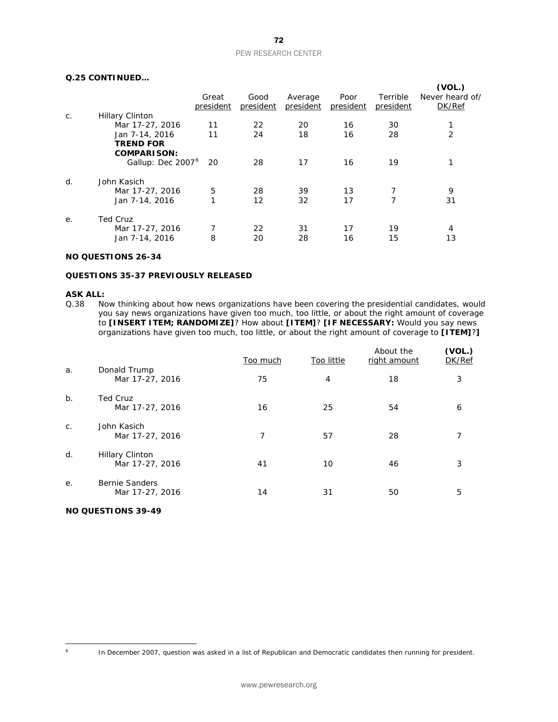# **Q.25 CONTINUED…**

|    |                                  |                    |                   |                      |                   |                       | (VOL.)                    |
|----|----------------------------------|--------------------|-------------------|----------------------|-------------------|-----------------------|---------------------------|
|    |                                  | Great<br>president | Good<br>president | Average<br>president | Poor<br>president | Terrible<br>president | Never heard of/<br>DK/Ref |
| C. | <b>Hillary Clinton</b>           |                    |                   |                      |                   |                       |                           |
|    | Mar 17-27, 2016                  | 11                 | 22                | 20                   | 16                | 30                    |                           |
|    | Jan 7-14, 2016                   | 11                 | 24                | 18                   | 16                | 28                    | 2                         |
|    | <b>TREND FOR</b>                 |                    |                   |                      |                   |                       |                           |
|    | <b>COMPARISON:</b>               |                    |                   |                      |                   |                       |                           |
|    | Gallup: Dec 2007 <sup>6</sup> 20 |                    | 28                | 17                   | 16                | 19                    |                           |
| d. | John Kasich                      |                    |                   |                      |                   |                       |                           |
|    | Mar 17-27, 2016                  | 5                  | 28                | 39                   | 13                | 7                     | 9                         |
|    | Jan 7-14, 2016                   | 1                  | 12                | 32                   | 17                | 7                     | 31                        |
| е. | <b>Ted Cruz</b>                  |                    |                   |                      |                   |                       |                           |
|    | Mar 17-27, 2016                  |                    | 22                | 31                   | 17                | 19                    | 4                         |
|    | Jan 7-14, 2016                   | 8                  | 20                | 28                   | 16                | 15                    | 13                        |
|    |                                  |                    |                   |                      |                   |                       |                           |

# **NO QUESTIONS 26-34**

# **QUESTIONS 35-37 PREVIOUSLY RELEASED**

#### **ASK ALL:**

Q.38 Now thinking about how news organizations have been covering the presidential candidates, would you say news organizations have given too much, too little, or about the right amount of coverage to **[INSERT ITEM; RANDOMIZE]**? How about **[ITEM]**? **[IF NECESSARY:** Would you say news organizations have given too much, too little, or about the right amount of coverage to **[ITEM]**?**]**

|         |                                           | Too much | Too little     | About the<br>right amount | (VOL.)<br>DK/Ref |
|---------|-------------------------------------------|----------|----------------|---------------------------|------------------|
| a.      | Donald Trump<br>Mar 17-27, 2016           | 75       | $\overline{4}$ | 18                        | 3                |
| $b$ .   | <b>Ted Cruz</b><br>Mar 17-27, 2016        | 16       | 25             | 54                        | 6                |
| $C_{1}$ | John Kasich<br>Mar 17-27, 2016            | 7        | 57             | 28                        | 7                |
| d.      | <b>Hillary Clinton</b><br>Mar 17-27, 2016 | 41       | 10             | 46                        | 3                |
| е.      | <b>Bernie Sanders</b><br>Mar 17-27, 2016  | 14       | 31             | 50                        | 5                |

# **NO QUESTIONS 39-49**

<span id="page-72-0"></span> $6\overline{6}$ 

In December 2007, question was asked in a list of Republican and Democratic candidates then running for president.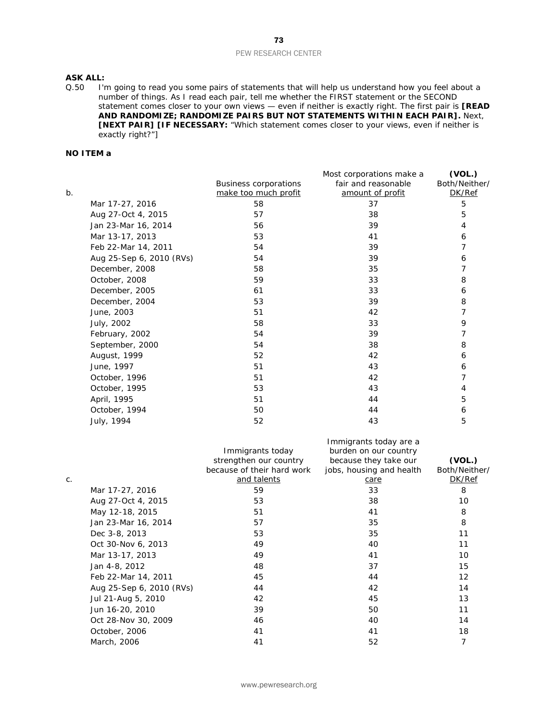# **ASK ALL:**

Q.50 I'm going to read you some pairs of statements that will help us understand how you feel about a number of things. As I read each pair, tell me whether the FIRST statement or the SECOND statement comes closer to your own views — even if neither is exactly right. The first pair is **[READ AND RANDOMIZE; RANDOMIZE PAIRS BUT NOT STATEMENTS WITHIN EACH PAIR].** Next, **[NEXT PAIR] [IF NECESSARY:** "Which statement comes closer to your views, even if neither is exactly right?"]

# **NO ITEM a**

|       |                          |                              | Most corporations make a | (VOL.)        |
|-------|--------------------------|------------------------------|--------------------------|---------------|
|       |                          | <b>Business corporations</b> | fair and reasonable      | Both/Neither/ |
| $b$ . |                          | make too much profit         | amount of profit         | DK/Ref        |
|       | Mar 17-27, 2016          | 58                           | 37                       | 5             |
|       | Aug 27-Oct 4, 2015       | 57                           | 38                       | 5             |
|       | Jan 23-Mar 16, 2014      | 56                           | 39                       | 4             |
|       | Mar 13-17, 2013          | 53                           | 41                       | 6             |
|       | Feb 22-Mar 14, 2011      | 54                           | 39                       | 7             |
|       | Aug 25-Sep 6, 2010 (RVs) | 54                           | 39                       | 6             |
|       | December, 2008           | 58                           | 35                       | 7             |
|       | October, 2008            | 59                           | 33                       | 8             |
|       | December, 2005           | 61                           | 33                       | 6             |
|       | December, 2004           | 53                           | 39                       | 8             |
|       | June, 2003               | 51                           | 42                       | 7             |
|       | July, 2002               | 58                           | 33                       | 9             |
|       | February, 2002           | 54                           | 39                       | 7             |
|       | September, 2000          | 54                           | 38                       | 8             |
|       | August, 1999             | 52                           | 42                       | 6             |
|       | June, 1997               | 51                           | 43                       | 6             |
|       | October, 1996            | 51                           | 42                       | 7             |
|       | October, 1995            | 53                           | 43                       | 4             |
|       | April, 1995              | 51                           | 44                       | 5             |
|       | October, 1994            | 50                           | 44                       | 6             |
|       | July, 1994               | 52                           | 43                       | 5             |

|    |                          | Immigrants today<br>strengthen our country<br>because of their hard work | Immigrants today are a<br>burden on our country<br>because they take our<br>jobs, housing and health | (VOL.)<br>Both/Neither/ |
|----|--------------------------|--------------------------------------------------------------------------|------------------------------------------------------------------------------------------------------|-------------------------|
| C. |                          | and talents                                                              | care                                                                                                 | DK/Ref                  |
|    | Mar 17-27, 2016          | 59                                                                       | 33                                                                                                   | 8                       |
|    | Aug 27-Oct 4, 2015       | 53                                                                       | 38                                                                                                   | 10                      |
|    | May 12-18, 2015          | 51                                                                       | 41                                                                                                   | 8                       |
|    | Jan 23-Mar 16, 2014      | 57                                                                       | 35                                                                                                   | 8                       |
|    | Dec 3-8, 2013            | 53                                                                       | 35                                                                                                   | 11                      |
|    | Oct 30-Nov 6, 2013       | 49                                                                       | 40                                                                                                   | 11                      |
|    | Mar 13-17, 2013          | 49                                                                       | 41                                                                                                   | 10                      |
|    | Jan 4-8, 2012            | 48                                                                       | 37                                                                                                   | 15                      |
|    | Feb 22-Mar 14, 2011      | 45                                                                       | 44                                                                                                   | 12                      |
|    | Aug 25-Sep 6, 2010 (RVs) | 44                                                                       | 42                                                                                                   | 14                      |
|    | Jul 21-Aug 5, 2010       | 42                                                                       | 45                                                                                                   | 13                      |
|    | Jun 16-20, 2010          | 39                                                                       | 50                                                                                                   | 11                      |
|    | Oct 28-Nov 30, 2009      | 46                                                                       | 40                                                                                                   | 14                      |
|    | October, 2006            | 41                                                                       | 41                                                                                                   | 18                      |
|    | March, 2006              | 41                                                                       | 52                                                                                                   | 7                       |
|    |                          |                                                                          |                                                                                                      |                         |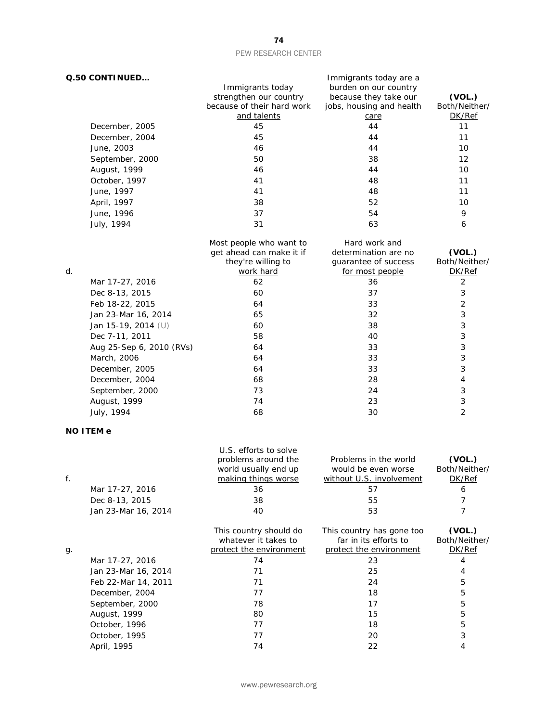| Q.50 CONTINUED           |                            | Immigrants today are a   |                |
|--------------------------|----------------------------|--------------------------|----------------|
|                          | Immigrants today           | burden on our country    |                |
|                          | strengthen our country     | because they take our    | (VOL.)         |
|                          | because of their hard work | jobs, housing and health | Both/Neither/  |
|                          | and talents                | care                     | DK/Ref         |
| December, 2005           | 45                         | 44                       | 11             |
| December, 2004           | 45                         | 44                       | 11             |
| June, 2003               | 46                         | 44                       | 10             |
| September, 2000          | 50                         | 38                       | 12             |
| August, 1999             | 46                         | 44                       | 10             |
| October, 1997            | 41                         | 48                       | 11             |
| June, 1997               | 41                         | 48                       | 11             |
| April, 1997              | 38                         | 52                       | 10             |
| June, 1996               | 37                         | 54                       | 9              |
| July, 1994               | 31                         | 63                       | 6              |
|                          | Most people who want to    | Hard work and            |                |
|                          | get ahead can make it if   | determination are no     | (VOL.)         |
|                          | they're willing to         | guarantee of success     | Both/Neither/  |
| d.                       | work hard                  | for most people          | DK/Ref         |
| Mar 17-27, 2016          | 62                         | 36                       | $\overline{2}$ |
| Dec 8-13, 2015           | 60                         | 37                       | 3              |
| Feb 18-22, 2015          | 64                         | 33                       | $\overline{2}$ |
| Jan 23-Mar 16, 2014      | 65                         | 32                       | 3              |
| Jan 15-19, 2014 (U)      | 60                         | 38                       | 3              |
| Dec 7-11, 2011           | 58                         | 40                       | 3              |
| Aug 25-Sep 6, 2010 (RVs) | 64                         | 33                       | 3              |
| March, 2006              | 64                         | 33                       | 3              |
| December, 2005           | 64                         | 33                       | 3              |
| December, 2004           | 68                         | 28                       | $\overline{4}$ |
| September, 2000          | 73                         | 24                       | 3              |
| August, 1999             | 74                         | 23                       | 3              |
| July, 1994               | 68                         | 30                       | $\overline{2}$ |
| <b>NO ITEM e</b>         |                            |                          |                |
|                          | U.S. efforts to solve      |                          |                |

|    |                     | problems around the<br>world usually end up    | Problems in the world<br>would be even worse       | (VOL.)<br>Both/Neither/ |
|----|---------------------|------------------------------------------------|----------------------------------------------------|-------------------------|
| f. |                     | making things worse                            | without U.S. involvement                           | DK/Ref                  |
|    | Mar 17-27, 2016     | 36                                             | 57                                                 | 6                       |
|    | Dec 8-13, 2015      | 38                                             | 55                                                 |                         |
|    | Jan 23-Mar 16, 2014 | 40                                             | 53                                                 |                         |
|    |                     | This country should do<br>whatever it takes to | This country has gone too<br>far in its efforts to | (VOL.)<br>Both/Neither/ |
| g. |                     | protect the environment                        | protect the environment                            | DK/Ref                  |
|    | Mar 17-27, 2016     | 74                                             | 23                                                 |                         |
|    | Jan 23-Mar 16, 2014 | 71                                             | 25                                                 | 4                       |
|    | Feb 22-Mar 14, 2011 | 71                                             | 24                                                 | 5                       |
|    | December, 2004      | 77                                             | 18                                                 | 5                       |
|    | September, 2000     | 78                                             | 17                                                 | 5                       |
|    | August, 1999        | 80                                             | 15                                                 | 5                       |
|    | October, 1996       | 77                                             | 18                                                 | 5                       |
|    | October, 1995       | 77                                             | 20                                                 | 3                       |
|    | April, 1995         | 74                                             | 22                                                 |                         |

74

www.pewresearch.org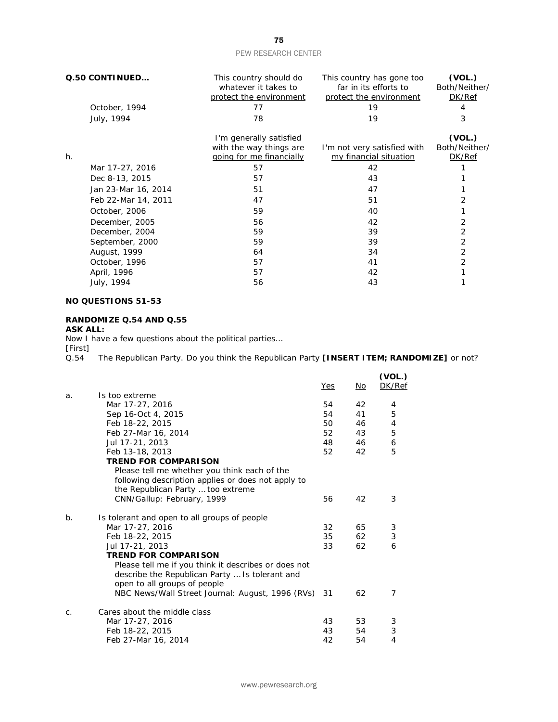|    | Q.50 CONTINUED      | This country should do<br>whatever it takes to<br>protect the environment | This country has gone too<br>far in its efforts to<br>protect the environment | (VOL.)<br>Both/Neither/<br>DK/Ref |
|----|---------------------|---------------------------------------------------------------------------|-------------------------------------------------------------------------------|-----------------------------------|
|    | October, 1994       | 77                                                                        | 19                                                                            | 4                                 |
|    | July, 1994          | 78                                                                        | 19                                                                            | 3                                 |
|    |                     | I'm generally satisfied                                                   |                                                                               | (VOL.)                            |
|    |                     | with the way things are                                                   | I'm not very satisfied with                                                   | Both/Neither/                     |
| h. |                     | going for me financially                                                  | my financial situation                                                        | DK/Ref                            |
|    | Mar 17-27, 2016     | 57                                                                        | 42                                                                            |                                   |
|    | Dec 8-13, 2015      | 57                                                                        | 43                                                                            |                                   |
|    | Jan 23-Mar 16, 2014 | 51                                                                        | 47                                                                            |                                   |
|    | Feb 22-Mar 14, 2011 | 47                                                                        | 51                                                                            |                                   |
|    | October, 2006       | 59                                                                        | 40                                                                            |                                   |
|    | December, 2005      | 56                                                                        | 42                                                                            | 2                                 |
|    | December, 2004      | 59                                                                        | 39                                                                            | 2                                 |
|    | September, 2000     | 59                                                                        | 39                                                                            | 2                                 |
|    | August, 1999        | 64                                                                        | 34                                                                            | 2                                 |
|    | October, 1996       | 57                                                                        | 41                                                                            | 2                                 |
|    | April, 1996         | 57                                                                        | 42                                                                            |                                   |
|    | July, 1994          | 56                                                                        | 43                                                                            |                                   |

# **NO QUESTIONS 51-53**

# **RANDOMIZE Q.54 AND Q.55**

# **ASK ALL:**

Now I have a few questions about the political parties…

[First]<br>Q.54 The Republican Party. Do you think the Republican Party **[INSERT ITEM; RANDOMIZE]** or not?

|    |                                                      | Yes | No | (VOL.)<br>DK/Ref |
|----|------------------------------------------------------|-----|----|------------------|
| a. | Is too extreme                                       |     |    |                  |
|    | Mar 17-27, 2016                                      | 54  | 42 | 4                |
|    | Sep 16-Oct 4, 2015                                   | 54  | 41 | 5                |
|    | Feb 18-22, 2015                                      | 50  | 46 | 4                |
|    | Feb 27-Mar 16, 2014                                  | 52  | 43 | 5                |
|    | Jul 17-21, 2013                                      | 48  | 46 | 6                |
|    | Feb 13-18, 2013                                      | 52  | 42 | 5                |
|    | <b>TREND FOR COMPARISON</b>                          |     |    |                  |
|    | Please tell me whether you think each of the         |     |    |                  |
|    | following description applies or does not apply to   |     |    |                  |
|    | the Republican Party  too extreme                    |     |    |                  |
|    | CNN/Gallup: February, 1999                           | 56  | 42 | 3                |
| b. | Is tolerant and open to all groups of people         |     |    |                  |
|    | Mar 17-27, 2016                                      | 32  | 65 | 3                |
|    | Feb 18-22, 2015                                      | 35  | 62 | 3                |
|    | Jul 17-21, 2013                                      | 33  | 62 | 6                |
|    | <b>TREND FOR COMPARISON</b>                          |     |    |                  |
|    | Please tell me if you think it describes or does not |     |    |                  |
|    | describe the Republican Party  Is tolerant and       |     |    |                  |
|    | open to all groups of people                         |     |    |                  |
|    | NBC News/Wall Street Journal: August, 1996 (RVs) 31  |     | 62 | 7                |
| C. | Cares about the middle class                         |     |    |                  |
|    | Mar 17-27, 2016                                      | 43  | 53 | 3                |
|    | Feb 18-22, 2015                                      | 43  | 54 | 3                |
|    | Feb 27-Mar 16, 2014                                  | 42  | 54 | 4                |
|    |                                                      |     |    |                  |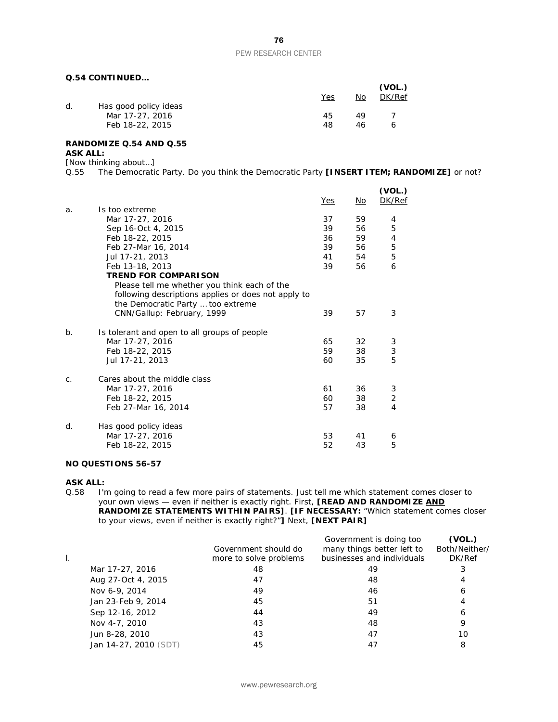# **Q.54 CONTINUED…**

|    |                       | Yes | No. | (VOL.)<br>DK/Ref |
|----|-----------------------|-----|-----|------------------|
| d. | Has good policy ideas |     |     |                  |
|    | Mar 17-27, 2016       | 45  | 49  |                  |
|    | Feb 18-22, 2015       | 48  | 46  |                  |

#### **RANDOMIZE Q.54 AND Q.55 ASK ALL:**

# [Now thinking about…]

Q.55 The Democratic Party. Do you think the Democratic Party **[INSERT ITEM; RANDOMIZE]** or not?

|       |                                                                                                                                          | Yes | No | (VOL.)<br>DK/Ref |
|-------|------------------------------------------------------------------------------------------------------------------------------------------|-----|----|------------------|
| a.    | Is too extreme                                                                                                                           |     |    |                  |
|       | Mar 17-27, 2016                                                                                                                          | 37  | 59 | 4                |
|       | Sep 16-Oct 4, 2015                                                                                                                       | 39  | 56 | 5                |
|       | Feb 18-22, 2015                                                                                                                          | 36  | 59 | 4                |
|       | Feb 27-Mar 16, 2014                                                                                                                      | 39  | 56 | 5                |
|       | Jul 17-21, 2013                                                                                                                          | 41  | 54 | 5                |
|       | Feb 13-18, 2013                                                                                                                          | 39  | 56 | 6                |
|       | <b>TREND FOR COMPARISON</b>                                                                                                              |     |    |                  |
|       | Please tell me whether you think each of the<br>following descriptions applies or does not apply to<br>the Democratic Party  too extreme |     |    |                  |
|       | CNN/Gallup: February, 1999                                                                                                               | 39  | 57 | 3                |
| $b$ . | Is tolerant and open to all groups of people                                                                                             |     |    |                  |
|       | Mar 17-27, 2016                                                                                                                          | 65  | 32 | 3                |
|       | Feb 18-22, 2015                                                                                                                          | 59  | 38 | 3                |
|       | Jul 17-21, 2013                                                                                                                          | 60  | 35 | 5                |
| C.    | Cares about the middle class                                                                                                             |     |    |                  |
|       | Mar 17-27, 2016                                                                                                                          | 61  | 36 | 3                |
|       | Feb 18-22, 2015                                                                                                                          | 60  | 38 | 2                |
|       | Feb 27-Mar 16, 2014                                                                                                                      | 57  | 38 | $\overline{4}$   |
| d.    | Has good policy ideas                                                                                                                    |     |    |                  |
|       | Mar 17-27, 2016                                                                                                                          | 53  | 41 | 6                |
|       | Feb 18-22, 2015                                                                                                                          | 52  | 43 | 5                |

# **NO QUESTIONS 56-57**

**ASK ALL:**<br>Q.58 | I'r I'm going to read a few more pairs of statements. Just tell me which statement comes closer to your own views — even if neither is exactly right. First, **[READ AND RANDOMIZE AND RANDOMIZE STATEMENTS WITHIN PAIRS]**. **[IF NECESSARY:** "Which statement comes closer to your views, even if neither is exactly right?"**]** Next, **[NEXT PAIR]**

|                       | Government should do<br>more to solve problems | Government is doing too<br>many things better left to<br>businesses and individuals | (VOL.)<br>Both/Neither/<br>DK/Ref |
|-----------------------|------------------------------------------------|-------------------------------------------------------------------------------------|-----------------------------------|
| Mar 17-27, 2016       | 48                                             | 49                                                                                  | 3                                 |
| Aug 27-Oct 4, 2015    | 47                                             | 48                                                                                  | 4                                 |
| Nov 6-9, 2014         | 49                                             | 46                                                                                  | 6                                 |
| Jan 23-Feb 9, 2014    | 45                                             | 51                                                                                  | 4                                 |
| Sep 12-16, 2012       | 44                                             | 49                                                                                  | 6                                 |
| Nov 4-7, 2010         | 43                                             | 48                                                                                  | 9                                 |
| Jun 8-28, 2010        | 43                                             | 47                                                                                  | 10                                |
| Jan 14-27, 2010 (SDT) | 45                                             | 47                                                                                  | 8                                 |
|                       |                                                |                                                                                     |                                   |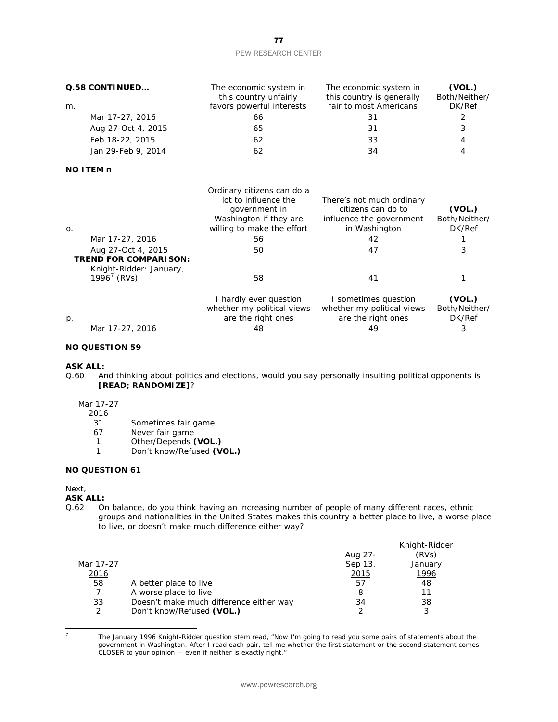| Q.58 CONTINUED     | The economic system in<br>this country unfairly | The economic system in<br>this country is generally | (VOL.)<br>Both/Neither/ |
|--------------------|-------------------------------------------------|-----------------------------------------------------|-------------------------|
| m.                 | favors powerful interests                       | fair to most Americans                              | DK/Ref                  |
| Mar 17-27, 2016    | 66                                              | 31                                                  | 2                       |
| Aug 27-Oct 4, 2015 | 65                                              | 31                                                  | 3                       |
| Feb 18-22, 2015    | 62                                              | 33                                                  | 4                       |
| Jan 29-Feb 9, 2014 | 62                                              | 34                                                  | 4                       |

#### **NO ITEM n**

| $\mathsf{O}$ .                                                                | Ordinary citizens can do a<br>lot to influence the<br>government in<br>Washington if they are<br>willing to make the effort | There's not much ordinary<br>citizens can do to<br>influence the government<br>in Washington | (VOL.)<br>Both/Neither/<br>DK/Ref |
|-------------------------------------------------------------------------------|-----------------------------------------------------------------------------------------------------------------------------|----------------------------------------------------------------------------------------------|-----------------------------------|
| Mar 17-27, 2016                                                               | 56                                                                                                                          | 42                                                                                           |                                   |
| Aug 27-Oct 4, 2015<br><b>TREND FOR COMPARISON:</b><br>Knight-Ridder: January, | 50                                                                                                                          | 47                                                                                           | 3                                 |
| $1996^7$ (RVs)                                                                | 58                                                                                                                          | 41                                                                                           |                                   |
|                                                                               | I hardly ever question<br>whether my political views                                                                        | I sometimes question<br>whether my political views                                           | (VOL.)<br>Both/Neither/           |
| $p$ .                                                                         | are the right ones                                                                                                          | are the right ones                                                                           | DK/Ref                            |
| Mar 17-27, 2016                                                               | 48                                                                                                                          | 49                                                                                           | 3                                 |

# **NO QUESTION 59**

# **ASK ALL:**<br>Q.60 Ar

And thinking about politics and elections, would you say personally insulting political opponents is **[READ; RANDOMIZE]**?

#### Mar 17-27

2016

- 31 Sometimes fair game
- 
- 67 Never fair game<br>1 Other/Depends (
- 1 Other/Depends **(VOL.)**<br>1 Don't know/Refused **(V** Don't know/Refused **(VOL.)**

# **NO QUESTION 61**

Next,

#### **ASK ALL:**

Q.62 On balance, do you think having an increasing number of people of many different races, ethnic groups and nationalities in the United States makes this country a better place to live, a worse place to live, or doesn't make much difference either way?

|         | Knight-Ridder |
|---------|---------------|
| Aug 27- | (RVs)         |
| Sep 13, | January       |
| 2015    | 1996          |
| 57      | 48            |
| 8       | 11            |
| 34      | 38            |
|         |               |
|         |               |

<span id="page-77-0"></span><sup>1</sup> 

<sup>7</sup> The January 1996 Knight-Ridder question stem read, "Now I'm going to read you some pairs of statements about the government in Washington. After I read each pair, tell me whether the first statement or the second statement comes CLOSER to your opinion -- even if neither is exactly right."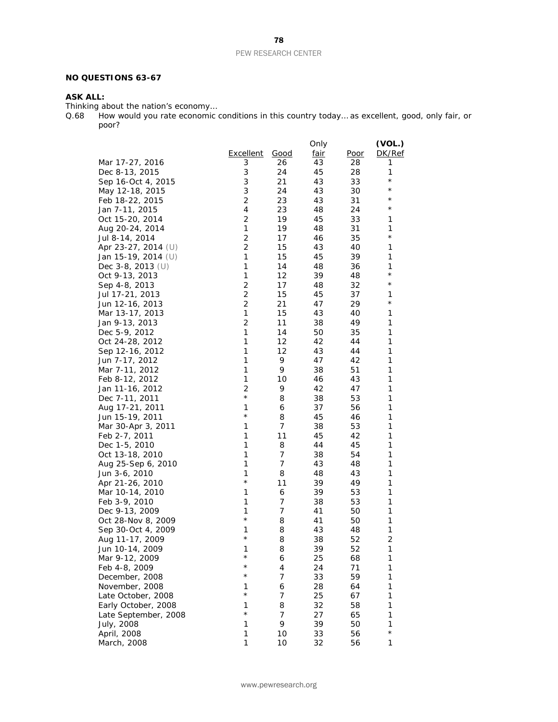## **NO QUESTIONS 63-67**

# **ASK ALL:**

Thinking about the nation's economy…

Q.68 How would you rate economic conditions in this country today… as excellent, good, only fair, or poor?

|                      |                           |      | Only        |             | (VOL.)     |
|----------------------|---------------------------|------|-------------|-------------|------------|
|                      | <b>Excellent</b>          | Good | <u>fair</u> | <u>Poor</u> | DK/Ref     |
| Mar 17-27, 2016      | 3                         | 26   | 43          | 28          | 1          |
| Dec 8-13, 2015       | 3                         | 24   | 45          | 28          | 1          |
| Sep 16-Oct 4, 2015   | 3                         | 21   | 43          | 33          | $^\star$   |
| May 12-18, 2015      | $\ensuremath{\mathsf{3}}$ | 24   | 43          | 30          | $^\star$   |
| Feb 18-22, 2015      | $\overline{c}$            | 23   | 43          | 31          | $^\star$   |
| Jan 7-11, 2015       | 4                         | 23   | 48          | 24          | $^\star$   |
| Oct 15-20, 2014      | 2                         | 19   | 45          | 33          | 1          |
| Aug 20-24, 2014      | $\mathbf 1$               | 19   | 48          | 31          | 1          |
| Jul 8-14, 2014       | $\overline{c}$            | 17   | 46          | 35          | $^{\star}$ |
| Apr 23-27, 2014 (U)  | $\overline{2}$            | 15   | 43          | 40          | 1          |
| Jan 15-19, 2014 (U)  | 1                         | 15   | 45          | 39          | 1          |
| Dec $3-8$ , 2013 (U) | $\mathbf{1}$              | 14   | 48          | 36          | 1          |
| Oct 9-13, 2013       | 1                         | 12   | 39          | 48          | $^\star$   |
| Sep 4-8, 2013        | $\overline{c}$            | 17   | 48          | 32          | $^{\star}$ |
| Jul 17-21, 2013      | $\mathbf 2$               | 15   | 45          | 37          | 1          |
| Jun 12-16, 2013      | $\overline{2}$            | 21   | 47          | 29          | $^{\star}$ |
|                      | 1                         |      | 43          |             |            |
| Mar 13-17, 2013      | $\overline{c}$            | 15   |             | 40          | 1          |
| Jan 9-13, 2013       | $\mathbf{1}$              | 11   | 38          | 49          | 1          |
| Dec 5-9, 2012        |                           | 14   | 50          | 35          | 1          |
| Oct 24-28, 2012      | 1                         | 12   | 42          | 44          | 1          |
| Sep 12-16, 2012      | 1                         | 12   | 43          | 44          | 1          |
| Jun 7-17, 2012       | 1                         | 9    | 47          | 42          | 1          |
| Mar 7-11, 2012       | 1                         | 9    | 38          | 51          | 1          |
| Feb 8-12, 2012       | 1                         | 10   | 46          | 43          | 1          |
| Jan 11-16, 2012      | 2                         | 9    | 42          | 47          | 1          |
| Dec 7-11, 2011       | $^{\star}$                | 8    | 38          | 53          | 1          |
| Aug 17-21, 2011      | 1                         | 6    | 37          | 56          | 1          |
| Jun 15-19, 2011      | $^{\star}$                | 8    | 45          | 46          | 1          |
| Mar 30-Apr 3, 2011   | 1                         | 7    | 38          | 53          | 1          |
| Feb 2-7, 2011        | $\mathbf{1}$              | 11   | 45          | 42          | 1          |
| Dec 1-5, 2010        | $\mathbf{1}$              | 8    | 44          | 45          | 1          |
| Oct 13-18, 2010      | 1                         | 7    | 38          | 54          | 1          |
| Aug 25-Sep 6, 2010   | 1                         | 7    | 43          | 48          | 1          |
| Jun 3-6, 2010        | 1                         | 8    | 48          | 43          | 1          |
| Apr 21-26, 2010      | $^{\star}$                | 11   | 39          | 49          | 1          |
| Mar 10-14, 2010      | 1                         | 6    | 39          | 53          | 1          |
| Feb 3-9, 2010        | 1                         | 7    | 38          | 53          | 1          |
| Dec 9-13, 2009       | 1                         | 7    | 41          | 50          | 1          |
| Oct 28-Nov 8, 2009   | $^\star$                  | 8    | 41          | 50          | 1          |
| Sep 30-Oct 4, 2009   | 1                         | 8    | 43          | 48          | 1          |
| Aug 11-17, 2009      | $^{\star}$                | 8    | 38          | 52          | 2          |
| Jun 10-14, 2009      | 1                         | 8    | 39          | 52          | 1          |
| Mar 9-12, 2009       | $^{\star}$                | 6    | 25          | 68          | 1          |
| Feb 4-8, 2009        | $^{\star}$                | 4    | 24          | 71          | 1          |
| December, 2008       | $^\star$                  | 7    | 33          | 59          | 1          |
| November, 2008       | 1                         | 6    | 28          | 64          | 1          |
| Late October, 2008   | $^\star$                  | 7    | 25          | 67          | 1          |
| Early October, 2008  | 1                         | 8    | 32          | 58          | 1          |
| Late September, 2008 | $^\star$                  | 7    | 27          | 65          | 1          |
| July, 2008           | 1                         | 9    | 39          | 50          | 1          |
| April, 2008          | 1                         | 10   | 33          | 56          | $^{\star}$ |
|                      | 1                         | 10   | 32          | 56          | 1          |
| March, 2008          |                           |      |             |             |            |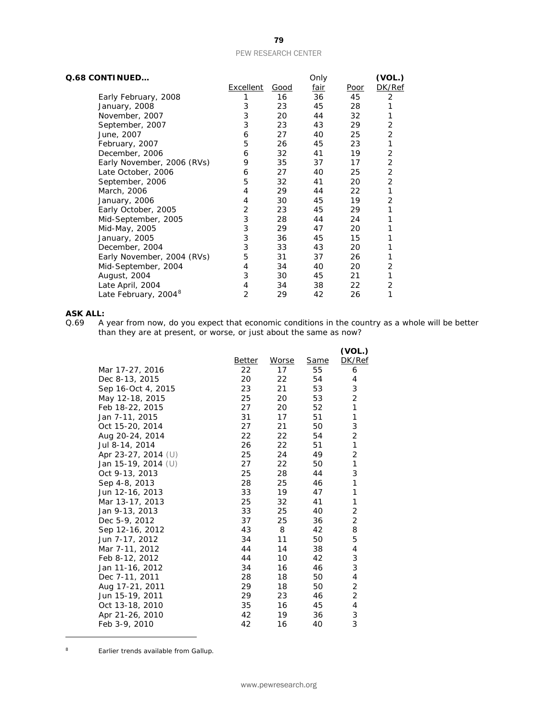| Q.68 CONTINUED                   |           |      | Only |      | (VOL.)         |
|----------------------------------|-----------|------|------|------|----------------|
|                                  | Excellent | Good | fair | Poor | DK/Ref         |
| Early February, 2008             |           | 16   | 36   | 45   | 2              |
| January, 2008                    | 3         | 23   | 45   | 28   | 1              |
| November, 2007                   | 3         | 20   | 44   | 32   |                |
| September, 2007                  | 3         | 23   | 43   | 29   | 2              |
| June, 2007                       | 6         | 27   | 40   | 25   | $\overline{2}$ |
| February, 2007                   | 5         | 26   | 45   | 23   | 1              |
| December, 2006                   | 6         | 32   | 41   | 19   | 2              |
| Early November, 2006 (RVs)       | 9         | 35   | 37   | 17   | 2              |
| Late October, 2006               | 6         | 27   | 40   | 25   | 2              |
| September, 2006                  | 5         | 32   | 41   | 20   | 2              |
| March, 2006                      | 4         | 29   | 44   | 22   | 1              |
| January, 2006                    | 4         | 30   | 45   | 19   | 2              |
| Early October, 2005              | 2         | 23   | 45   | 29   | 1              |
| Mid-September, 2005              | 3         | 28   | 44   | 24   |                |
| Mid-May, 2005                    | 3         | 29   | 47   | 20   |                |
| January, 2005                    | 3         | 36   | 45   | 15   |                |
| December, 2004                   | 3         | 33   | 43   | 20   |                |
| Early November, 2004 (RVs)       | 5         | 31   | 37   | 26   |                |
| Mid-September, 2004              | 4         | 34   | 40   | 20   | 2              |
| August, 2004                     | 3         | 30   | 45   | 21   | 1              |
| Late April, 2004                 | 4         | 34   | 38   | 22   | 2              |
| Late February, 2004 <sup>8</sup> | 2         | 29   | 42   | 26   | 1              |

# **ASK ALL:**<br>0.69 A

Q.69 A year from now, do you expect that economic conditions in the country as a whole will be better than they are at present, or worse, or just about the same as now?

|                     |        |       |             | (VOL.)         |
|---------------------|--------|-------|-------------|----------------|
|                     | Better | Worse | <u>Same</u> | DK/Ref         |
| Mar 17-27, 2016     | 22     | 17    | 55          | 6              |
| Dec 8-13, 2015      | 20     | 22    | 54          | 4              |
| Sep 16-Oct 4, 2015  | 23     | 21    | 53          | 3              |
| May 12-18, 2015     | 25     | 20    | 53          | 2              |
| Feb 18-22, 2015     | 27     | 20    | 52          | 1              |
| Jan 7-11, 2015      | 31     | 17    | 51          | 1              |
| Oct 15-20, 2014     | 27     | 21    | 50          | 3              |
| Aug 20-24, 2014     | 22     | 22    | 54          | 2              |
| Jul 8-14, 2014      | 26     | 22    | 51          | 1              |
| Apr 23-27, 2014 (U) | 25     | 24    | 49          | $\overline{2}$ |
| Jan 15-19, 2014 (U) | 27     | 22    | 50          | 1              |
| Oct 9-13, 2013      | 25     | 28    | 44          | 3              |
| Sep 4-8, 2013       | 28     | 25    | 46          | 1              |
| Jun 12-16, 2013     | 33     | 19    | 47          | 1              |
| Mar 13-17, 2013     | 25     | 32    | 41          | 1              |
| Jan 9-13, 2013      | 33     | 25    | 40          | 2              |
| Dec 5-9, 2012       | 37     | 25    | 36          | $\overline{2}$ |
| Sep 12-16, 2012     | 43     | 8     | 42          | 8              |
| Jun 7-17, 2012      | 34     | 11    | 50          | 5              |
| Mar 7-11, 2012      | 44     | 14    | 38          | 4              |
| Feb 8-12, 2012      | 44     | 10    | 42          | 3              |
| Jan 11-16, 2012     | 34     | 16    | 46          | 3              |
| Dec 7-11, 2011      | 28     | 18    | 50          | 4              |
| Aug 17-21, 2011     | 29     | 18    | 50          | 2              |
| Jun 15-19, 2011     | 29     | 23    | 46          | 2              |
| Oct 13-18, 2010     | 35     | 16    | 45          | 4              |
| Apr 21-26, 2010     | 42     | 19    | 36          | 3              |
| Feb 3-9, 2010       | 42     | 16    | 40          | 3              |

<span id="page-79-0"></span><sup>8</sup> Earlier trends available from Gallup.

 $\overline{a}$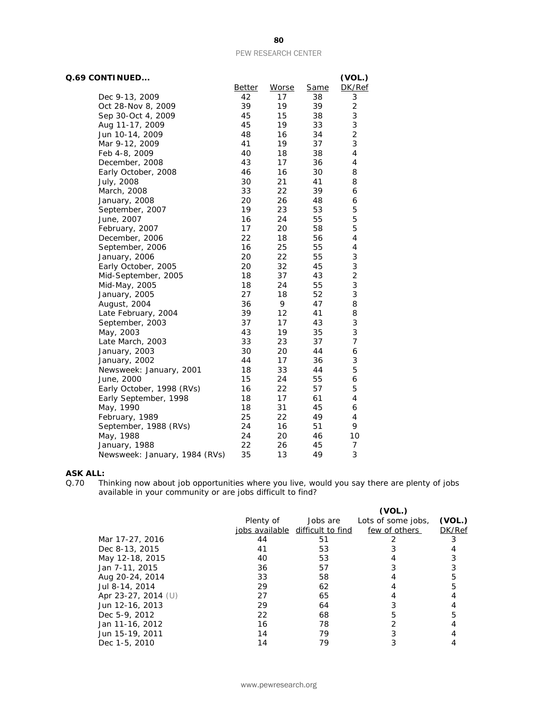| Q.69 CONTINUED                |                     |             |                   | (VOL.)              |
|-------------------------------|---------------------|-------------|-------------------|---------------------|
| Dec 9-13, 2009                | <b>Better</b><br>42 | Worse<br>17 | <b>Same</b><br>38 | DK/Ref              |
| Oct 28-Nov 8, 2009            | 39                  | 19          | 39                | 3<br>$\overline{c}$ |
|                               | 45                  | 15          | 38                |                     |
| Sep 30-Oct 4, 2009            | 45                  | 19          | 33                | 3<br>3              |
| Aug 11-17, 2009               | 48                  | 16          | 34                | $\overline{2}$      |
| Jun 10-14, 2009               | 41                  | 19          | 37                | 3                   |
| Mar 9-12, 2009                | 40                  |             |                   |                     |
| Feb 4-8, 2009                 |                     | 18          | 38                | 4                   |
| December, 2008                | 43                  | 17          | 36                | 4                   |
| Early October, 2008           | 46                  | 16          | 30                | 8                   |
| July, 2008                    | 30                  | 21          | 41                | 8                   |
| March, 2008                   | 33                  | 22          | 39                | 6                   |
| January, 2008                 | 20                  | 26          | 48                | 6                   |
| September, 2007               | 19                  | 23          | 53                | 5                   |
| June, 2007                    | 16                  | 24          | 55                | 5                   |
| February, 2007                | 17                  | 20          | 58                | 5                   |
| December, 2006                | 22                  | 18          | 56                | 4                   |
| September, 2006               | 16                  | 25          | 55                | $\pmb{4}$           |
| January, 2006                 | 20                  | 22          | 55                | 3                   |
| Early October, 2005           | 20                  | 32          | 45                | 3                   |
| Mid-September, 2005           | 18                  | 37          | 43                | $\overline{c}$      |
| Mid-May, 2005                 | 18                  | 24          | 55                | 3                   |
| January, 2005                 | 27                  | 18          | 52                | 3                   |
| August, 2004                  | 36                  | 9           | 47                | 8                   |
| Late February, 2004           | 39                  | 12          | 41                | 8                   |
| September, 2003               | 37                  | 17          | 43                | 3                   |
| May, 2003                     | 43                  | 19          | 35                | 3                   |
| Late March, 2003              | 33                  | 23          | 37                | $\overline{7}$      |
| January, 2003                 | 30                  | 20          | 44                | 6                   |
| January, 2002                 | 44                  | 17          | 36                | 3                   |
| Newsweek: January, 2001       | 18                  | 33          | 44                | 5                   |
| June, 2000                    | 15                  | 24          | 55                | 6                   |
| Early October, 1998 (RVs)     | 16                  | 22          | 57                | 5                   |
| Early September, 1998         | 18                  | 17          | 61                | 4                   |
| May, 1990                     | 18                  | 31          | 45                | 6                   |
| February, 1989                | 25                  | 22          | 49                | 4                   |
| September, 1988 (RVs)         | 24                  | 16          | 51                | 9                   |
| May, 1988                     | 24                  | 20          | 46                | 10                  |
| January, 1988                 | 22                  | 26          | 45                | 7                   |
| Newsweek: January, 1984 (RVs) | 35                  | 13          | 49                | 3                   |

# **ASK ALL:**<br>Q.70 Th

Q.70 Thinking now about job opportunities where you live, would you say there are plenty of jobs available in your community or are jobs difficult to find?

|                       |           |                                  | (VOL.)             |        |
|-----------------------|-----------|----------------------------------|--------------------|--------|
|                       | Plenty of | Jobs are                         | Lots of some jobs, | (VOL.) |
|                       |           | jobs available difficult to find | few of others      | DK/Ref |
| Mar 17-27, 2016       | 44        | 51                               |                    |        |
| Dec 8-13, 2015        | 41        | 53                               |                    |        |
| May 12-18, 2015       | 40        | 53                               |                    |        |
| Jan 7-11, 2015        | 36        | 57                               |                    |        |
| Aug 20-24, 2014       | 33        | 58                               |                    |        |
| Jul 8-14, 2014        | 29        | 62                               |                    |        |
| Apr 23-27, 2014 $(U)$ | 27        | 65                               |                    |        |
| Jun 12-16, 2013       | 29        | 64                               |                    |        |
| Dec 5-9, 2012         | 22        | 68                               |                    |        |
| Jan 11-16, 2012       | 16        | 78                               |                    |        |
| Jun 15-19, 2011       | 14        | 79                               |                    |        |
| Dec 1-5, 2010         | 14        | 79                               |                    |        |

80

www.pewresearch.org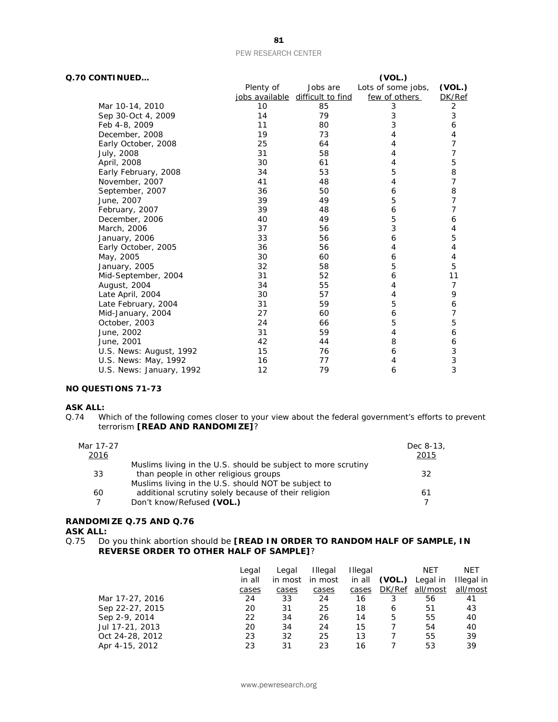| Q.70 CONTINUED           |           |                                  | (VOL.)             |                |
|--------------------------|-----------|----------------------------------|--------------------|----------------|
|                          | Plenty of | Jobs are                         | Lots of some jobs, | (VOL.)         |
|                          |           | jobs available difficult to find | few of others      | DK/Ref         |
| Mar 10-14, 2010          | 10        | 85                               | 3                  | 2              |
| Sep 30-Oct 4, 2009       | 14        | 79                               | 3                  | 3              |
| Feb 4-8, 2009            | 11        | 80                               | 3                  | 6              |
| December, 2008           | 19        | 73                               | 4                  | 4              |
| Early October, 2008      | 25        | 64                               | 4                  | 7              |
| July, 2008               | 31        | 58                               | 4                  | 7              |
| April, 2008              | 30        | 61                               | 4                  | 5              |
| Early February, 2008     | 34        | 53                               | 5                  | $\, 8$         |
| November, 2007           | 41        | 48                               | 4                  | $\overline{7}$ |
| September, 2007          | 36        | 50                               | 6                  | 8              |
| June, 2007               | 39        | 49                               | 5                  | 7              |
| February, 2007           | 39        | 48                               | 6                  | 7              |
| December, 2006           | 40        | 49                               | 5                  | 6              |
| March, 2006              | 37        | 56                               | 3                  | 4              |
| January, 2006            | 33        | 56                               | 6                  | 5              |
| Early October, 2005      | 36        | 56                               | 4                  | $\overline{4}$ |
| May, 2005                | 30        | 60                               | 6                  | $\overline{4}$ |
| January, 2005            | 32        | 58                               | 5                  | 5              |
| Mid-September, 2004      | 31        | 52                               | 6                  | 11             |
| August, 2004             | 34        | 55                               | 4                  | $\overline{7}$ |
| Late April, 2004         | 30        | 57                               | 4                  | 9              |
| Late February, 2004      | 31        | 59                               | 5                  | 6              |
| Mid-January, 2004        | 27        | 60                               | 6                  | 7              |
| October, 2003            | 24        | 66                               | 5                  | 5              |
| June, 2002               | 31        | 59                               | 4                  | 6              |
| June, 2001               | 42        | 44                               | 8                  | 6              |
| U.S. News: August, 1992  | 15        | 76                               | 6                  | 3              |
| U.S. News: May, 1992     | 16        | 77                               | 4                  | 3              |
| U.S. News: January, 1992 | 12        | 79                               | 6                  | 3              |

# **NO QUESTIONS 71-73**

# **ASK ALL:**<br>Q.74 W

Which of the following comes closer to your view about the federal government's efforts to prevent terrorism **[READ AND RANDOMIZE]**?

| Mar 17-27 |                                                               | Dec 8-13, |
|-----------|---------------------------------------------------------------|-----------|
| 2016      |                                                               | 2015      |
|           | Muslims living in the U.S. should be subject to more scrutiny |           |
| 33        | than people in other religious groups                         | 32        |
|           | Muslims living in the U.S. should NOT be subject to           |           |
| 60        | additional scrutiny solely because of their religion          | 61        |
|           | Don't know/Refused (VOL.)                                     |           |

# **RANDOMIZE Q.75 AND Q.76**

**ASK ALL:**<br>Q.75 Do Do you think abortion should be **[READ IN ORDER TO RANDOM HALF OF SAMPLE, IN REVERSE ORDER TO OTHER HALF OF SAMPLE]**?

|                 | Legal  | Legal   | <b>Illegal</b> | Illegal |        | NET      | <b>NET</b> |
|-----------------|--------|---------|----------------|---------|--------|----------|------------|
|                 | in all | in most | in most        | in all  | (VOL.) | Legal in | Illegal in |
|                 | cases  | cases   | cases          | cases   | DK/Ref | all/most | all/most   |
| Mar 17-27, 2016 | 24     | 33      | 24             | 16      | 3      | 56       | 41         |
| Sep 22-27, 2015 | 20     | 31      | 25             | 18      | 6      | 51       | 43         |
| Sep 2-9, 2014   | 22     | 34      | 26             | 14      | 5      | 55       | 40         |
| Jul 17-21, 2013 | 20     | 34      | 24             | 15      |        | 54       | 40         |
| Oct 24-28, 2012 | 23     | 32      | 25             | 13      |        | 55       | 39         |
| Apr 4-15, 2012  | 23     | 31      | 23             | 16      |        | 53       | 39         |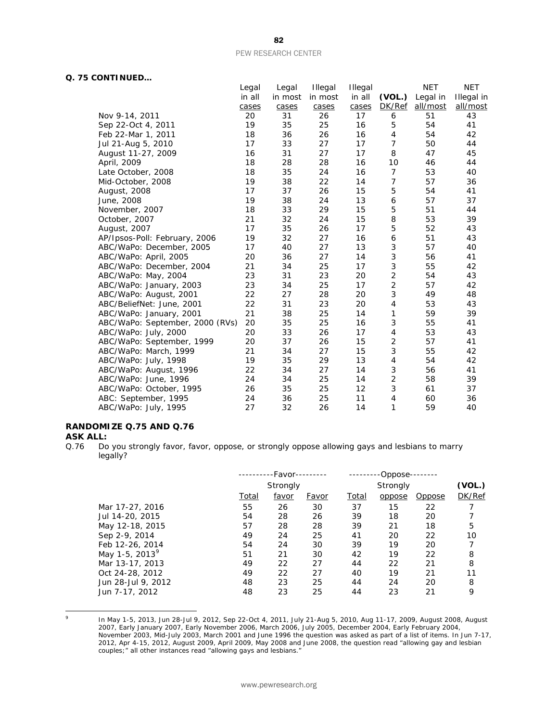# **Q. 75 CONTINUED…**

|                                 | Legal  | Legal   | <b>Illegal</b> | Illegal |        | <b>NET</b> | <b>NET</b> |
|---------------------------------|--------|---------|----------------|---------|--------|------------|------------|
|                                 | in all | in most | in most        | in all  | (VOL.) | Legal in   | Illegal in |
|                                 | cases  | cases   | cases          | cases   | DK/Ref | all/most   | all/most   |
| Nov 9-14, 2011                  | 20     | 31      | 26             | 17      | 6      | 51         | 43         |
| Sep 22-Oct 4, 2011              | 19     | 35      | 25             | 16      | 5      | 54         | 41         |
| Feb 22-Mar 1, 2011              | 18     | 36      | 26             | 16      | 4      | 54         | 42         |
| Jul 21-Aug 5, 2010              | 17     | 33      | 27             | 17      | 7      | 50         | 44         |
| August 11-27, 2009              | 16     | 31      | 27             | 17      | 8      | 47         | 45         |
| April, 2009                     | 18     | 28      | 28             | 16      | 10     | 46         | 44         |
| Late October, 2008              | 18     | 35      | 24             | 16      | 7      | 53         | 40         |
| Mid-October, 2008               | 19     | 38      | 22             | 14      | 7      | 57         | 36         |
| August, 2008                    | 17     | 37      | 26             | 15      | 5      | 54         | 41         |
| June, 2008                      | 19     | 38      | 24             | 13      | 6      | 57         | 37         |
| November, 2007                  | 18     | 33      | 29             | 15      | 5      | 51         | 44         |
| October, 2007                   | 21     | 32      | 24             | 15      | 8      | 53         | 39         |
| August, 2007                    | 17     | 35      | 26             | 17      | 5      | 52         | 43         |
| AP/Ipsos-Poll: February, 2006   | 19     | 32      | 27             | 16      | 6      | 51         | 43         |
| ABC/WaPo: December, 2005        | 17     | 40      | 27             | 13      | 3      | 57         | 40         |
| ABC/WaPo: April, 2005           | 20     | 36      | 27             | 14      | 3      | 56         | 41         |
| ABC/WaPo: December, 2004        | 21     | 34      | 25             | 17      | 3      | 55         | 42         |
| ABC/WaPo: May, 2004             | 23     | 31      | 23             | 20      | 2      | 54         | 43         |
| ABC/WaPo: January, 2003         | 23     | 34      | 25             | 17      | 2      | 57         | 42         |
| ABC/WaPo: August, 2001          | 22     | 27      | 28             | 20      | 3      | 49         | 48         |
| ABC/BeliefNet: June, 2001       | 22     | 31      | 23             | 20      | 4      | 53         | 43         |
| ABC/WaPo: January, 2001         | 21     | 38      | 25             | 14      | 1      | 59         | 39         |
| ABC/WaPo: September, 2000 (RVs) | 20     | 35      | 25             | 16      | 3      | 55         | 41         |
| ABC/WaPo: July, 2000            | 20     | 33      | 26             | 17      | 4      | 53         | 43         |
| ABC/WaPo: September, 1999       | 20     | 37      | 26             | 15      | 2      | 57         | 41         |
| ABC/WaPo: March, 1999           | 21     | 34      | 27             | 15      | 3      | 55         | 42         |
| ABC/WaPo: July, 1998            | 19     | 35      | 29             | 13      | 4      | 54         | 42         |
| ABC/WaPo: August, 1996          | 22     | 34      | 27             | 14      | 3      | 56         | 41         |
| ABC/WaPo: June, 1996            | 24     | 34      | 25             | 14      | 2      | 58         | 39         |
| ABC/WaPo: October, 1995         | 26     | 35      | 25             | 12      | 3      | 61         | 37         |
| ABC: September, 1995            | 24     | 36      | 25             | 11      | 4      | 60         | 36         |
| ABC/WaPo: July, 1995            | 27     | 32      | 26             | 14      | 1      | 59         | 40         |
|                                 |        |         |                |         |        |            |            |

# **RANDOMIZE Q.75 AND Q.76**

# **ASK ALL:**<br>0.76 Do

Do you strongly favor, favor, oppose, or strongly oppose allowing gays and lesbians to marry legally?

|                            | -Favor--<br><b>Strongly</b> |       |              | -Oppose-     |          |               |        |  |  |
|----------------------------|-----------------------------|-------|--------------|--------------|----------|---------------|--------|--|--|
|                            |                             |       |              |              | Strongly |               |        |  |  |
|                            | <b>Total</b>                | favor | <u>Favor</u> | <u>Total</u> | oppose   | <u>Oppose</u> | DK/Ref |  |  |
| Mar 17-27, 2016            | 55                          | 26    | 30           | 37           | 15       | 22            |        |  |  |
| Jul 14-20, 2015            | 54                          | 28    | 26           | 39           | 18       | 20            |        |  |  |
| May 12-18, 2015            | 57                          | 28    | 28           | 39           | 21       | 18            | 5      |  |  |
| Sep 2-9, 2014              | 49                          | 24    | 25           | 41           | 20       | 22            | 10     |  |  |
| Feb 12-26, 2014            | 54                          | 24    | 30           | 39           | 19       | 20            |        |  |  |
| May 1-5, 2013 <sup>9</sup> | 51                          | 21    | 30           | 42           | 19       | 22            | 8      |  |  |
| Mar 13-17, 2013            | 49                          | 22    | 27           | 44           | 22       | 21            | 8      |  |  |
| Oct 24-28, 2012            | 49                          | 22    | 27           | 40           | 19       | 21            | 11     |  |  |
| Jun 28-Jul 9, 2012         | 48                          | 23    | 25           | 44           | 24       | 20            | 8      |  |  |
| Jun 7-17, 2012             | 48                          | 23    | 25           | 44           | 23       | 21            | 9      |  |  |

<span id="page-82-0"></span> $\circ$ 

 $^{9}$  In May 1-5, 2013, Jun 28-Jul 9, 2012, Sep 22-Oct 4, 2011, July 21-Aug 5, 2010, Aug 11-17, 2009, August 2008, August 2007, Early January 2007, Early November 2006, March 2006, July 2005, December 2004, Early February 2004, November 2003, Mid-July 2003, March 2001 and June 1996 the question was asked as part of a list of items. In Jun 7-17, 2012, Apr 4-15, 2012, August 2009, April 2009, May 2008 and June 2008, the question read "allowing gay and lesbian couples;" all other instances read "allowing gays and lesbians."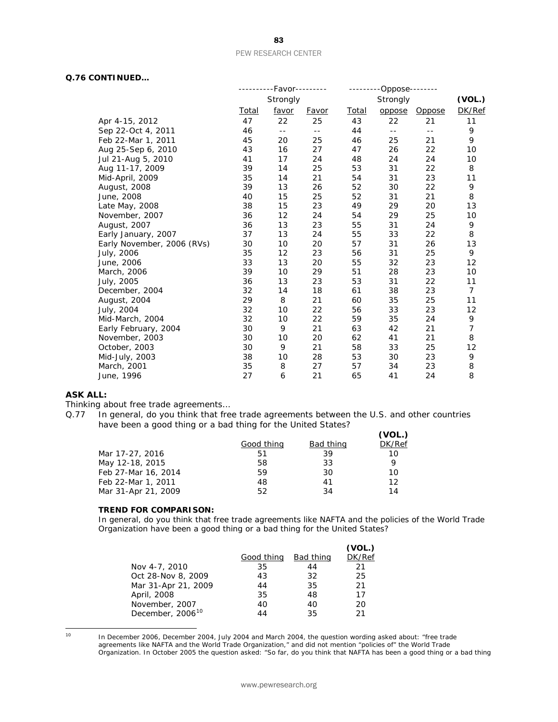# **Q.76 CONTINUED…**

|                            |       | --------Favor---------     |                            | -------      | --Oppose-- | ------               |                |
|----------------------------|-------|----------------------------|----------------------------|--------------|------------|----------------------|----------------|
|                            |       | Strongly                   |                            |              | Strongly   |                      | (VOL.)         |
|                            | Total | <u>favor</u>               | <u>Favor</u>               | <u>Total</u> | oppose     | <i><u>Oppose</u></i> | DK/Ref         |
| Apr 4-15, 2012             | 47    | 22                         | 25                         | 43           | 22         | 21                   | 11             |
| Sep 22-Oct 4, 2011         | 46    | $\overline{\phantom{a}}$ . | $\overline{\phantom{a}}$ . | 44           | $ -$       | $- -$                | 9              |
| Feb 22-Mar 1, 2011         | 45    | 20                         | 25                         | 46           | 25         | 21                   | 9              |
| Aug 25-Sep 6, 2010         | 43    | 16                         | 27                         | 47           | 26         | 22                   | 10             |
| Jul 21-Aug 5, 2010         | 41    | 17                         | 24                         | 48           | 24         | 24                   | 10             |
| Aug 11-17, 2009            | 39    | 14                         | 25                         | 53           | 31         | 22                   | 8              |
| Mid-April, 2009            | 35    | 14                         | 21                         | 54           | 31         | 23                   | 11             |
| August, 2008               | 39    | 13                         | 26                         | 52           | 30         | 22                   | 9              |
| June, 2008                 | 40    | 15                         | 25                         | 52           | 31         | 21                   | 8              |
| Late May, 2008             | 38    | 15                         | 23                         | 49           | 29         | 20                   | 13             |
| November, 2007             | 36    | 12                         | 24                         | 54           | 29         | 25                   | 10             |
| August, 2007               | 36    | 13                         | 23                         | 55           | 31         | 24                   | 9              |
| Early January, 2007        | 37    | 13                         | 24                         | 55           | 33         | 22                   | 8              |
| Early November, 2006 (RVs) | 30    | 10                         | 20                         | 57           | 31         | 26                   | 13             |
| July, 2006                 | 35    | 12                         | 23                         | 56           | 31         | 25                   | 9              |
| June, 2006                 | 33    | 13                         | 20                         | 55           | 32         | 23                   | 12             |
| March, 2006                | 39    | 10                         | 29                         | 51           | 28         | 23                   | 10             |
| July, 2005                 | 36    | 13                         | 23                         | 53           | 31         | 22                   | 11             |
| December, 2004             | 32    | 14                         | 18                         | 61           | 38         | 23                   | $\overline{7}$ |
| August, 2004               | 29    | 8                          | 21                         | 60           | 35         | 25                   | 11             |
| July, 2004                 | 32    | 10                         | 22                         | 56           | 33         | 23                   | 12             |
| Mid-March, 2004            | 32    | 10                         | 22                         | 59           | 35         | 24                   | 9              |
| Early February, 2004       | 30    | 9                          | 21                         | 63           | 42         | 21                   | $\overline{7}$ |
| November, 2003             | 30    | 10                         | 20                         | 62           | 41         | 21                   | 8              |
| October, 2003              | 30    | 9                          | 21                         | 58           | 33         | 25                   | 12             |
| Mid-July, 2003             | 38    | 10                         | 28                         | 53           | 30         | 23                   | 9              |
| March, 2001                | 35    | 8                          | 27                         | 57           | 34         | 23                   | 8              |
| June, 1996                 | 27    | 6                          | 21                         | 65           | 41         | 24                   | 8              |

# **ASK ALL:**

Thinking about free trade agreements…

Q.77 In general, do you think that free trade agreements between the U.S. and other countries have been a good thing or a bad thing for the United States?  $(10)$ 

| Good thing<br><b>Bad thing</b>  | DK/Ref |
|---------------------------------|--------|
|                                 |        |
| Mar 17-27, 2016<br>39<br>51     | 10     |
| May 12-18, 2015<br>58<br>33     |        |
| Feb 27-Mar 16, 2014<br>59<br>30 | 10     |
| Feb 22-Mar 1, 2011<br>48<br>41  | 12     |
| Mar 31-Apr 21, 2009<br>52<br>34 | 14     |

# **TREND FOR COMPARISON:**

*In general, do you think that free trade agreements like NAFTA and the policies of the World Trade Organization have been a good thing or a bad thing for the United States?*

|                              |            |           | (VOL.) |
|------------------------------|------------|-----------|--------|
|                              | Good thing | Bad thing | DK/Ref |
| Nov 4-7, 2010                | 35         | 44        | 21     |
| Oct 28-Nov 8, 2009           | 43         | 32        | 25     |
| Mar 31-Apr 21, 2009          | 44         | 35        | 21     |
| April, 2008                  | 35         | 48        | 17     |
| November, 2007               | 40         | 40        | 20     |
| December, 2006 <sup>10</sup> | 44         | 35        | 21     |

<span id="page-83-0"></span> $10<sup>10</sup>$ 

<sup>10</sup> In December 2006, December 2004, July 2004 and March 2004, the question wording asked about: "free trade agreements like NAFTA and the World Trade Organization," and did not mention "policies of" the World Trade Organization. In October 2005 the question asked: "So far, do you think that NAFTA has been a good thing or a bad thing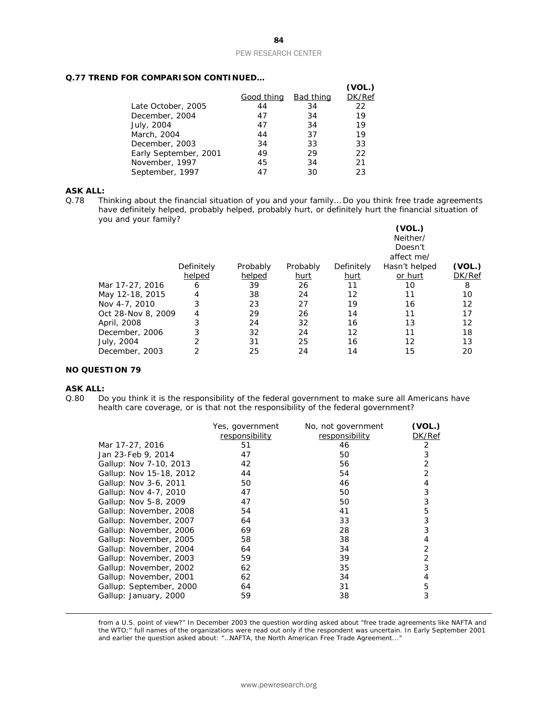# **Q.77 TREND FOR COMPARISON CONTINUED…**

|                       |            |                  | (VOL.) |
|-----------------------|------------|------------------|--------|
|                       | Good thing | <b>Bad thing</b> | DK/Ref |
| Late October, 2005    | 44         | 34               | 22     |
| December, 2004        | 47         | 34               | 19     |
| July, 2004            | 47         | 34               | 19     |
| March, 2004           | 44         | 37               | 19     |
| December, 2003        | 34         | 33               | 33     |
| Early September, 2001 | 49         | 29               | 22     |
| November, 1997        | 45         | 34               | 21     |
| September, 1997       | 47         | 30               | 23     |

# **ASK ALL:**<br>Q.78 Th

Thinking about the financial situation of you and your family... Do you think free trade agreements have definitely helped, probably helped, probably hurt, or definitely hurt the financial situation of you and your family?

|                    |            |          |          |                   | (VOL.)<br>Neither/<br>Doesn't<br>affect me/ |        |
|--------------------|------------|----------|----------|-------------------|---------------------------------------------|--------|
|                    | Definitely | Probably | Probably | Definitely        | Hasn't helped                               | (VOL.) |
|                    | helped     | helped   | hurt     | hurt              | or hurt                                     | DK/Ref |
| Mar 17-27, 2016    | 6          | 39       | 26       | 11                | 10                                          | 8      |
| May 12-18, 2015    | 4          | 38       | 24       | 12                | 11                                          | 10     |
| Nov 4-7, 2010      | 3          | 23       | 27       | 19                | 16                                          | 12     |
| Oct 28-Nov 8, 2009 | 4          | 29       | 26       | 14                | 11                                          | 17     |
| April, 2008        | 3          | 24       | 32       | 16                | 13                                          | 12     |
| December, 2006     | 3          | 32       | 24       | $12 \overline{ }$ | 11                                          | 18     |
| July, 2004         | 2          | 31       | 25       | 16                | 12                                          | 13     |
| December, 2003     | 2          | 25       | 24       | 14                | 15                                          | 20     |

# **NO QUESTION 79**

#### **ASK ALL:**

1

Q.80 Do you think it is the responsibility of the federal government to make sure all Americans have health care coverage, or is that not the responsibility of the federal government?

|                         | Yes, government | No, not government | (VOL.) |
|-------------------------|-----------------|--------------------|--------|
|                         | responsibility  | responsibility     | DK/Ref |
| Mar 17-27, 2016         | 51              | 46                 | 2      |
| Jan 23-Feb 9, 2014      | 47              | 50                 | 3      |
| Gallup: Nov 7-10, 2013  | 42              | 56                 | 2      |
| Gallup: Nov 15-18, 2012 | 44              | 54                 | 2      |
| Gallup: Nov 3-6, 2011   | 50              | 46                 | 4      |
| Gallup: Nov 4-7, 2010   | 47              | 50                 | 3      |
| Gallup: Nov 5-8, 2009   | 47              | 50                 | 3      |
| Gallup: November, 2008  | 54              | 41                 | 5      |
| Gallup: November, 2007  | 64              | 33                 | 3      |
| Gallup: November, 2006  | 69              | 28                 | 3      |
| Gallup: November, 2005  | 58              | 38                 | 4      |
| Gallup: November, 2004  | 64              | 34                 | 2      |
| Gallup: November, 2003  | 59              | 39                 | 2      |
| Gallup: November, 2002  | 62              | 35                 | 3      |
| Gallup: November, 2001  | 62              | 34                 | 4      |
| Gallup: September, 2000 | 64              | 31                 | 5      |
| Gallup: January, 2000   | 59              | 38                 | 3      |
|                         |                 |                    |        |

from a U.S. point of view?" In December 2003 the question wording asked about "free trade agreements like NAFTA and the WTO;" full names of the organizations were read out only if the respondent was uncertain. In Early September 2001 and earlier the question asked about: "…NAFTA, the North American Free Trade Agreement..."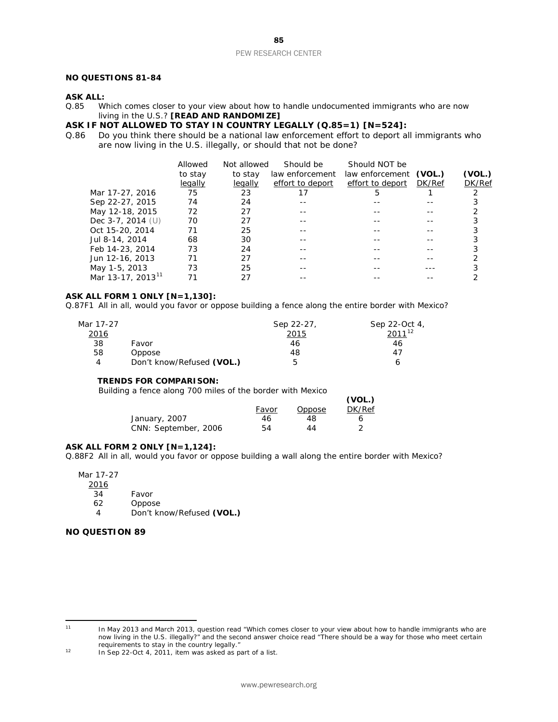# **NO QUESTIONS 81-84**

# **ASK ALL:**<br>0.85 W

Which comes closer to your view about how to handle undocumented immigrants who are now living in the U.S.? **[READ AND RANDOMIZE]**

# **ASK IF NOT ALLOWED TO STAY IN COUNTRY LEGALLY (Q.85=1) [N=524]:**<br>Q.86 Do you think there should be a national law enforcement effort to deport all

Do you think there should be a national law enforcement effort to deport all immigrants who are now living in the U.S. illegally, or should that not be done?

|                               | Allowed | Not allowed | Should be        | <b>Should NOT be</b>   |               |        |
|-------------------------------|---------|-------------|------------------|------------------------|---------------|--------|
|                               | to stay | to stay     | law enforcement  | law enforcement (VOL.) |               | (VOL.) |
|                               | legally | legally     | effort to deport | effort to deport       | <i>DK/Ref</i> | DK/Ref |
| Mar 17-27, 2016               | 75      | 23          |                  | 5                      |               |        |
| Sep 22-27, 2015               | 74      | 24          |                  |                        |               |        |
| May 12-18, 2015               | 72      | 27          |                  |                        |               |        |
| Dec $3-7$ , 2014 (U)          | 70      | 27          |                  |                        |               |        |
| Oct 15-20, 2014               | 71      | 25          |                  |                        |               |        |
| Jul 8-14, 2014                | 68      | 30          |                  |                        |               |        |
| Feb 14-23, 2014               | 73      | 24          |                  |                        |               |        |
| Jun 12-16, 2013               | 71      | 27          |                  |                        |               |        |
| May 1-5, 2013                 | 73      | 25          |                  |                        |               |        |
| Mar 13-17, 2013 <sup>11</sup> |         | 27          |                  |                        |               |        |

**(VOL.)**

### **ASK ALL FORM 1 ONLY [N=1,130]:**

Q.87F1 All in all, would you favor or oppose building a fence along the entire border with Mexico?

| Mar 17-27    |                           | Sep 22-27, | Sep 22-Oct 4, |
|--------------|---------------------------|------------|---------------|
| <u> 2016</u> |                           | 2015       | $2011^{12}$   |
| 38           | Favor                     | 46         | 46            |
| 58           | Oppose                    | 48         | 47            |
| 4            | Don't know/Refused (VOL.) | ь          |               |

# **TRENDS FOR COMPARISON:**

*Building a fence along 700 miles of the border with Mexico*

|                      |       |        | (VOL.) |
|----------------------|-------|--------|--------|
|                      | Favor | Oppose | DK/Ref |
| January, 2007        | 46    | 48     | h      |
| CNN: September, 2006 | 54    | 44     |        |

#### **ASK ALL FORM 2 ONLY [N=1,124]:**

Q.88F2 All in all, would you favor or oppose building a wall along the entire border with Mexico?

Mar 17-27

2016

- 34 Favor<br>62 Oppos
- 62 Oppose<br>4 Don't kr

4 Don't know/Refused **(VOL.)**

# **NO QUESTION 89**

<span id="page-85-0"></span> $11$ 

In May 2013 and March 2013, question read "Which comes closer to your view about how to handle immigrants who are now living in the U.S. illegally?" and the second answer choice read "There should be a way for those who meet certain requirements to stay in the country legally."

<span id="page-85-1"></span><sup>12</sup> In Sep 22-Oct 4, 2011, item was asked as part of a list.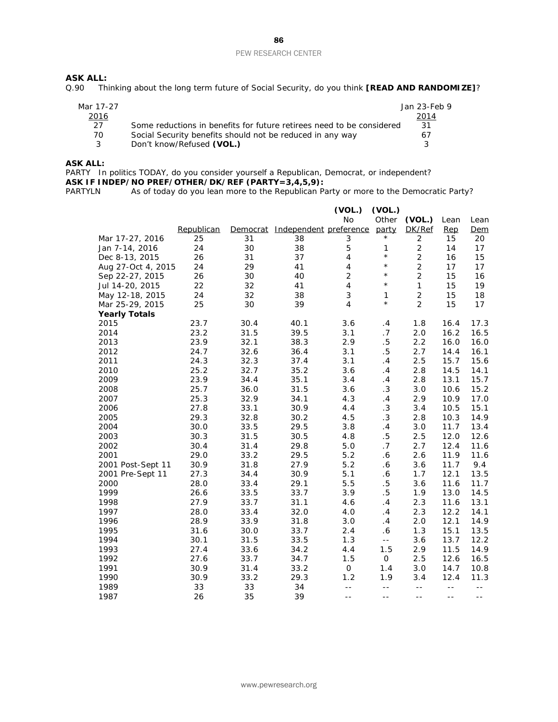# **ASK ALL:**<br>Q.90 Th

Thinking about the long term future of Social Security, do you think **[READ AND RANDOMIZE]**?

| Mar 17-27   |                                                                       | Jan 23-Feb 9  |
|-------------|-----------------------------------------------------------------------|---------------|
| <u>2016</u> |                                                                       | <u> 2014 </u> |
| 27          | Some reductions in benefits for future retirees need to be considered | -31           |
| 70.         | Social Security benefits should not be reduced in any way             | 67            |
|             | Don't know/Refused (VOL.)                                             | 2             |

### **ASK ALL:**

PARTY In politics TODAY, do you consider yourself a Republican, Democrat, or independent? **ASK IF INDEP/NO PREF/OTHER/DK/REF (PARTY=3,4,5,9):**<br>PARTYLN As of today do you lean more to the Republican Pa

As of today do you lean more to the Republican Party or more to the Democratic Party?

|                      |            |          |                        | (VOL.)                  | (VOL.)     |                |      |      |
|----------------------|------------|----------|------------------------|-------------------------|------------|----------------|------|------|
|                      |            |          |                        | No                      | Other      | (VOL.)         | Lean | Lean |
|                      | Republican | Democrat | Independent preference |                         | party      | DK/Ref         | Rep  | Dem  |
| Mar 17-27, 2016      | 25         | 31       | 38                     | 3                       | $^\star$   | 2              | 15   | 20   |
| Jan 7-14, 2016       | 24         | 30       | 38                     | 5                       | 1          | $\overline{2}$ | 14   | 17   |
| Dec 8-13, 2015       | 26         | 31       | 37                     | $\overline{4}$          | $^\star$   | $\overline{2}$ | 16   | 15   |
| Aug 27-Oct 4, 2015   | 24         | 29       | 41                     | $\overline{4}$          | $^{\star}$ | $\overline{2}$ | 17   | 17   |
| Sep 22-27, 2015      | 26         | 30       | 40                     | $\overline{2}$          | $^{\star}$ | $\overline{2}$ | 15   | 16   |
| Jul 14-20, 2015      | 22         | 32       | 41                     | $\overline{\mathbf{4}}$ | $^{\star}$ | $\mathbf{1}$   | 15   | 19   |
| May 12-18, 2015      | 24         | 32       | 38                     | 3                       | 1          | $\overline{2}$ | 15   | 18   |
| Mar 25-29, 2015      | 25         | 30       | 39                     | 4                       | $^{\star}$ | $\overline{2}$ | 15   | 17   |
| <b>Yearly Totals</b> |            |          |                        |                         |            |                |      |      |
| 2015                 | 23.7       | 30.4     | 40.1                   | 3.6                     | .4         | 1.8            | 16.4 | 17.3 |
| 2014                 | 23.2       | 31.5     | 39.5                   | 3.1                     | .7         | 2.0            | 16.2 | 16.5 |
| 2013                 | 23.9       | 32.1     | 38.3                   | 2.9                     | $.5\,$     | 2.2            | 16.0 | 16.0 |
| 2012                 | 24.7       | 32.6     | 36.4                   | 3.1                     | $.5\,$     | 2.7            | 14.4 | 16.1 |
| 2011                 | 24.3       | 32.3     | 37.4                   | 3.1                     | .4         | $2.5\,$        | 15.7 | 15.6 |
| 2010                 | 25.2       | 32.7     | 35.2                   | 3.6                     | .4         | 2.8            | 14.5 | 14.1 |
| 2009                 | 23.9       | 34.4     | 35.1                   | 3.4                     | .4         | 2.8            | 13.1 | 15.7 |
| 2008                 | 25.7       | 36.0     | 31.5                   | 3.6                     | $\cdot$ 3  | 3.0            | 10.6 | 15.2 |
| 2007                 | 25.3       | 32.9     | 34.1                   | 4.3                     | .4         | 2.9            | 10.9 | 17.0 |
| 2006                 | 27.8       | 33.1     | 30.9                   | 4.4                     | .3         | 3.4            | 10.5 | 15.1 |
| 2005                 | 29.3       | 32.8     | 30.2                   | 4.5                     | $\cdot$ 3  | 2.8            | 10.3 | 14.9 |
| 2004                 | 30.0       | 33.5     | 29.5                   | 3.8                     | .4         | 3.0            | 11.7 | 13.4 |
| 2003                 | 30.3       | 31.5     | 30.5                   | 4.8                     | .5         | 2.5            | 12.0 | 12.6 |
| 2002                 | 30.4       | 31.4     | 29.8                   | 5.0                     | .7         | 2.7            | 12.4 | 11.6 |
| 2001                 | 29.0       | 33.2     | 29.5                   | 5.2                     | .6         | 2.6            | 11.9 | 11.6 |
| 2001 Post-Sept 11    | 30.9       | 31.8     | 27.9                   | 5.2                     | .6         | 3.6            | 11.7 | 9.4  |
| 2001 Pre-Sept 11     | 27.3       | 34.4     | 30.9                   | 5.1                     | .6         | 1.7            | 12.1 | 13.5 |
| 2000                 | 28.0       | 33.4     | 29.1                   | 5.5                     | $.5\,$     | 3.6            | 11.6 | 11.7 |
| 1999                 | 26.6       | 33.5     | 33.7                   | 3.9                     | $.5\,$     | 1.9            | 13.0 | 14.5 |
| 1998                 | 27.9       | 33.7     | 31.1                   | 4.6                     | .4         | 2.3            | 11.6 | 13.1 |
| 1997                 | 28.0       | 33.4     | 32.0                   | 4.0                     | .4         | 2.3            | 12.2 | 14.1 |
| 1996                 | 28.9       | 33.9     | 31.8                   | 3.0                     | .4         | 2.0            | 12.1 | 14.9 |
| 1995                 | 31.6       | 30.0     | 33.7                   | 2.4                     | .6         | 1.3            | 15.1 | 13.5 |
| 1994                 | 30.1       | 31.5     | 33.5                   | 1.3                     | $-1$       | 3.6            | 13.7 | 12.2 |
| 1993                 | 27.4       | 33.6     | 34.2                   | 4.4                     | 1.5        | 2.9            | 11.5 | 14.9 |
| 1992                 | 27.6       | 33.7     | 34.7                   | 1.5                     | 0          | 2.5            | 12.6 | 16.5 |
| 1991                 | 30.9       | 31.4     | 33.2                   | 0                       | 1.4        | 3.0            | 14.7 | 10.8 |
| 1990                 | 30.9       | 33.2     | 29.3                   | 1.2                     | 1.9        | 3.4            | 12.4 | 11.3 |
| 1989                 | 33         | 33       | 34                     | $- -$                   | $- -$      | $\sim$ $\sim$  | $-$  | $-$  |
| 1987                 | 26         | 35       | 39                     | $ -$                    | $ -$       | $- -$          | $ -$ | $ -$ |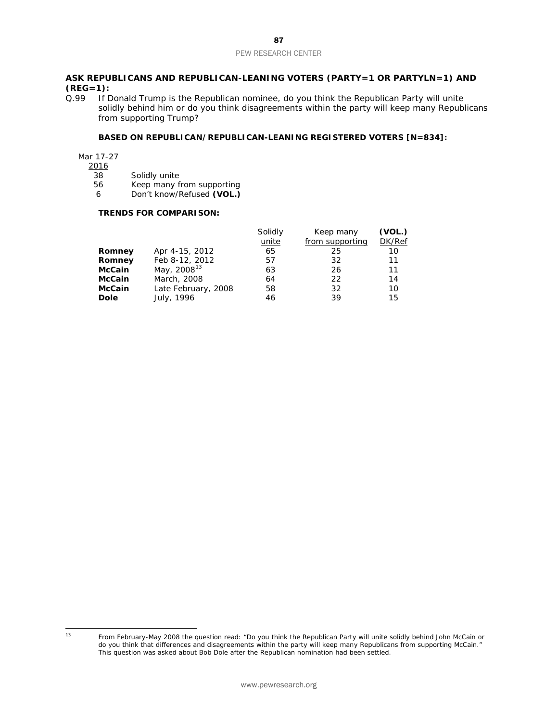# **ASK REPUBLICANS AND REPUBLICAN-LEANING VOTERS (PARTY=1 OR PARTYLN=1) AND (REG=1):**<br>0.99 If D

If Donald Trump is the Republican nominee, do you think the Republican Party will unite solidly behind him or do you think disagreements within the party will keep many Republicans from supporting Trump?

# **BASED ON REPUBLICAN/REPUBLICAN-LEANING REGISTERED VOTERS [N=834]:**

Mar 17-27

 $\frac{2016}{38}$ 

38 Solidly unite<br>56 Keep many f

56 Keep many from supporting<br>6 Don't know/Refused (VOL.) 6 Don't know/Refused **(VOL.)**

### **TRENDS FOR COMPARISON:**

|               |                         | Solidly | Keep many       | (VOL.) |
|---------------|-------------------------|---------|-----------------|--------|
|               |                         | unite   | from supporting | DK/Ref |
| Romney        | Apr 4-15, 2012          | 65      | 25              | 10     |
| Romney        | Feb 8-12, 2012          | 57      | 32              | 11     |
| <b>McCain</b> | May, 2008 <sup>13</sup> | 63      | 26              | 11     |
| <b>McCain</b> | March, 2008             | 64      | 22              | 14     |
| <b>McCain</b> | Late February, 2008     | 58      | 32              | 10     |
| <b>Dole</b>   | July, 1996              | 46      | 39              | 15     |

<span id="page-87-0"></span> $13$ 

<sup>13</sup> From February-May 2008 the question read: "Do you think the Republican Party will unite solidly behind John McCain or do you think that differences and disagreements within the party will keep many Republicans from supporting McCain." This question was asked about Bob Dole after the Republican nomination had been settled.